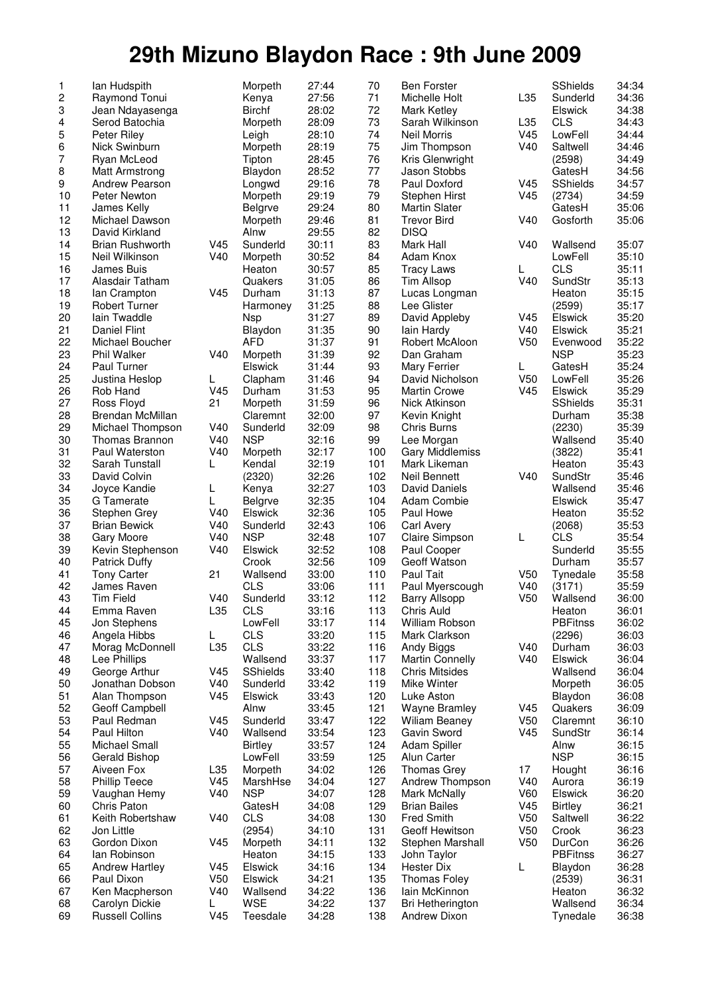| 1  | lan Hudspith           |                 | Morpeth        | 27:44 | 70  | <b>Ben Forster</b>     |                 | SShields        | 34:34 |
|----|------------------------|-----------------|----------------|-------|-----|------------------------|-----------------|-----------------|-------|
| 2  | Raymond Tonui          |                 | Kenya          | 27:56 | 71  | Michelle Holt          | L <sub>35</sub> | Sunderld        | 34:36 |
| 3  | Jean Ndayasenga        |                 | <b>Birchf</b>  | 28:02 | 72  | Mark Ketley            |                 | Elswick         | 34:38 |
|    |                        |                 |                | 28:09 | 73  |                        |                 |                 |       |
| 4  | Serod Batochia         |                 | Morpeth        |       |     | Sarah Wilkinson        | L35             | <b>CLS</b>      | 34:43 |
| 5  | Peter Riley            |                 | Leigh          | 28:10 | 74  | <b>Neil Morris</b>     | V <sub>45</sub> | LowFell         | 34:44 |
| 6  | Nick Swinburn          |                 | Morpeth        | 28:19 | 75  | Jim Thompson           | V40             | Saltwell        | 34:46 |
| 7  | Ryan McLeod            |                 | Tipton         | 28:45 | 76  | Kris Glenwright        |                 | (2598)          | 34:49 |
| 8  | <b>Matt Armstrong</b>  |                 | Blaydon        | 28:52 | 77  | <b>Jason Stobbs</b>    |                 | GatesH          | 34:56 |
| 9  | Andrew Pearson         |                 | Longwd         | 29:16 | 78  | Paul Doxford           | V <sub>45</sub> | SShields        | 34:57 |
| 10 | Peter Newton           |                 | Morpeth        | 29:19 | 79  | <b>Stephen Hirst</b>   | V <sub>45</sub> | (2734)          | 34:59 |
| 11 | James Kelly            |                 | Belgrve        | 29:24 | 80  | <b>Martin Slater</b>   |                 | GatesH          | 35:06 |
| 12 | Michael Dawson         |                 | Morpeth        | 29:46 | 81  | <b>Trevor Bird</b>     | V40             | Gosforth        | 35:06 |
| 13 | David Kirkland         |                 | Alnw           | 29:55 | 82  | <b>DISQ</b>            |                 |                 |       |
|    |                        |                 |                |       |     |                        |                 |                 |       |
| 14 | <b>Brian Rushworth</b> | V <sub>45</sub> | Sunderld       | 30:11 | 83  | Mark Hall              | V40             | Wallsend        | 35:07 |
| 15 | Neil Wilkinson         | V40             | Morpeth        | 30:52 | 84  | Adam Knox              |                 | LowFell         | 35:10 |
| 16 | James Buis             |                 | Heaton         | 30:57 | 85  | <b>Tracy Laws</b>      | L               | <b>CLS</b>      | 35:11 |
| 17 | Alasdair Tatham        |                 | Quakers        | 31:05 | 86  | Tim Allsop             | V40             | SundStr         | 35:13 |
| 18 | lan Crampton           | V <sub>45</sub> | Durham         | 31:13 | 87  | Lucas Longman          |                 | Heaton          | 35:15 |
| 19 | <b>Robert Turner</b>   |                 | Harmoney       | 31:25 | 88  | Lee Glister            |                 | (2599)          | 35:17 |
| 20 | lain Twaddle           |                 | <b>Nsp</b>     | 31:27 | 89  | David Appleby          | V45             | <b>Elswick</b>  | 35:20 |
| 21 | <b>Daniel Flint</b>    |                 | Blaydon        | 31:35 | 90  | lain Hardy             | V40             | <b>Elswick</b>  | 35:21 |
| 22 | Michael Boucher        |                 | <b>AFD</b>     | 31:37 | 91  | Robert McAloon         | V <sub>50</sub> | Evenwood        | 35:22 |
| 23 | <b>Phil Walker</b>     | V40             | Morpeth        | 31:39 | 92  | Dan Graham             |                 | <b>NSP</b>      | 35:23 |
| 24 | Paul Turner            |                 |                |       |     |                        |                 | GatesH          | 35:24 |
|    |                        |                 | Elswick        | 31:44 | 93  | Mary Ferrier           | L               |                 |       |
| 25 | Justina Heslop         | L               | Clapham        | 31:46 | 94  | David Nicholson        | V <sub>50</sub> | LowFell         | 35:26 |
| 26 | Rob Hand               | V <sub>45</sub> | Durham         | 31:53 | 95  | <b>Martin Crowe</b>    | V <sub>45</sub> | <b>Elswick</b>  | 35:29 |
| 27 | Ross Floyd             | 21              | Morpeth        | 31:59 | 96  | Nick Atkinson          |                 | SShields        | 35:31 |
| 28 | Brendan McMillan       |                 | Claremnt       | 32:00 | 97  | Kevin Knight           |                 | Durham          | 35:38 |
| 29 | Michael Thompson       | V40             | Sunderld       | 32:09 | 98  | <b>Chris Burns</b>     |                 | (2230)          | 35:39 |
| 30 | Thomas Brannon         | V40             | <b>NSP</b>     | 32:16 | 99  | Lee Morgan             |                 | Wallsend        | 35:40 |
| 31 | Paul Waterston         | V40             | Morpeth        | 32:17 | 100 | <b>Gary Middlemiss</b> |                 | (3822)          | 35:41 |
| 32 | Sarah Tunstall         | L               | Kendal         | 32:19 | 101 | Mark Likeman           |                 | Heaton          | 35:43 |
| 33 | David Colvin           |                 | (2320)         | 32:26 | 102 | Neil Bennett           | V40             | SundStr         | 35:46 |
| 34 |                        |                 |                |       |     |                        |                 | Wallsend        |       |
|    | Joyce Kandie           | L               | Kenya          | 32:27 | 103 | David Daniels          |                 |                 | 35:46 |
| 35 | G Tamerate             | L               | <b>Belgrve</b> | 32:35 | 104 | Adam Combie            |                 | <b>Elswick</b>  | 35:47 |
| 36 | Stephen Grey           | V40             | <b>Elswick</b> | 32:36 | 105 | Paul Howe              |                 | Heaton          | 35:52 |
| 37 | <b>Brian Bewick</b>    | V40             | Sunderld       | 32:43 | 106 | Carl Avery             |                 | (2068)          | 35:53 |
| 38 | Gary Moore             | V40             | <b>NSP</b>     | 32:48 | 107 | Claire Simpson         | L               | <b>CLS</b>      | 35:54 |
| 39 | Kevin Stephenson       | V40             | <b>Elswick</b> | 32:52 | 108 | Paul Cooper            |                 | Sunderld        | 35:55 |
| 40 | <b>Patrick Duffy</b>   |                 | Crook          | 32:56 | 109 | Geoff Watson           |                 | Durham          | 35:57 |
| 41 | <b>Tony Carter</b>     | 21              | Wallsend       | 33:00 | 110 | Paul Tait              | V50             | Tynedale        | 35:58 |
| 42 | James Raven            |                 | <b>CLS</b>     | 33:06 | 111 | Paul Myerscough        | V40             | (3171)          | 35:59 |
| 43 | <b>Tim Field</b>       | V40             | Sunderld       | 33:12 | 112 | <b>Barry Allsopp</b>   | V <sub>50</sub> | Wallsend        | 36:00 |
| 44 | Emma Raven             | L35             | CLS            | 33:16 | 113 | Chris Auld             |                 | Heaton          | 36:01 |
| 45 |                        |                 | LowFell        | 33:17 | 114 | William Robson         |                 | <b>PBFitnss</b> | 36:02 |
|    | Jon Stephens           |                 |                |       |     |                        |                 |                 |       |
| 46 | Angela Hibbs           | L               | <b>CLS</b>     | 33:20 | 115 | Mark Clarkson          |                 | (2296)          | 36:03 |
| 47 | Morag McDonnell        | L35             | <b>CLS</b>     | 33:22 | 116 | Andy Biggs             | V40             | Durham          | 36:03 |
| 48 | Lee Phillips           |                 | Wallsend       | 33:37 | 117 | <b>Martin Connelly</b> | V40             | <b>Elswick</b>  | 36:04 |
| 49 | George Arthur          | V <sub>45</sub> | SShields       | 33:40 | 118 | <b>Chris Mitsides</b>  |                 | Wallsend        | 36:04 |
| 50 | Jonathan Dobson        | V40             | Sunderld       | 33:42 | 119 | Mike Winter            |                 | Morpeth         | 36:05 |
| 51 | Alan Thompson          | V <sub>45</sub> | <b>Elswick</b> | 33:43 | 120 | Luke Aston             |                 | Blaydon         | 36:08 |
| 52 | Geoff Campbell         |                 | Alnw           | 33:45 | 121 | <b>Wayne Bramley</b>   | V45             | Quakers         | 36:09 |
| 53 | Paul Redman            | V <sub>45</sub> | Sunderld       | 33:47 | 122 | <b>Wiliam Beaney</b>   | V <sub>50</sub> | Claremnt        | 36:10 |
| 54 | Paul Hilton            | V40             | Wallsend       | 33:54 | 123 | Gavin Sword            | V45             | SundStr         | 36:14 |
| 55 | Michael Small          |                 | <b>Birtley</b> | 33:57 | 124 | Adam Spiller           |                 | Alnw            | 36:15 |
| 56 | Gerald Bishop          |                 | LowFell        | 33:59 | 125 | Alun Carter            |                 | <b>NSP</b>      | 36:15 |
|    |                        |                 |                |       |     |                        |                 |                 |       |
| 57 | Aiveen Fox             | L35             | Morpeth        | 34:02 | 126 | <b>Thomas Grey</b>     | 17 <sub>1</sub> | Hought          | 36:16 |
| 58 | <b>Phillip Teece</b>   | V <sub>45</sub> | MarshHse       | 34:04 | 127 | Andrew Thompson        | V40             | Aurora          | 36:19 |
| 59 | Vaughan Hemy           | V40             | <b>NSP</b>     | 34:07 | 128 | Mark McNally           | V60             | <b>Elswick</b>  | 36:20 |
| 60 | Chris Paton            |                 | GatesH         | 34:08 | 129 | <b>Brian Bailes</b>    | V <sub>45</sub> | <b>Birtley</b>  | 36:21 |
| 61 | Keith Robertshaw       | V40             | <b>CLS</b>     | 34:08 | 130 | <b>Fred Smith</b>      | V <sub>50</sub> | Saltwell        | 36:22 |
| 62 | Jon Little             |                 | (2954)         | 34:10 | 131 | Geoff Hewitson         | V <sub>50</sub> | Crook           | 36:23 |
| 63 | Gordon Dixon           | V <sub>45</sub> | Morpeth        | 34:11 | 132 | Stephen Marshall       | V <sub>50</sub> | DurCon          | 36:26 |
| 64 | lan Robinson           |                 | Heaton         | 34:15 | 133 | John Taylor            |                 | <b>PBFitnss</b> | 36:27 |
| 65 | <b>Andrew Hartley</b>  | V45             | Elswick        | 34:16 | 134 | <b>Hester Dix</b>      | L               | Blaydon         | 36:28 |
| 66 | Paul Dixon             | V50             | Elswick        | 34:21 | 135 | <b>Thomas Foley</b>    |                 | (2539)          | 36:31 |
| 67 | Ken Macpherson         | V40             | Wallsend       | 34:22 | 136 | lain McKinnon          |                 | Heaton          | 36:32 |
| 68 |                        | L               | <b>WSE</b>     | 34:22 | 137 |                        |                 | Wallsend        | 36:34 |
|    | Carolyn Dickie         |                 |                |       |     | Bri Hetherington       |                 |                 |       |
| 69 | <b>Russell Collins</b> | V <sub>45</sub> | Teesdale       | 34:28 | 138 | <b>Andrew Dixon</b>    |                 | Tynedale        | 36:38 |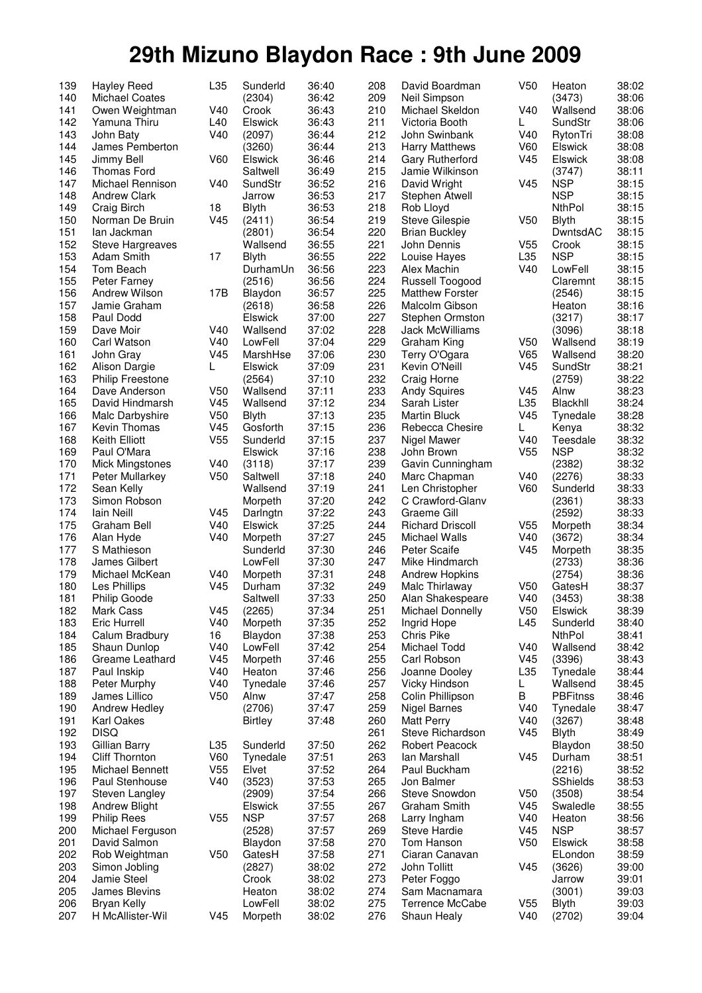| 139 | <b>Hayley Reed</b>                       | L <sub>35</sub> | Sunderld           | 36:40 | 208 | David Boardman                      | V50             | Heaton          | 38:02 |
|-----|------------------------------------------|-----------------|--------------------|-------|-----|-------------------------------------|-----------------|-----------------|-------|
| 140 | <b>Michael Coates</b>                    |                 | (2304)             | 36:42 | 209 | Neil Simpson                        |                 | (3473)          | 38:06 |
| 141 | Owen Weightman                           | V40             | Crook              | 36:43 | 210 | Michael Skeldon                     | V40             | Wallsend        | 38:06 |
| 142 | Yamuna Thiru                             | L40             | <b>Elswick</b>     | 36:43 | 211 | Victoria Booth                      | L               | <b>SundStr</b>  | 38:06 |
| 143 | John Baty                                | V40             | (2097)             | 36:44 | 212 | John Swinbank                       | V40             | RytonTri        | 38:08 |
| 144 | James Pemberton                          |                 | (3260)             | 36:44 | 213 | <b>Harry Matthews</b>               | V60             | <b>Elswick</b>  | 38:08 |
| 145 |                                          | <b>V60</b>      |                    | 36:46 | 214 |                                     | V <sub>45</sub> | <b>Elswick</b>  | 38:08 |
|     | Jimmy Bell                               |                 | Elswick            |       |     | <b>Gary Rutherford</b>              |                 |                 |       |
| 146 | <b>Thomas Ford</b>                       |                 | Saltwell           | 36:49 | 215 | Jamie Wilkinson                     |                 | (3747)          | 38:11 |
| 147 | Michael Rennison                         | V40             | SundStr            | 36:52 | 216 | David Wright                        | V45             | <b>NSP</b>      | 38:15 |
| 148 | <b>Andrew Clark</b>                      |                 | Jarrow             | 36:53 | 217 | Stephen Atwell                      |                 | <b>NSP</b>      | 38:15 |
| 149 | Craig Birch                              | 18              | <b>Blyth</b>       | 36:53 | 218 | Rob Lloyd                           |                 | <b>NthPol</b>   | 38:15 |
| 150 | Norman De Bruin                          | V <sub>45</sub> | (2411)             | 36:54 | 219 | <b>Steve Gilespie</b>               | V50             | <b>Blyth</b>    | 38:15 |
| 151 | lan Jackman                              |                 | (2801)             | 36:54 | 220 | <b>Brian Buckley</b>                |                 | DwntsdAC        | 38:15 |
| 152 | <b>Steve Hargreaves</b>                  |                 | Wallsend           | 36:55 | 221 | John Dennis                         | V <sub>55</sub> | Crook           | 38:15 |
| 153 | <b>Adam Smith</b>                        | 17              | <b>Blyth</b>       | 36:55 | 222 | Louise Hayes                        | L35             | <b>NSP</b>      | 38:15 |
| 154 | Tom Beach                                |                 | DurhamUn           | 36:56 | 223 | Alex Machin                         | V40             | LowFell         | 38:15 |
| 155 | Peter Farney                             |                 | (2516)             | 36:56 | 224 | Russell Toogood                     |                 | Claremnt        | 38:15 |
| 156 | <b>Andrew Wilson</b>                     | 17B             | Blaydon            | 36:57 | 225 | <b>Matthew Forster</b>              |                 | (2546)          | 38:15 |
| 157 | Jamie Graham                             |                 | (2618)             | 36:58 | 226 | Malcolm Gibson                      |                 | Heaton          | 38:16 |
| 158 | Paul Dodd                                |                 | <b>Elswick</b>     | 37:00 | 227 | Stephen Ormston                     |                 | (3217)          | 38:17 |
| 159 | Dave Moir                                | V40             | Wallsend           | 37:02 | 228 | <b>Jack McWilliams</b>              |                 | (3096)          | 38:18 |
| 160 | Carl Watson                              | V40             | LowFell            | 37:04 | 229 | Graham King                         | V <sub>50</sub> | Wallsend        | 38:19 |
| 161 | John Gray                                | V45             | MarshHse           | 37:06 | 230 | Terry O'Ogara                       | V65             | Wallsend        | 38:20 |
| 162 | Alison Dargie                            | L               | <b>Elswick</b>     | 37:09 | 231 | Kevin O'Neill                       | V <sub>45</sub> | SundStr         | 38:21 |
| 163 |                                          |                 |                    | 37:10 | 232 |                                     |                 |                 | 38:22 |
| 164 | <b>Philip Freestone</b><br>Dave Anderson | V <sub>50</sub> | (2564)<br>Wallsend | 37:11 | 233 | Craig Horne                         | V45             | (2759)<br>Alnw  | 38:23 |
| 165 | David Hindmarsh                          | V <sub>45</sub> | Wallsend           | 37:12 | 234 | <b>Andy Squires</b><br>Sarah Lister | L35             | Blackhll        | 38:24 |
|     |                                          |                 |                    |       |     |                                     |                 |                 |       |
| 166 | Malc Darbyshire                          | V <sub>50</sub> | <b>Blyth</b>       | 37:13 | 235 | <b>Martin Bluck</b>                 | V45             | Tynedale        | 38:28 |
| 167 | Kevin Thomas                             | V <sub>45</sub> | Gosforth           | 37:15 | 236 | Rebecca Chesire                     | L               | Kenya           | 38:32 |
| 168 | Keith Elliott                            | V <sub>55</sub> | Sunderld           | 37:15 | 237 | Nigel Mawer                         | V40             | Teesdale        | 38:32 |
| 169 | Paul O'Mara                              |                 | <b>Elswick</b>     | 37:16 | 238 | John Brown                          | V <sub>55</sub> | <b>NSP</b>      | 38:32 |
| 170 | <b>Mick Mingstones</b>                   | V40             | (3118)             | 37:17 | 239 | Gavin Cunningham                    |                 | (2382)          | 38:32 |
| 171 | Peter Mullarkey                          | V <sub>50</sub> | Saltwell           | 37:18 | 240 | Marc Chapman                        | V40             | (2276)          | 38:33 |
| 172 | Sean Kelly                               |                 | Wallsend           | 37:19 | 241 | Len Christopher                     | V60             | Sunderld        | 38:33 |
| 173 | Simon Robson                             |                 | Morpeth            | 37:20 | 242 | C Crawford-Glanv                    |                 | (2361)          | 38:33 |
| 174 | Iain Neill                               | V45             | Darlngtn           | 37:22 | 243 | Graeme Gill                         |                 | (2592)          | 38:33 |
| 175 | Graham Bell                              | V40             | <b>Elswick</b>     | 37:25 | 244 | <b>Richard Driscoll</b>             | V55             | Morpeth         | 38:34 |
| 176 | Alan Hyde                                | V40             | Morpeth            | 37:27 | 245 | Michael Walls                       | V40             | (3672)          | 38:34 |
| 177 | S Mathieson                              |                 | Sunderld           | 37:30 | 246 | <b>Peter Scaife</b>                 | V45             | Morpeth         | 38:35 |
| 178 | James Gilbert                            |                 | LowFell            | 37:30 | 247 | Mike Hindmarch                      |                 | (2733)          | 38:36 |
| 179 | Michael McKean                           | V40             | Morpeth            | 37:31 | 248 | <b>Andrew Hopkins</b>               |                 | (2754)          | 38:36 |
| 180 | Les Phillips                             | V <sub>45</sub> | Durham             | 37:32 | 249 | Malc Thirlaway                      | V50             | GatesH          | 38:37 |
| 181 | Philip Goode                             |                 | Saltwell           | 37:33 | 250 | Alan Shakespeare                    | V40             | (3453)          | 38:38 |
| 182 | Mark Cass                                | V45             | (2265)             | 37:34 | 251 | Michael Donnelly                    | V <sub>50</sub> | Elswick         | 38:39 |
| 183 | <b>Eric Hurrell</b>                      | V40             | Morpeth            | 37:35 | 252 | Ingrid Hope                         | L45             | Sunderld        | 38:40 |
| 184 | Calum Bradbury                           | 16              | Blaydon            | 37:38 | 253 | Chris Pike                          |                 | <b>NthPol</b>   | 38:41 |
| 185 | Shaun Dunlop                             | V40             | LowFell            | 37:42 | 254 | Michael Todd                        | V40             | Wallsend        | 38:42 |
| 186 | Greame Leathard                          | V45             | Morpeth            | 37:46 | 255 | Carl Robson                         | V45             | (3396)          | 38:43 |
| 187 | Paul Inskip                              | V40             | Heaton             | 37:46 | 256 | Joanne Dooley                       | L35             | Tynedale        | 38:44 |
| 188 | Peter Murphy                             | V40             | Tynedale           | 37:46 | 257 | Vicky Hindson                       | L               | Wallsend        | 38:45 |
| 189 | James Lillico                            | V50             | Alnw               | 37:47 | 258 | Colin Phillipson                    | B               | <b>PBFitnss</b> | 38:46 |
| 190 | Andrew Hedley                            |                 | (2706)             | 37:47 | 259 | <b>Nigel Barnes</b>                 | V40             | Tynedale        | 38:47 |
| 191 | Karl Oakes                               |                 | <b>Birtley</b>     | 37:48 | 260 | <b>Matt Perry</b>                   | V40             | (3267)          | 38:48 |
| 192 | <b>DISQ</b>                              |                 |                    |       | 261 | Steve Richardson                    | V45             | <b>Blyth</b>    | 38:49 |
| 193 | Gillian Barry                            | L35             | Sunderld           | 37:50 | 262 | Robert Peacock                      |                 | Blaydon         | 38:50 |
| 194 | Cliff Thornton                           | V60             | Tynedale           | 37:51 | 263 | lan Marshall                        | V45             | Durham          | 38:51 |
| 195 | Michael Bennett                          | V <sub>55</sub> | Elvet              | 37:52 | 264 | Paul Buckham                        |                 | (2216)          | 38:52 |
| 196 | Paul Stenhouse                           | V40             | (3523)             | 37:53 | 265 | Jon Balmer                          |                 | SShields        | 38:53 |
| 197 | Steven Langley                           |                 | (2909)             | 37:54 | 266 | Steve Snowdon                       | V50             | (3508)          | 38:54 |
| 198 | Andrew Blight                            |                 | Elswick            | 37:55 | 267 | Graham Smith                        | V45             | Swaledle        | 38:55 |
| 199 | <b>Philip Rees</b>                       | V <sub>55</sub> | <b>NSP</b>         | 37:57 | 268 | Larry Ingham                        | V40             | Heaton          | 38:56 |
| 200 | Michael Ferguson                         |                 | (2528)             | 37:57 | 269 | <b>Steve Hardie</b>                 | V45             | <b>NSP</b>      | 38:57 |
| 201 | David Salmon                             |                 | Blaydon            | 37:58 | 270 | Tom Hanson                          | V50             | <b>Elswick</b>  | 38:58 |
| 202 | Rob Weightman                            | V <sub>50</sub> | GatesH             | 37:58 | 271 | Ciaran Canavan                      |                 | ELondon         | 38:59 |
| 203 | Simon Jobling                            |                 | (2827)             | 38:02 | 272 | John Tollitt                        | V45             | (3626)          | 39:00 |
| 204 | Jamie Steel                              |                 | Crook              | 38:02 | 273 | Peter Foggo                         |                 | Jarrow          | 39:01 |
| 205 | James Blevins                            |                 | Heaton             | 38:02 | 274 | Sam Macnamara                       |                 | (3001)          | 39:03 |
| 206 | <b>Bryan Kelly</b>                       |                 | LowFell            | 38:02 | 275 | <b>Terrence McCabe</b>              | V55             | <b>Blyth</b>    | 39:03 |
| 207 | H McAllister-Wil                         | V <sub>45</sub> | Morpeth            | 38:02 | 276 | Shaun Healy                         | V40             | (2702)          | 39:04 |
|     |                                          |                 |                    |       |     |                                     |                 |                 |       |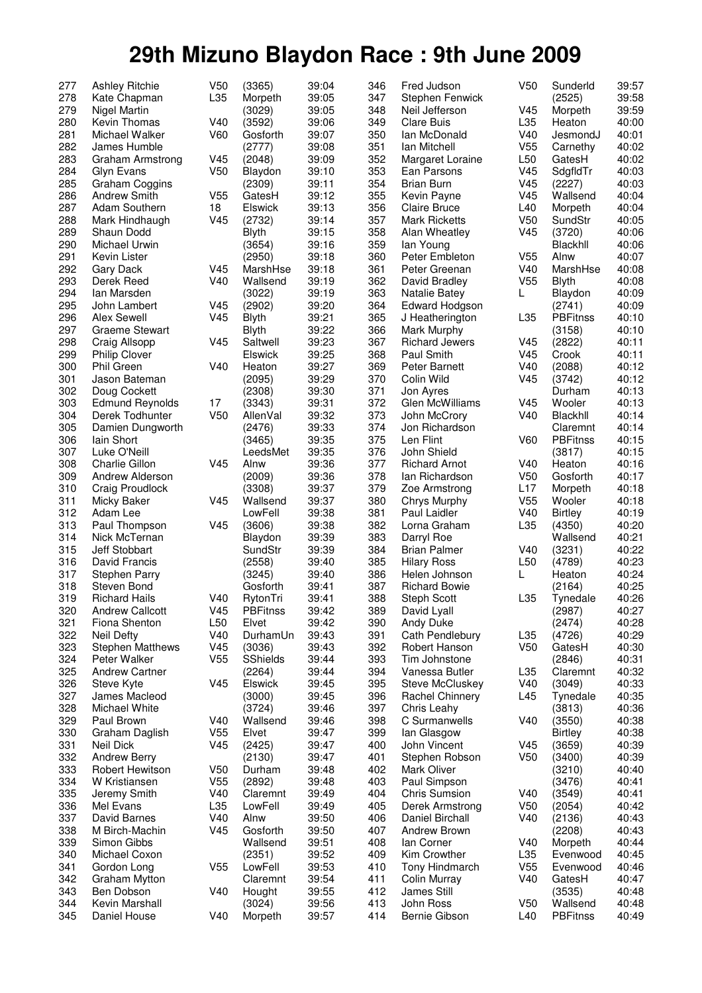| 277 | <b>Ashley Ritchie</b>   | V <sub>50</sub> | (3365)          | 39:04 | 346 | Fred Judson            | V50             | Sunderld        | 39:57 |
|-----|-------------------------|-----------------|-----------------|-------|-----|------------------------|-----------------|-----------------|-------|
| 278 | Kate Chapman            | L35             | Morpeth         | 39:05 | 347 | <b>Stephen Fenwick</b> |                 | (2525)          | 39:58 |
|     |                         |                 |                 |       |     |                        |                 |                 |       |
| 279 | Nigel Martin            |                 | (3029)          | 39:05 | 348 | Neil Jefferson         | V <sub>45</sub> | Morpeth         | 39:59 |
| 280 | Kevin Thomas            | V40             | (3592)          | 39:06 | 349 | <b>Clare Buis</b>      | L35             | Heaton          | 40:00 |
| 281 | Michael Walker          | V60             | Gosforth        | 39:07 | 350 | Ian McDonald           | V40             | JesmondJ        | 40:01 |
|     |                         |                 |                 |       |     |                        |                 |                 |       |
| 282 | James Humble            |                 | (2777)          | 39:08 | 351 | Ian Mitchell           | V <sub>55</sub> | Carnethy        | 40:02 |
| 283 | Graham Armstrong        | V <sub>45</sub> | (2048)          | 39:09 | 352 | Margaret Loraine       | L50             | GatesH          | 40:02 |
| 284 |                         | V50             |                 |       | 353 | Ean Parsons            | V45             |                 |       |
|     | Glyn Evans              |                 | Blaydon         | 39:10 |     |                        |                 | SdgfldTr        | 40:03 |
| 285 | Graham Coggins          |                 | (2309)          | 39:11 | 354 | <b>Brian Burn</b>      | V <sub>45</sub> | (2227)          | 40:03 |
| 286 | <b>Andrew Smith</b>     | V <sub>55</sub> | GatesH          | 39:12 | 355 | Kevin Payne            | V <sub>45</sub> | Wallsend        | 40:04 |
|     |                         |                 |                 |       |     |                        |                 |                 |       |
| 287 | Adam Southern           | 18              | <b>Elswick</b>  | 39:13 | 356 | Claire Bruce           | L40             | Morpeth         | 40:04 |
| 288 | Mark Hindhaugh          | V <sub>45</sub> | (2732)          | 39:14 | 357 | <b>Mark Ricketts</b>   | V <sub>50</sub> | SundStr         | 40:05 |
| 289 | Shaun Dodd              |                 | <b>Blyth</b>    | 39:15 | 358 | Alan Wheatley          | V <sub>45</sub> | (3720)          | 40:06 |
|     |                         |                 |                 |       |     |                        |                 |                 |       |
| 290 | Michael Urwin           |                 | (3654)          | 39:16 | 359 | lan Young              |                 | Blackhll        | 40:06 |
| 291 | Kevin Lister            |                 | (2950)          | 39:18 | 360 | Peter Embleton         | V <sub>55</sub> | Alnw            | 40:07 |
| 292 | Gary Dack               | V <sub>45</sub> | MarshHse        | 39:18 | 361 | Peter Greenan          | V40             | MarshHse        | 40:08 |
|     |                         |                 |                 |       |     |                        |                 |                 |       |
| 293 | Derek Reed              | V40             | Wallsend        | 39:19 | 362 | David Bradley          | V <sub>55</sub> | <b>Blyth</b>    | 40:08 |
| 294 | lan Marsden             |                 | (3022)          | 39:19 | 363 | Natalie Batey          | L               | Blaydon         | 40:09 |
| 295 | John Lambert            | V <sub>45</sub> | (2902)          | 39:20 | 364 | Edward Hodgson         |                 | (2741)          | 40:09 |
|     |                         |                 |                 |       |     |                        |                 |                 |       |
| 296 | Alex Sewell             | V <sub>45</sub> | <b>Blyth</b>    | 39:21 | 365 | J Heatherington        | L35             | <b>PBFitnss</b> | 40:10 |
| 297 | <b>Graeme Stewart</b>   |                 | Blyth           | 39:22 | 366 | Mark Murphy            |                 | (3158)          | 40:10 |
| 298 | Craig Allsopp           | V45             | Saltwell        | 39:23 | 367 | <b>Richard Jewers</b>  | V45             | (2822)          | 40:11 |
|     |                         |                 |                 |       |     |                        |                 |                 |       |
| 299 | <b>Philip Clover</b>    |                 | <b>Elswick</b>  | 39:25 | 368 | Paul Smith             | V45             | Crook           | 40:11 |
| 300 | Phil Green              | V40             | Heaton          | 39:27 | 369 | Peter Barnett          | V40             | (2088)          | 40:12 |
| 301 | Jason Bateman           |                 |                 | 39:29 | 370 | Colin Wild             | V <sub>45</sub> |                 | 40:12 |
|     |                         |                 | (2095)          |       |     |                        |                 | (3742)          |       |
| 302 | Doug Cockett            |                 | (2308)          | 39:30 | 371 | Jon Ayres              |                 | Durham          | 40:13 |
| 303 | <b>Edmund Reynolds</b>  | 17              | (3343)          | 39:31 | 372 | <b>Glen McWilliams</b> | V45             | Wooler          | 40:13 |
| 304 | Derek Todhunter         | V50             |                 | 39:32 | 373 |                        | V40             |                 | 40:14 |
|     |                         |                 | AllenVal        |       |     | John McCrory           |                 | Blackhll        |       |
| 305 | Damien Dungworth        |                 | (2476)          | 39:33 | 374 | Jon Richardson         |                 | Claremnt        | 40:14 |
| 306 | lain Short              |                 | (3465)          | 39:35 | 375 | Len Flint              | V60             | <b>PBFitnss</b> | 40:15 |
| 307 | Luke O'Neill            |                 |                 |       | 376 | John Shield            |                 |                 | 40:15 |
|     |                         |                 | LeedsMet        | 39:35 |     |                        |                 | (3817)          |       |
| 308 | <b>Charlie Gillon</b>   | V <sub>45</sub> | Alnw            | 39:36 | 377 | <b>Richard Arnot</b>   | V40             | Heaton          | 40:16 |
| 309 | Andrew Alderson         |                 | (2009)          | 39:36 | 378 | lan Richardson         | V50             | Gosforth        | 40:17 |
|     |                         |                 |                 |       |     |                        |                 |                 |       |
| 310 | Craig Proudlock         |                 | (3308)          | 39:37 | 379 | Zoe Armstrong          | L <sub>17</sub> | Morpeth         | 40:18 |
| 311 | Micky Baker             | V45             | Wallsend        | 39:37 | 380 | Chrys Murphy           | V <sub>55</sub> | Wooler          | 40:18 |
| 312 | Adam Lee                |                 | LowFell         | 39:38 | 381 | Paul Laidler           | V40             | <b>Birtley</b>  | 40:19 |
| 313 |                         | V45             |                 |       | 382 |                        | L <sub>35</sub> |                 | 40:20 |
|     | Paul Thompson           |                 | (3606)          | 39:38 |     | Lorna Graham           |                 | (4350)          |       |
| 314 | Nick McTernan           |                 | Blaydon         | 39:39 | 383 | Darryl Roe             |                 | Wallsend        | 40:21 |
| 315 | Jeff Stobbart           |                 | SundStr         | 39:39 | 384 | <b>Brian Palmer</b>    | V40             | (3231)          | 40:22 |
| 316 | David Francis           |                 | (2558)          | 39:40 | 385 | <b>Hilary Ross</b>     | L <sub>50</sub> | (4789)          | 40:23 |
|     |                         |                 |                 |       |     |                        |                 |                 |       |
| 317 | <b>Stephen Parry</b>    |                 | (3245)          | 39:40 | 386 | Helen Johnson          | L               | Heaton          | 40:24 |
| 318 | Steven Bond             |                 | Gosforth        | 39:41 | 387 | <b>Richard Bowie</b>   |                 | (2164)          | 40:25 |
| 319 | <b>Richard Hails</b>    | V40             | RytonTri        | 39:41 | 388 | Steph Scott            | L <sub>35</sub> | Tynedale        | 40:26 |
| 320 | <b>Andrew Callcott</b>  | V <sub>45</sub> | <b>PBFitnss</b> | 39:42 | 389 | David Lyall            |                 | (2987)          | 40:27 |
|     |                         |                 |                 |       |     |                        |                 |                 |       |
| 321 | Fiona Shenton           | L <sub>50</sub> | Elvet           | 39:42 | 390 | Andy Duke              |                 | (2474)          | 40:28 |
| 322 | Neil Defty              | V40             | DurhamUn        | 39:43 | 391 | Cath Pendlebury        | L35             | (4726)          | 40:29 |
| 323 | <b>Stephen Matthews</b> | V45             |                 |       | 392 | Robert Hanson          | V <sub>50</sub> |                 | 40:30 |
|     |                         |                 | (3036)          | 39:43 |     |                        |                 | GatesH          |       |
| 324 | Peter Walker            | V <sub>55</sub> | SShields        | 39:44 | 393 | Tim Johnstone          |                 | (2846)          | 40:31 |
| 325 | <b>Andrew Cartner</b>   |                 | (2264)          | 39:44 | 394 | Vanessa Butler         | L35             | Claremnt        | 40:32 |
| 326 | Steve Kyte              | V45             | Elswick         | 39:45 | 395 | <b>Steve McCluskey</b> | V40             | (3049)          | 40:33 |
|     |                         |                 |                 |       |     |                        |                 |                 |       |
| 327 | James Macleod           |                 | (3000)          | 39:45 | 396 | <b>Rachel Chinnery</b> | L45             | Tynedale        | 40:35 |
| 328 | Michael White           |                 | (3724)          | 39:46 | 397 | Chris Leahy            |                 | (3813)          | 40:36 |
| 329 | Paul Brown              | V40             | Wallsend        | 39:46 | 398 | C Surmanwells          | V40             | (3550)          | 40:38 |
|     |                         |                 |                 |       |     |                        |                 |                 |       |
| 330 | Graham Daglish          | V <sub>55</sub> | Elvet           | 39:47 | 399 | lan Glasgow            |                 | <b>Birtley</b>  | 40:38 |
| 331 | Neil Dick               | V45             | (2425)          | 39:47 | 400 | John Vincent           | V45             | (3659)          | 40:39 |
| 332 | <b>Andrew Berry</b>     |                 | (2130)          | 39:47 | 401 | Stephen Robson         | V <sub>50</sub> | (3400)          | 40:39 |
|     |                         |                 |                 |       |     |                        |                 |                 |       |
| 333 | Robert Hewitson         | V <sub>50</sub> | Durham          | 39:48 | 402 | Mark Oliver            |                 | (3210)          | 40:40 |
| 334 | W Kristiansen           | V <sub>55</sub> | (2892)          | 39:48 | 403 | Paul Simpson           |                 | (3476)          | 40:41 |
| 335 | Jeremy Smith            | V40             | Claremnt        | 39:49 | 404 | <b>Chris Sumsion</b>   | V40             | (3549)          | 40:41 |
|     |                         |                 |                 |       |     |                        |                 |                 |       |
| 336 | Mel Evans               | L35             | LowFell         | 39:49 | 405 | Derek Armstrong        | V <sub>50</sub> | (2054)          | 40:42 |
| 337 | David Barnes            | V40             | Alnw            | 39:50 | 406 | Daniel Birchall        | V40             | (2136)          | 40:43 |
| 338 | M Birch-Machin          | V45             | Gosforth        | 39:50 | 407 | Andrew Brown           |                 | (2208)          | 40:43 |
| 339 | Simon Gibbs             |                 | Wallsend        | 39:51 | 408 | lan Corner             | V40             | Morpeth         | 40:44 |
|     |                         |                 |                 |       |     |                        |                 |                 |       |
| 340 | Michael Coxon           |                 | (2351)          | 39:52 | 409 | Kim Crowther           | L35             | Evenwood        | 40:45 |
| 341 | Gordon Long             | V <sub>55</sub> | LowFell         | 39:53 | 410 | Tony Hindmarch         | V <sub>55</sub> | Evenwood        | 40:46 |
| 342 | Graham Mytton           |                 | Claremnt        | 39:54 | 411 | Colin Murray           | V40             | GatesH          | 40:47 |
|     |                         |                 |                 |       |     |                        |                 |                 |       |
| 343 | Ben Dobson              | V40             | Hought          | 39:55 | 412 | James Still            |                 | (3535)          | 40:48 |
| 344 | Kevin Marshall          |                 | (3024)          | 39:56 | 413 | John Ross              | V <sub>50</sub> | Wallsend        | 40:48 |
| 345 | Daniel House            | V40             | Morpeth         | 39:57 | 414 | Bernie Gibson          | L40             | <b>PBFitnss</b> | 40:49 |
|     |                         |                 |                 |       |     |                        |                 |                 |       |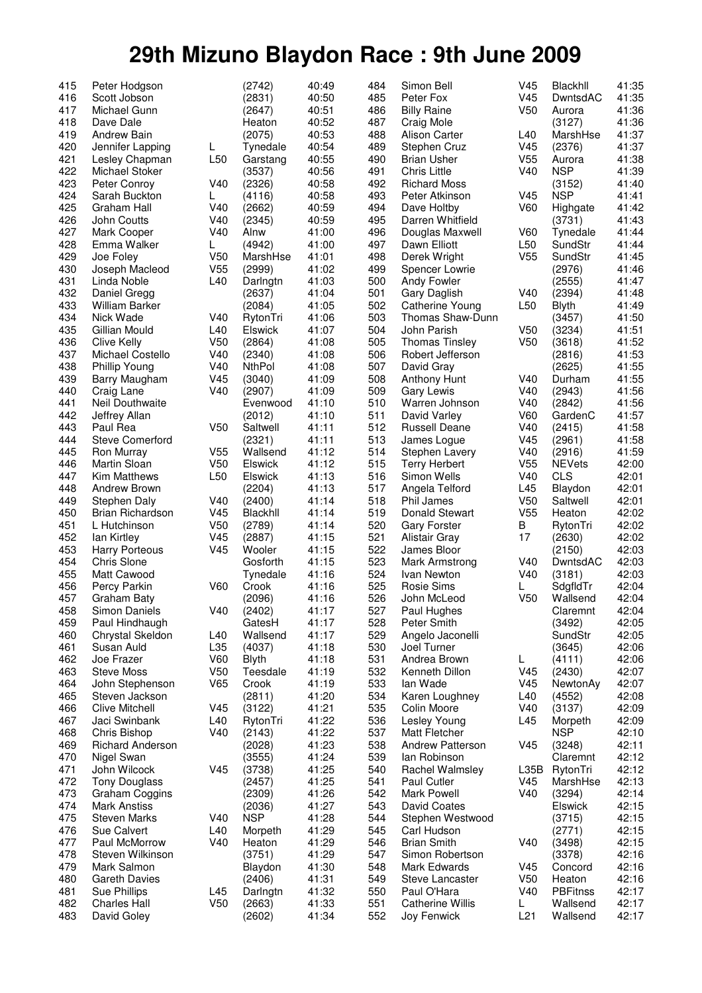| 415 | Peter Hodgson           |                 | (2742)         | 40:49 | 484 | Simon Bell              | V45             | Blackhll        | 41:35 |
|-----|-------------------------|-----------------|----------------|-------|-----|-------------------------|-----------------|-----------------|-------|
| 416 | Scott Jobson            |                 | (2831)         | 40:50 | 485 | Peter Fox               | V <sub>45</sub> | DwntsdAC        | 41:35 |
| 417 | Michael Gunn            |                 | (2647)         | 40:51 | 486 | <b>Billy Raine</b>      | V <sub>50</sub> | Aurora          | 41:36 |
| 418 | Dave Dale               |                 | Heaton         | 40:52 | 487 | Craig Mole              |                 | (3127)          | 41:36 |
| 419 | <b>Andrew Bain</b>      |                 | (2075)         | 40:53 | 488 | <b>Alison Carter</b>    | L40             | MarshHse        | 41:37 |
|     |                         |                 |                |       |     |                         |                 |                 |       |
| 420 | Jennifer Lapping        | L               | Tynedale       | 40:54 | 489 | Stephen Cruz            | V <sub>45</sub> | (2376)          | 41:37 |
| 421 | Lesley Chapman          | L <sub>50</sub> | Garstang       | 40:55 | 490 | <b>Brian Usher</b>      | V <sub>55</sub> | Aurora          | 41:38 |
| 422 | Michael Stoker          |                 | (3537)         | 40:56 | 491 | <b>Chris Little</b>     | V40             | <b>NSP</b>      | 41:39 |
| 423 | Peter Conroy            | V40             | (2326)         | 40:58 | 492 | <b>Richard Moss</b>     |                 | (3152)          | 41:40 |
| 424 | Sarah Buckton           | L               | (4116)         | 40:58 | 493 | Peter Atkinson          | V45             | <b>NSP</b>      | 41:41 |
|     |                         |                 |                |       |     |                         |                 |                 |       |
| 425 | Graham Hall             | V40             | (2662)         | 40:59 | 494 | Dave Holtby             | V60             | Highgate        | 41:42 |
| 426 | <b>John Coutts</b>      | V40             | (2345)         | 40:59 | 495 | Darren Whitfield        |                 | (3731)          | 41:43 |
| 427 | Mark Cooper             | V40             | Alnw           | 41:00 | 496 | Douglas Maxwell         | V60             | Tynedale        | 41:44 |
| 428 | Emma Walker             | L               | (4942)         | 41:00 | 497 | Dawn Elliott            | L <sub>50</sub> | <b>SundStr</b>  | 41:44 |
| 429 | Joe Foley               | V <sub>50</sub> | MarshHse       | 41:01 | 498 | Derek Wright            | V <sub>55</sub> | <b>SundStr</b>  | 41:45 |
|     |                         |                 |                |       |     |                         |                 |                 |       |
| 430 | Joseph Macleod          | V <sub>55</sub> | (2999)         | 41:02 | 499 | Spencer Lowrie          |                 | (2976)          | 41:46 |
| 431 | Linda Noble             | L40             | Darlngtn       | 41:03 | 500 | Andy Fowler             |                 | (2555)          | 41:47 |
| 432 | Daniel Gregg            |                 | (2637)         | 41:04 | 501 | Gary Daglish            | V40             | (2394)          | 41:48 |
| 433 | <b>William Barker</b>   |                 | (2084)         | 41:05 | 502 | Catherine Young         | L <sub>50</sub> | <b>Blyth</b>    | 41:49 |
| 434 | Nick Wade               | V40             |                |       | 503 | Thomas Shaw-Dunn        |                 |                 | 41:50 |
|     |                         |                 | RytonTri       | 41:06 |     |                         |                 | (3457)          |       |
| 435 | Gillian Mould           | L40             | <b>Elswick</b> | 41:07 | 504 | John Parish             | V <sub>50</sub> | (3234)          | 41:51 |
| 436 | Clive Kelly             | V <sub>50</sub> | (2864)         | 41:08 | 505 | <b>Thomas Tinsley</b>   | V <sub>50</sub> | (3618)          | 41:52 |
| 437 | Michael Costello        | V40             | (2340)         | 41:08 | 506 | Robert Jefferson        |                 | (2816)          | 41:53 |
| 438 | Phillip Young           | V40             | <b>NthPol</b>  | 41:08 | 507 | David Gray              |                 | (2625)          | 41:55 |
| 439 |                         | V <sub>45</sub> |                | 41:09 | 508 | Anthony Hunt            | V40             |                 | 41:55 |
|     | Barry Maugham           |                 | (3040)         |       |     |                         |                 | Durham          |       |
| 440 | Craig Lane              | V40             | (2907)         | 41:09 | 509 | <b>Gary Lewis</b>       | V40             | (2943)          | 41:56 |
| 441 | <b>Neil Douthwaite</b>  |                 | Evenwood       | 41:10 | 510 | Warren Johnson          | V40             | (2842)          | 41:56 |
| 442 | Jeffrey Allan           |                 | (2012)         | 41:10 | 511 | David Varley            | V60             | GardenC         | 41:57 |
| 443 | Paul Rea                | V <sub>50</sub> | Saltwell       | 41:11 | 512 | <b>Russell Deane</b>    | V40             | (2415)          | 41:58 |
| 444 | <b>Steve Comerford</b>  |                 | (2321)         | 41:11 | 513 |                         | V45             | (2961)          | 41:58 |
|     |                         |                 |                |       |     | James Logue             |                 |                 |       |
| 445 | Ron Murray              | V <sub>55</sub> | Wallsend       | 41:12 | 514 | Stephen Lavery          | V40             | (2916)          | 41:59 |
| 446 | Martin Sloan            | V <sub>50</sub> | Elswick        | 41:12 | 515 | <b>Terry Herbert</b>    | V <sub>55</sub> | <b>NEVets</b>   | 42:00 |
| 447 | Kim Matthews            | L <sub>50</sub> | <b>Elswick</b> | 41:13 | 516 | Simon Wells             | V40             | <b>CLS</b>      | 42:01 |
| 448 | Andrew Brown            |                 | (2204)         | 41:13 | 517 | Angela Telford          | L <sub>45</sub> | Blaydon         | 42:01 |
| 449 | Stephen Daly            | V40             | (2400)         | 41:14 | 518 | <b>Phil James</b>       | V <sub>50</sub> | Saltwell        | 42:01 |
|     |                         |                 |                |       |     |                         |                 |                 |       |
| 450 | Brian Richardson        | V <sub>45</sub> | Blackhll       | 41:14 | 519 | Donald Stewart          | V <sub>55</sub> | Heaton          | 42:02 |
| 451 | L Hutchinson            | V50             | (2789)         | 41:14 | 520 | <b>Gary Forster</b>     | В               | RytonTri        | 42:02 |
| 452 | lan Kirtley             | V <sub>45</sub> | (2887)         | 41:15 | 521 | Alistair Gray           | 17              | (2630)          | 42:02 |
| 453 | Harry Porteous          | V <sub>45</sub> | Wooler         | 41:15 | 522 | James Bloor             |                 | (2150)          | 42:03 |
| 454 | Chris Slone             |                 | Gosforth       | 41:15 | 523 | Mark Armstrong          | V40             | DwntsdAC        | 42:03 |
|     |                         |                 |                |       |     |                         |                 |                 |       |
| 455 | Matt Cawood             |                 | Tynedale       | 41:16 | 524 | Ivan Newton             | V40             | (3181)          | 42:03 |
| 456 | Percy Parkin            | V60             | Crook          | 41:16 | 525 | Rosie Sims              | L               | SdgfldTr        | 42:04 |
| 457 | Graham Baty             |                 | (2096)         | 41:16 | 526 | John McLeod             | V <sub>50</sub> | Wallsend        | 42:04 |
| 458 | <b>Simon Daniels</b>    | V40             | (2402)         | 41:17 | 527 | Paul Hughes             |                 | Claremnt        | 42:04 |
| 459 | Paul Hindhaugh          |                 | GatesH         | 41:17 | 528 | Peter Smith             |                 | (3492)          | 42:05 |
|     |                         |                 | Wallsend       | 41:17 | 529 |                         |                 |                 | 42:05 |
| 460 | Chrystal Skeldon        | L40             |                |       |     | Angelo Jaconelli        |                 | SundStr         |       |
| 461 | Susan Auld              | L35             | (4037)         | 41:18 | 530 | Joel Turner             |                 | (3645)          | 42:06 |
| 462 | Joe Frazer              | V60             | <b>Blyth</b>   | 41:18 | 531 | Andrea Brown            | L.              | (4111)          | 42:06 |
| 463 | <b>Steve Moss</b>       | V <sub>50</sub> | Teesdale       | 41:19 | 532 | Kenneth Dillon          | V45             | (2430)          | 42:07 |
| 464 | John Stephenson         | V65             | Crook          | 41:19 | 533 | lan Wade                | V45             | NewtonAy        | 42:07 |
| 465 | Steven Jackson          |                 | (2811)         | 41:20 | 534 | Karen Loughney          | L40             | (4552)          | 42:08 |
|     |                         |                 |                |       |     |                         |                 |                 |       |
| 466 | <b>Clive Mitchell</b>   | V45             | (3122)         | 41:21 | 535 | Colin Moore             | V40             | (3137)          | 42:09 |
| 467 | Jaci Swinbank           | L40             | RytonTri       | 41:22 | 536 | Lesley Young            | L45             | Morpeth         | 42:09 |
| 468 | Chris Bishop            | V40             | (2143)         | 41:22 | 537 | Matt Fletcher           |                 | <b>NSP</b>      | 42:10 |
| 469 | <b>Richard Anderson</b> |                 | (2028)         | 41:23 | 538 | <b>Andrew Patterson</b> | V <sub>45</sub> | (3248)          | 42:11 |
| 470 | Nigel Swan              |                 | (3555)         | 41:24 | 539 | lan Robinson            |                 | Claremnt        | 42:12 |
|     |                         |                 |                |       |     |                         |                 |                 |       |
| 471 | John Wilcock            | V45             | (3738)         | 41:25 | 540 | Rachel Walmsley         | L35B            | RytonTri        | 42:12 |
| 472 | <b>Tony Douglass</b>    |                 | (2457)         | 41:25 | 541 | Paul Cutler             | V <sub>45</sub> | MarshHse        | 42:13 |
| 473 | Graham Coggins          |                 | (2309)         | 41:26 | 542 | Mark Powell             | V40             | (3294)          | 42:14 |
| 474 | Mark Anstiss            |                 | (2036)         | 41:27 | 543 | David Coates            |                 | Elswick         | 42:15 |
| 475 | <b>Steven Marks</b>     | V40             | <b>NSP</b>     | 41:28 | 544 | Stephen Westwood        |                 | (3715)          | 42:15 |
|     |                         |                 |                |       |     |                         |                 |                 |       |
| 476 | Sue Calvert             | L40             | Morpeth        | 41:29 | 545 | Carl Hudson             |                 | (2771)          | 42:15 |
| 477 | Paul McMorrow           | V40             | Heaton         | 41:29 | 546 | <b>Brian Smith</b>      | V40             | (3498)          | 42:15 |
| 478 | Steven Wilkinson        |                 | (3751)         | 41:29 | 547 | Simon Robertson         |                 | (3378)          | 42:16 |
| 479 | Mark Salmon             |                 | Blaydon        | 41:30 | 548 | <b>Mark Edwards</b>     | V45             | Concord         | 42:16 |
|     |                         |                 |                |       |     |                         |                 |                 |       |
| 480 | <b>Gareth Davies</b>    |                 | (2406)         | 41:31 | 549 | Steve Lancaster         | V50             | Heaton          | 42:16 |
| 481 | Sue Phillips            | L45             | Darlngtn       | 41:32 | 550 | Paul O'Hara             | V40             | <b>PBFitnss</b> | 42:17 |
| 482 | <b>Charles Hall</b>     | V <sub>50</sub> | (2663)         | 41:33 | 551 | <b>Catherine Willis</b> | L               | Wallsend        | 42:17 |
| 483 | David Goley             |                 | (2602)         | 41:34 | 552 | Joy Fenwick             | L21             | Wallsend        | 42:17 |
|     |                         |                 |                |       |     |                         |                 |                 |       |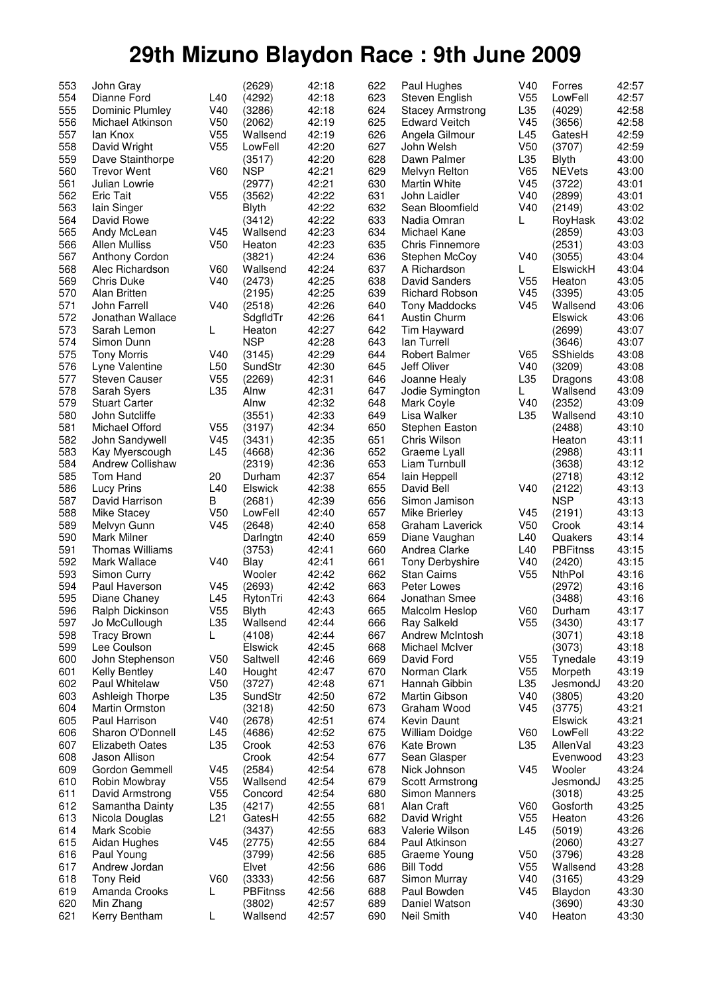| 553 | John Gray              |                 | (2629)          | 42:18 | 622 | Paul Hughes             | V40             | Forres          | 42:57 |
|-----|------------------------|-----------------|-----------------|-------|-----|-------------------------|-----------------|-----------------|-------|
|     |                        |                 |                 |       |     |                         |                 |                 |       |
| 554 | Dianne Ford            | L40             | (4292)          | 42:18 | 623 | Steven English          | V <sub>55</sub> | LowFell         | 42:57 |
| 555 | Dominic Plumley        | V40             | (3286)          | 42:18 | 624 | <b>Stacey Armstrong</b> | L <sub>35</sub> | (4029)          | 42:58 |
|     |                        |                 |                 |       |     |                         |                 |                 |       |
| 556 | Michael Atkinson       | V <sub>50</sub> | (2062)          | 42:19 | 625 | <b>Edward Veitch</b>    | V45             | (3656)          | 42:58 |
| 557 | lan Knox               | V <sub>55</sub> | Wallsend        | 42:19 | 626 | Angela Gilmour          | L45             | GatesH          | 42:59 |
|     |                        |                 |                 |       |     |                         |                 |                 |       |
| 558 | David Wright           | V <sub>55</sub> | LowFell         | 42:20 | 627 | John Welsh              | V <sub>50</sub> | (3707)          | 42:59 |
| 559 | Dave Stainthorpe       |                 | (3517)          | 42:20 | 628 | Dawn Palmer             | L <sub>35</sub> | <b>Blyth</b>    | 43:00 |
|     |                        |                 |                 |       |     |                         |                 |                 |       |
| 560 | <b>Trevor Went</b>     | V60             | <b>NSP</b>      | 42:21 | 629 | Melvyn Relton           | V65             | <b>NEVets</b>   | 43:00 |
| 561 | Julian Lowrie          |                 | (2977)          | 42:21 | 630 | <b>Martin White</b>     | V <sub>45</sub> | (3722)          | 43:01 |
|     |                        |                 |                 |       |     |                         |                 |                 |       |
| 562 | <b>Eric Tait</b>       | V <sub>55</sub> | (3562)          | 42:22 | 631 | John Laidler            | V40             | (2899)          | 43:01 |
| 563 | lain Singer            |                 | <b>Blyth</b>    | 42:22 | 632 | Sean Bloomfield         | V40             | (2149)          | 43:02 |
|     |                        |                 |                 |       |     |                         |                 |                 |       |
| 564 | David Rowe             |                 | (3412)          | 42:22 | 633 | Nadia Omran             | L               | RoyHask         | 43:02 |
| 565 | Andy McLean            | V45             | Wallsend        | 42:23 | 634 |                         |                 |                 | 43:03 |
|     |                        |                 |                 |       |     | Michael Kane            |                 | (2859)          |       |
| 566 | <b>Allen Mulliss</b>   | V <sub>50</sub> | Heaton          | 42:23 | 635 | <b>Chris Finnemore</b>  |                 | (2531)          | 43:03 |
|     |                        |                 |                 |       |     |                         |                 |                 |       |
| 567 | Anthony Cordon         |                 | (3821)          | 42:24 | 636 | Stephen McCoy           | V40             | (3055)          | 43:04 |
| 568 | Alec Richardson        | V60             | Wallsend        | 42:24 | 637 | A Richardson            | L               | ElswickH        | 43:04 |
|     |                        |                 |                 |       |     |                         |                 |                 |       |
| 569 | <b>Chris Duke</b>      | V40             | (2473)          | 42:25 | 638 | David Sanders           | V <sub>55</sub> | Heaton          | 43:05 |
| 570 | Alan Britten           |                 | (2195)          | 42:25 | 639 | <b>Richard Robson</b>   | V <sub>45</sub> | (3395)          | 43:05 |
|     |                        |                 |                 |       |     |                         |                 |                 |       |
| 571 | John Farrell           | V40             | (2518)          | 42:26 | 640 | <b>Tony Maddocks</b>    | V <sub>45</sub> | Wallsend        | 43:06 |
| 572 | Jonathan Wallace       |                 | SdgfldTr        | 42:26 | 641 | <b>Austin Churm</b>     |                 | <b>Elswick</b>  | 43:06 |
|     |                        |                 |                 |       |     |                         |                 |                 |       |
| 573 | Sarah Lemon            | L               | Heaton          | 42:27 | 642 | Tim Hayward             |                 | (2699)          | 43:07 |
| 574 | Simon Dunn             |                 | <b>NSP</b>      | 42:28 | 643 | lan Turrell             |                 | (3646)          | 43:07 |
|     |                        |                 |                 |       |     |                         |                 |                 |       |
| 575 | <b>Tony Morris</b>     | V40             | (3145)          | 42:29 | 644 | <b>Robert Balmer</b>    | V65             | SShields        | 43:08 |
| 576 | Lyne Valentine         | L <sub>50</sub> | <b>SundStr</b>  | 42:30 | 645 | Jeff Oliver             | V40             | (3209)          | 43:08 |
|     |                        |                 |                 |       |     |                         |                 |                 |       |
| 577 | <b>Steven Causer</b>   | V <sub>55</sub> | (2269)          | 42:31 | 646 | Joanne Healy            | L <sub>35</sub> | Dragons         | 43:08 |
| 578 | Sarah Syers            | L <sub>35</sub> | Alnw            | 42:31 | 647 |                         | L.              | Wallsend        | 43:09 |
|     |                        |                 |                 |       |     | Jodie Symington         |                 |                 |       |
| 579 | <b>Stuart Carter</b>   |                 | Alnw            | 42:32 | 648 | Mark Coyle              | V40             | (2352)          | 43:09 |
|     |                        |                 |                 |       |     |                         |                 |                 |       |
| 580 | John Sutcliffe         |                 | (3551)          | 42:33 | 649 | Lisa Walker             | L <sub>35</sub> | Wallsend        | 43:10 |
| 581 | Michael Offord         | V <sub>55</sub> | (3197)          | 42:34 | 650 | Stephen Easton          |                 | (2488)          | 43:10 |
|     |                        |                 |                 |       |     |                         |                 |                 |       |
| 582 | John Sandywell         | V45             | (3431)          | 42:35 | 651 | Chris Wilson            |                 | Heaton          | 43:11 |
| 583 | Kay Myerscough         | L45             | (4668)          | 42:36 | 652 | Graeme Lyall            |                 | (2988)          | 43:11 |
|     |                        |                 |                 |       |     |                         |                 |                 |       |
| 584 | Andrew Collishaw       |                 | (2319)          | 42:36 | 653 | Liam Turnbull           |                 | (3638)          | 43:12 |
| 585 | Tom Hand               | 20              | Durham          | 42:37 | 654 | Iain Heppell            |                 | (2718)          | 43:12 |
|     |                        |                 |                 |       |     |                         |                 |                 |       |
| 586 | Lucy Prins             | L40             | <b>Elswick</b>  | 42:38 | 655 | David Bell              | V40             | (2122)          | 43:13 |
| 587 | David Harrison         | В               | (2681)          | 42:39 | 656 | Simon Jamison           |                 | <b>NSP</b>      | 43:13 |
|     |                        |                 |                 |       |     |                         |                 |                 |       |
| 588 | Mike Stacey            | V50             | LowFell         | 42:40 | 657 | Mike Brierley           | V <sub>45</sub> | (2191)          | 43:13 |
|     |                        |                 |                 |       |     |                         |                 |                 |       |
| 589 | Melvyn Gunn            | V45             | (2648)          | 42:40 | 658 | <b>Graham Laverick</b>  | V50             | Crook           | 43:14 |
| 590 | Mark Milner            |                 | Darlngtn        | 42:40 | 659 | Diane Vaughan           | L40             | Quakers         | 43:14 |
|     |                        |                 |                 |       |     |                         |                 |                 |       |
| 591 | <b>Thomas Williams</b> |                 | (3753)          | 42:41 | 660 | Andrea Clarke           | L <sub>40</sub> | <b>PBFitnss</b> | 43:15 |
| 592 | Mark Wallace           | V40             | <b>Blay</b>     | 42:41 | 661 | Tony Derbyshire         | V40             | (2420)          | 43:15 |
|     |                        |                 |                 |       |     |                         |                 |                 |       |
| 593 | Simon Curry            |                 | Wooler          | 42:42 | 662 | <b>Stan Cairns</b>      | V <sub>55</sub> | <b>NthPol</b>   | 43:16 |
| 594 | Paul Haverson          | V45             | (2693)          | 42:42 | 663 | Peter Lowes             |                 | (2972)          | 43:16 |
|     |                        |                 |                 |       |     |                         |                 |                 |       |
| 595 | Diane Chaney           | L45             | RytonTri        | 42:43 | 664 | Jonathan Smee           |                 | (3488)          | 43:16 |
| 596 | Ralph Dickinson        | V55             | <b>Blyth</b>    | 42:43 | 665 | Malcolm Heslop          | <b>V60</b>      | Durham          | 43:17 |
|     |                        |                 |                 |       |     |                         |                 |                 |       |
| 597 | Jo McCullough          | L35             | Wallsend        | 42:44 | 666 | Ray Salkeld             | V <sub>55</sub> | (3430)          | 43:17 |
| 598 | <b>Tracy Brown</b>     | L               | (4108)          | 42:44 | 667 | Andrew McIntosh         |                 | (3071)          | 43:18 |
|     |                        |                 |                 |       |     |                         |                 |                 |       |
| 599 | Lee Coulson            |                 | <b>Elswick</b>  | 42:45 | 668 | Michael McIver          |                 | (3073)          | 43:18 |
| 600 | John Stephenson        | V <sub>50</sub> | Saltwell        | 42:46 | 669 | David Ford              | V <sub>55</sub> | Tynedale        | 43:19 |
|     |                        |                 |                 |       |     |                         |                 |                 |       |
| 601 | Kelly Bentley          | L40             | Hought          | 42:47 | 670 | Norman Clark            | V <sub>55</sub> | Morpeth         | 43:19 |
| 602 | Paul Whitelaw          | V50             | (3727)          | 42:48 | 671 | Hannah Gibbin           | L <sub>35</sub> | JesmondJ        | 43:20 |
|     |                        |                 |                 |       |     |                         |                 |                 |       |
| 603 | Ashleigh Thorpe        | L35             | SundStr         | 42:50 | 672 | Martin Gibson           | V40             | (3805)          | 43:20 |
| 604 | Martin Ormston         |                 | (3218)          | 42:50 | 673 | Graham Wood             | V45             | (3775)          | 43:21 |
|     |                        |                 |                 |       |     |                         |                 |                 |       |
| 605 | Paul Harrison          | V40             | (2678)          | 42:51 | 674 | Kevin Daunt             |                 | Elswick         | 43:21 |
| 606 | Sharon O'Donnell       | L45             | (4686)          | 42:52 | 675 | William Doidge          | <b>V60</b>      | LowFell         | 43:22 |
|     |                        |                 |                 |       |     |                         |                 |                 |       |
| 607 | <b>Elizabeth Oates</b> | L35             | Crook           | 42:53 | 676 | Kate Brown              | L35             | AllenVal        | 43:23 |
| 608 | Jason Allison          |                 | Crook           | 42:54 | 677 | Sean Glasper            |                 | Evenwood        | 43:23 |
|     |                        |                 |                 |       |     |                         |                 |                 |       |
| 609 | Gordon Gemmell         | V45             | (2584)          | 42:54 | 678 | Nick Johnson            | V45             | Wooler          | 43:24 |
| 610 | Robin Mowbray          | V <sub>55</sub> | Wallsend        | 42:54 | 679 | Scott Armstrong         |                 | JesmondJ        | 43:25 |
|     |                        |                 |                 |       |     |                         |                 |                 |       |
| 611 | David Armstrong        | V <sub>55</sub> | Concord         | 42:54 | 680 | <b>Simon Manners</b>    |                 | (3018)          | 43:25 |
| 612 | Samantha Dainty        | L35             | (4217)          | 42:55 | 681 | Alan Craft              | <b>V60</b>      | Gosforth        | 43:25 |
|     |                        |                 |                 |       |     |                         |                 |                 |       |
| 613 | Nicola Douglas         | L21             | GatesH          | 42:55 | 682 | David Wright            | V <sub>55</sub> | Heaton          | 43:26 |
|     | Mark Scobie            |                 | (3437)          | 42:55 |     |                         |                 | (5019)          | 43:26 |
| 614 |                        |                 |                 |       | 683 | Valerie Wilson          | L45             |                 |       |
| 615 | Aidan Hughes           | V <sub>45</sub> | (2775)          | 42:55 | 684 | Paul Atkinson           |                 | (2060)          | 43:27 |
| 616 | Paul Young             |                 |                 | 42:56 | 685 | Graeme Young            | V50             | (3796)          | 43:28 |
|     |                        |                 | (3799)          |       |     |                         |                 |                 |       |
| 617 | Andrew Jordan          |                 | Elvet           | 42:56 | 686 | <b>Bill Todd</b>        | V <sub>55</sub> | Wallsend        | 43:28 |
|     |                        | V60             |                 |       |     |                         | V40             |                 | 43:29 |
| 618 | <b>Tony Reid</b>       |                 | (3333)          | 42:56 | 687 | Simon Murray            |                 | (3165)          |       |
| 619 | Amanda Crooks          | L               | <b>PBFitnss</b> | 42:56 | 688 | Paul Bowden             | V45             | Blaydon         | 43:30 |
| 620 |                        |                 |                 | 42:57 | 689 |                         |                 |                 | 43:30 |
|     | Min Zhang              |                 | (3802)          |       |     | Daniel Watson           |                 | (3690)          |       |
| 621 | Kerry Bentham          | L               | Wallsend        | 42:57 | 690 | Neil Smith              | V40             | Heaton          | 43:30 |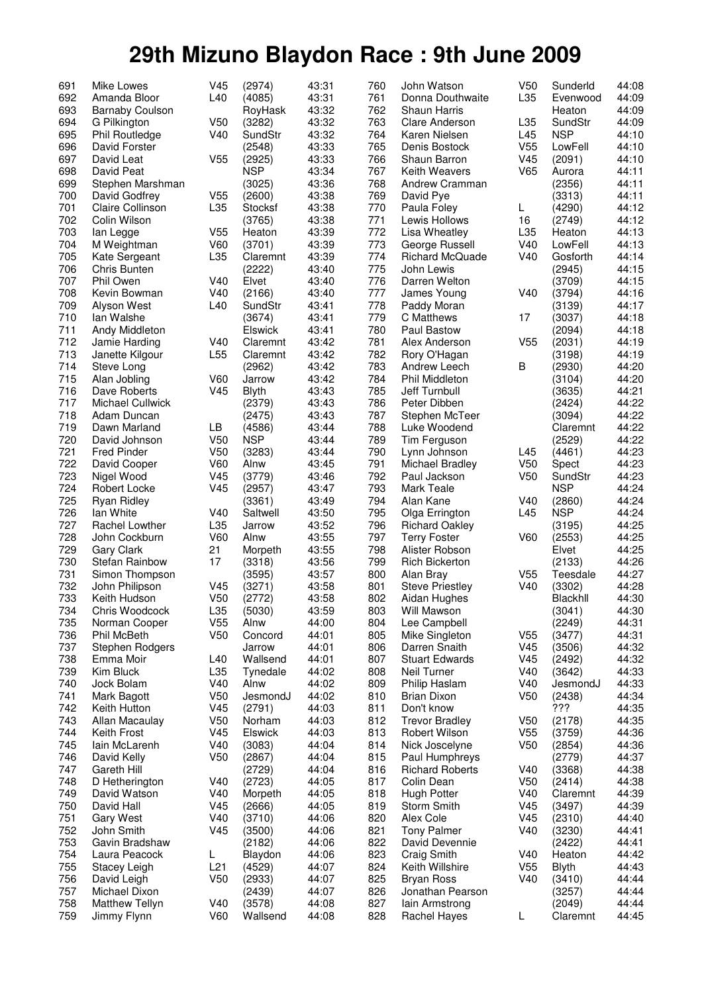| 691 | Mike Lowes              | V45             | (2974)         | 43:31 | 760 | John Watson            | V50             | Sunderld       | 44:08 |
|-----|-------------------------|-----------------|----------------|-------|-----|------------------------|-----------------|----------------|-------|
| 692 | Amanda Bloor            | L40             | (4085)         | 43:31 | 761 | Donna Douthwaite       | L <sub>35</sub> | Evenwood       | 44:09 |
|     |                         |                 |                |       |     |                        |                 |                |       |
| 693 | <b>Barnaby Coulson</b>  |                 | RoyHask        | 43:32 | 762 | Shaun Harris           |                 | Heaton         | 44:09 |
| 694 | G Pilkington            | V <sub>50</sub> | (3282)         | 43:32 | 763 | Clare Anderson         | L <sub>35</sub> | SundStr        | 44:09 |
| 695 | Phil Routledge          | V40             | SundStr        | 43:32 | 764 | Karen Nielsen          | L <sub>45</sub> | <b>NSP</b>     | 44:10 |
|     |                         |                 |                |       |     |                        |                 |                |       |
| 696 | David Forster           |                 | (2548)         | 43:33 | 765 | Denis Bostock          | V <sub>55</sub> | LowFell        | 44:10 |
| 697 | David Leat              | V <sub>55</sub> | (2925)         | 43:33 | 766 | Shaun Barron           | V <sub>45</sub> | (2091)         | 44:10 |
| 698 | David Peat              |                 | <b>NSP</b>     | 43:34 | 767 | <b>Keith Weavers</b>   | V65             | Aurora         | 44:11 |
|     |                         |                 |                |       |     |                        |                 |                |       |
| 699 | Stephen Marshman        |                 | (3025)         | 43:36 | 768 | Andrew Cramman         |                 | (2356)         | 44:11 |
| 700 | David Godfrey           | V <sub>55</sub> | (2600)         | 43:38 | 769 | David Pye              |                 | (3313)         | 44:11 |
| 701 | Claire Collinson        | L <sub>35</sub> | Stocksf        | 43:38 | 770 | Paula Foley            | L.              | (4290)         | 44:12 |
|     |                         |                 |                |       |     |                        |                 |                |       |
| 702 | Colin Wilson            |                 | (3765)         | 43:38 | 771 | Lewis Hollows          | 16              | (2749)         | 44:12 |
| 703 | lan Legge               | V <sub>55</sub> | Heaton         | 43:39 | 772 | Lisa Wheatley          | L <sub>35</sub> | Heaton         | 44:13 |
| 704 | M Weightman             | V60             | (3701)         | 43:39 | 773 | George Russell         | V40             | LowFell        | 44:13 |
|     |                         |                 |                |       |     |                        |                 |                |       |
| 705 | Kate Sergeant           | L35             | Claremnt       | 43:39 | 774 | <b>Richard McQuade</b> | V40             | Gosforth       | 44:14 |
| 706 | Chris Bunten            |                 | (2222)         | 43:40 | 775 | John Lewis             |                 | (2945)         | 44:15 |
| 707 | Phil Owen               | V40             | Elvet          | 43:40 | 776 | Darren Welton          |                 | (3709)         | 44:15 |
|     |                         |                 |                |       |     |                        |                 |                |       |
| 708 | Kevin Bowman            | V40             | (2166)         | 43:40 | 777 | James Young            | V40             | (3794)         | 44:16 |
| 709 | Alyson West             | L40             | SundStr        | 43:41 | 778 | Paddy Moran            |                 | (3139)         | 44:17 |
| 710 | lan Walshe              |                 | (3674)         | 43:41 | 779 | C Matthews             | 17              | (3037)         | 44:18 |
| 711 | Andy Middleton          |                 | <b>Elswick</b> | 43:41 | 780 | <b>Paul Bastow</b>     |                 | (2094)         | 44:18 |
|     |                         |                 |                |       |     |                        |                 |                |       |
| 712 | Jamie Harding           | V40             | Claremnt       | 43:42 | 781 | Alex Anderson          | V <sub>55</sub> | (2031)         | 44:19 |
| 713 | Janette Kilgour         | L <sub>55</sub> | Claremnt       | 43:42 | 782 | Rory O'Hagan           |                 | (3198)         | 44:19 |
| 714 | Steve Long              |                 | (2962)         | 43:42 | 783 | Andrew Leech           | B               | (2930)         | 44:20 |
|     |                         |                 |                |       |     |                        |                 |                |       |
| 715 | Alan Jobling            | <b>V60</b>      | Jarrow         | 43:42 | 784 | <b>Phil Middleton</b>  |                 | (3104)         | 44:20 |
| 716 | Dave Roberts            | V45             | <b>Blyth</b>   | 43:43 | 785 | Jeff Turnbull          |                 | (3635)         | 44:21 |
| 717 | <b>Michael Cullwick</b> |                 | (2379)         | 43:43 | 786 | Peter Dibben           |                 | (2424)         | 44:22 |
| 718 | Adam Duncan             |                 | (2475)         | 43:43 | 787 | Stephen McTeer         |                 | (3094)         | 44:22 |
|     |                         |                 |                |       |     |                        |                 |                |       |
| 719 | Dawn Marland            | LB              | (4586)         | 43:44 | 788 | Luke Woodend           |                 | Claremnt       | 44:22 |
| 720 | David Johnson           | V <sub>50</sub> | <b>NSP</b>     | 43:44 | 789 | Tim Ferguson           |                 | (2529)         | 44:22 |
| 721 | <b>Fred Pinder</b>      | V50             | (3283)         | 43:44 | 790 | Lynn Johnson           | L45             | (4461)         | 44:23 |
| 722 |                         | V60             | Alnw           | 43:45 | 791 |                        | V <sub>50</sub> |                | 44:23 |
|     | David Cooper            |                 |                |       |     | Michael Bradley        |                 | Spect          |       |
| 723 | Nigel Wood              | V <sub>45</sub> | (3779)         | 43:46 | 792 | Paul Jackson           | V50             | <b>SundStr</b> | 44:23 |
| 724 | Robert Locke            | V <sub>45</sub> | (2957)         | 43:47 | 793 | Mark Teale             |                 | <b>NSP</b>     | 44:24 |
| 725 | Ryan Ridley             |                 | (3361)         | 43:49 | 794 | Alan Kane              | V40             | (2860)         | 44:24 |
|     |                         |                 |                |       |     |                        |                 |                |       |
| 726 | lan White               | V40             | Saltwell       | 43:50 | 795 | Olga Errington         | L <sub>45</sub> | <b>NSP</b>     | 44:24 |
| 727 | Rachel Lowther          | L <sub>35</sub> | Jarrow         | 43:52 | 796 | <b>Richard Oakley</b>  |                 | (3195)         | 44:25 |
| 728 | John Cockburn           | V60             | Alnw           | 43:55 | 797 | <b>Terry Foster</b>    | V60             | (2553)         | 44:25 |
| 729 | <b>Gary Clark</b>       | 21              |                | 43:55 | 798 | Alister Robson         |                 |                | 44:25 |
|     |                         |                 | Morpeth        |       |     |                        |                 | Elvet          |       |
| 730 | Stefan Rainbow          | 17              | (3318)         | 43:56 | 799 | <b>Rich Bickerton</b>  |                 | (2133)         | 44:26 |
| 731 | Simon Thompson          |                 | (3595)         | 43:57 | 800 | Alan Bray              | V <sub>55</sub> | Teesdale       | 44:27 |
| 732 | John Philipson          | V <sub>45</sub> | (3271)         | 43:58 | 801 | <b>Steve Priestley</b> | V40             | (3302)         | 44:28 |
|     |                         |                 |                |       |     |                        |                 |                |       |
| 733 | Keith Hudson            | V <sub>50</sub> | (2772)         | 43:58 | 802 | Aidan Hughes           |                 | Blackhll       | 44:30 |
| 734 | Chris Woodcock          | L35             | (5030)         | 43:59 | 803 | Will Mawson            |                 | (3041)         | 44:30 |
| 735 | Norman Cooper           | V <sub>55</sub> | Alnw           | 44:00 | 804 | Lee Campbell           |                 | (2249)         | 44:31 |
| 736 | Phil McBeth             | V50             | Concord        | 44:01 | 805 | Mike Singleton         | V <sub>55</sub> | (3477)         | 44:31 |
|     |                         |                 |                |       |     |                        |                 |                |       |
| 737 | <b>Stephen Rodgers</b>  |                 | Jarrow         | 44:01 | 806 | Darren Snaith          | V45             | (3506)         | 44:32 |
| 738 | Emma Moir               | L40             | Wallsend       | 44:01 | 807 | <b>Stuart Edwards</b>  | V45             | (2492)         | 44:32 |
| 739 | Kim Bluck               | L35             | Tynedale       | 44:02 | 808 | Neil Turner            | V40             | (3642)         | 44:33 |
|     |                         |                 |                |       |     |                        |                 |                |       |
| 740 | Jock Bolam              | V40             | Alnw           | 44:02 | 809 | Philip Haslam          | V40             | JesmondJ       | 44:33 |
| 741 | Mark Bagott             | V <sub>50</sub> | JesmondJ       | 44:02 | 810 | <b>Brian Dixon</b>     | V50             | (2438)         | 44:34 |
| 742 | Keith Hutton            | V <sub>45</sub> | (2791)         | 44:03 | 811 | Don't know             |                 | ???            | 44:35 |
| 743 | Allan Macaulay          | V50             | Norham         | 44:03 | 812 | <b>Trevor Bradley</b>  | V50             | (2178)         | 44:35 |
|     |                         |                 |                |       |     |                        |                 |                |       |
| 744 | Keith Frost             | V <sub>45</sub> | Elswick        | 44:03 | 813 | Robert Wilson          | V <sub>55</sub> | (3759)         | 44:36 |
| 745 | lain McLarenh           | V40             | (3083)         | 44:04 | 814 | Nick Joscelyne         | V <sub>50</sub> | (2854)         | 44:36 |
| 746 | David Kelly             | V <sub>50</sub> | (2867)         | 44:04 | 815 | Paul Humphreys         |                 | (2779)         | 44:37 |
| 747 | Gareth Hill             |                 | (2729)         | 44:04 | 816 | <b>Richard Roberts</b> | V40             | (3368)         | 44:38 |
|     |                         |                 |                |       |     |                        |                 |                |       |
| 748 | D Hetherington          | V40             | (2723)         | 44:05 | 817 | Colin Dean             | V <sub>50</sub> | (2414)         | 44:38 |
| 749 | David Watson            | V40             | Morpeth        | 44:05 | 818 | Hugh Potter            | V40             | Claremnt       | 44:39 |
| 750 | David Hall              | V <sub>45</sub> | (2666)         | 44:05 | 819 | Storm Smith            | V <sub>45</sub> | (3497)         | 44:39 |
|     |                         |                 |                |       |     |                        | V45             |                |       |
| 751 | <b>Gary West</b>        | V40             | (3710)         | 44:06 | 820 | Alex Cole              |                 | (2310)         | 44:40 |
| 752 | John Smith              | V <sub>45</sub> | (3500)         | 44:06 | 821 | <b>Tony Palmer</b>     | V40             | (3230)         | 44:41 |
| 753 | Gavin Bradshaw          |                 | (2182)         | 44:06 | 822 | David Devennie         |                 | (2422)         | 44:41 |
| 754 | Laura Peacock           | L               | Blaydon        | 44:06 | 823 | Craig Smith            | V40             | Heaton         | 44:42 |
|     |                         |                 |                |       |     |                        |                 |                |       |
| 755 | Stacey Leigh            | L21             | (4529)         | 44:07 | 824 | Keith Willshire        | V <sub>55</sub> | <b>Blyth</b>   | 44:43 |
| 756 | David Leigh             | V <sub>50</sub> | (2933)         | 44:07 | 825 | Bryan Ross             | V40             | (3410)         | 44:44 |
| 757 | Michael Dixon           |                 | (2439)         | 44:07 | 826 | Jonathan Pearson       |                 | (3257)         | 44:44 |
| 758 | Matthew Tellyn          | V40             | (3578)         | 44:08 | 827 | lain Armstrong         |                 | (2049)         | 44:44 |
|     |                         |                 |                |       |     |                        |                 |                |       |
| 759 | Jimmy Flynn             | V60             | Wallsend       | 44:08 | 828 | <b>Rachel Hayes</b>    | L               | Claremnt       | 44:45 |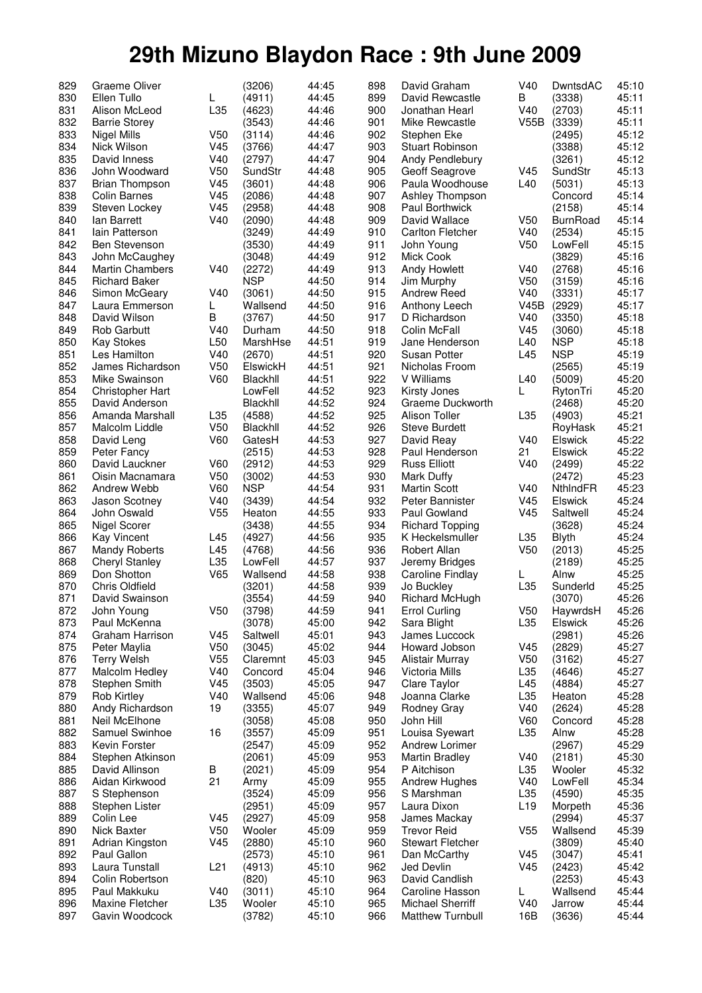| 829 | Graeme Oliver          |                 | (3206)     | 44:45 | 898 | David Graham            | V40             | DwntsdAC        | 45:10 |
|-----|------------------------|-----------------|------------|-------|-----|-------------------------|-----------------|-----------------|-------|
| 830 | Ellen Tullo            | L               | (4911)     | 44:45 | 899 | David Rewcastle         | В               | (3338)          | 45:11 |
|     |                        |                 |            |       |     |                         |                 |                 |       |
| 831 | Alison McLeod          | L35             | (4623)     | 44:46 | 900 | Jonathan Hearl          | V40             | (2703)          | 45:11 |
| 832 | <b>Barrie Storey</b>   |                 | (3543)     | 44:46 | 901 | Mike Rewcastle          | V55B            | (3339)          | 45:11 |
| 833 | Nigel Mills            | V <sub>50</sub> | (3114)     | 44:46 | 902 | Stephen Eke             |                 | (2495)          | 45:12 |
| 834 | Nick Wilson            | V <sub>45</sub> | (3766)     | 44:47 | 903 | <b>Stuart Robinson</b>  |                 | (3388)          | 45:12 |
| 835 | David Inness           | V40             | (2797)     | 44:47 | 904 | Andy Pendlebury         |                 | (3261)          | 45:12 |
|     |                        |                 |            |       |     |                         |                 |                 |       |
| 836 | John Woodward          | V <sub>50</sub> | SundStr    | 44:48 | 905 | Geoff Seagrove          | V <sub>45</sub> | <b>SundStr</b>  | 45:13 |
| 837 | <b>Brian Thompson</b>  | V <sub>45</sub> | (3601)     | 44:48 | 906 | Paula Woodhouse         | L <sub>40</sub> | (5031)          | 45:13 |
| 838 | Colin Barnes           | V <sub>45</sub> | (2086)     | 44:48 | 907 | Ashley Thompson         |                 | Concord         | 45:14 |
| 839 | Steven Lockey          | V <sub>45</sub> | (2958)     | 44:48 | 908 | Paul Borthwick          |                 | (2158)          | 45:14 |
| 840 | lan Barrett            | V40             | (2090)     | 44:48 | 909 | David Wallace           | V <sub>50</sub> | <b>BurnRoad</b> | 45:14 |
|     |                        |                 |            |       |     |                         |                 |                 |       |
| 841 | lain Patterson         |                 | (3249)     | 44:49 | 910 | <b>Carlton Fletcher</b> | V40             | (2534)          | 45:15 |
| 842 | <b>Ben Stevenson</b>   |                 | (3530)     | 44:49 | 911 | John Young              | V <sub>50</sub> | LowFell         | 45:15 |
| 843 | John McCaughey         |                 | (3048)     | 44:49 | 912 | <b>Mick Cook</b>        |                 | (3829)          | 45:16 |
| 844 | <b>Martin Chambers</b> | V40             | (2272)     | 44:49 | 913 | <b>Andy Howlett</b>     | V40             | (2768)          | 45:16 |
| 845 | <b>Richard Baker</b>   |                 | <b>NSP</b> | 44:50 | 914 | Jim Murphy              | V <sub>50</sub> | (3159)          | 45:16 |
|     |                        |                 |            |       |     |                         |                 |                 |       |
| 846 | Simon McGeary          | V40             | (3061)     | 44:50 | 915 | <b>Andrew Reed</b>      | V40             | (3331)          | 45:17 |
| 847 | Laura Emmerson         | L               | Wallsend   | 44:50 | 916 | Anthony Leech           | <b>V45B</b>     | (2929)          | 45:17 |
| 848 | David Wilson           | B               | (3767)     | 44:50 | 917 | D Richardson            | V40             | (3350)          | 45:18 |
| 849 | <b>Rob Garbutt</b>     | V40             | Durham     | 44:50 | 918 | Colin McFall            | V45             | (3060)          | 45:18 |
| 850 | <b>Kay Stokes</b>      | L <sub>50</sub> | MarshHse   | 44:51 | 919 | Jane Henderson          | L40             | <b>NSP</b>      | 45:18 |
|     |                        |                 |            |       |     | Susan Potter            |                 |                 | 45:19 |
| 851 | Les Hamilton           | V40             | (2670)     | 44:51 | 920 |                         | L45             | <b>NSP</b>      |       |
| 852 | James Richardson       | V50             | ElswickH   | 44:51 | 921 | Nicholas Froom          |                 | (2565)          | 45:19 |
| 853 | Mike Swainson          | V60             | Blackhll   | 44:51 | 922 | V Williams              | L40             | (5009)          | 45:20 |
| 854 | Christopher Hart       |                 | LowFell    | 44:52 | 923 | <b>Kirsty Jones</b>     | L               | RytonTri        | 45:20 |
| 855 | David Anderson         |                 | Blackhll   | 44:52 | 924 | Graeme Duckworth        |                 | (2468)          | 45:20 |
|     |                        |                 |            |       |     |                         |                 |                 |       |
| 856 | Amanda Marshall        | L35             | (4588)     | 44:52 | 925 | <b>Alison Toller</b>    | L35             | (4903)          | 45:21 |
| 857 | Malcolm Liddle         | V <sub>50</sub> | Blackhll   | 44:52 | 926 | <b>Steve Burdett</b>    |                 | RoyHask         | 45:21 |
| 858 | David Leng             | V60             | GatesH     | 44:53 | 927 | David Reay              | V40             | <b>Elswick</b>  | 45:22 |
| 859 | Peter Fancy            |                 | (2515)     | 44:53 | 928 | Paul Henderson          | 21              | <b>Elswick</b>  | 45:22 |
| 860 | David Lauckner         | V60             | (2912)     | 44:53 | 929 | <b>Russ Elliott</b>     | V40             | (2499)          | 45:22 |
| 861 | Oisin Macnamara        | V <sub>50</sub> |            | 44:53 | 930 |                         |                 |                 | 45:23 |
|     |                        |                 | (3002)     |       |     | Mark Duffy              |                 | (2472)          |       |
| 862 | Andrew Webb            | V60             | <b>NSP</b> | 44:54 | 931 | <b>Martin Scott</b>     | V40             | <b>NthIndFR</b> | 45:23 |
| 863 | Jason Scotney          | V40             | (3439)     | 44:54 | 932 | Peter Bannister         | V45             | <b>Elswick</b>  | 45:24 |
| 864 | John Oswald            | V <sub>55</sub> | Heaton     | 44:55 | 933 | Paul Gowland            | V <sub>45</sub> | Saltwell        | 45:24 |
| 865 | Nigel Scorer           |                 | (3438)     | 44:55 | 934 | <b>Richard Topping</b>  |                 | (3628)          | 45:24 |
| 866 | <b>Kay Vincent</b>     | L45             | (4927)     | 44:56 | 935 | K Heckelsmuller         | L <sub>35</sub> | <b>Blyth</b>    | 45:24 |
|     |                        |                 |            |       |     |                         |                 |                 |       |
| 867 | <b>Mandy Roberts</b>   | L45             | (4768)     | 44:56 | 936 | Robert Allan            | V <sub>50</sub> | (2013)          | 45:25 |
| 868 | <b>Cheryl Stanley</b>  | L35             | LowFell    | 44:57 | 937 | Jeremy Bridges          |                 | (2189)          | 45:25 |
| 869 | Don Shotton            | V65             | Wallsend   | 44:58 | 938 | Caroline Findlay        | L.              | Alnw            | 45:25 |
| 870 | <b>Chris Oldfield</b>  |                 | (3201)     | 44:58 | 939 | Jo Buckley              | L <sub>35</sub> | Sunderld        | 45:25 |
| 871 | David Swainson         |                 | (3554)     | 44:59 | 940 | Richard McHugh          |                 | (3070)          | 45:26 |
|     |                        | V50             | (3798)     | 44:59 | 941 | <b>Errol Curling</b>    | V50             |                 | 45:26 |
| 872 | John Young             |                 |            |       |     |                         |                 | HaywrdsH        |       |
| 873 | Paul McKenna           |                 | (3078)     | 45:00 | 942 | Sara Blight             | L <sub>35</sub> | <b>Elswick</b>  | 45:26 |
| 874 | Graham Harrison        | V45             | Saltwell   | 45:01 | 943 | James Luccock           |                 | (2981)          | 45:26 |
| 875 | Peter Maylia           | V <sub>50</sub> | (3045)     | 45:02 | 944 | Howard Jobson           | V45             | (2829)          | 45:27 |
| 876 | <b>Terry Welsh</b>     | V <sub>55</sub> | Claremnt   | 45:03 | 945 | Alistair Murray         | V50             | (3162)          | 45:27 |
| 877 | Malcolm Hedley         | V40             | Concord    | 45:04 | 946 | Victoria Mills          | L35             | (4646)          | 45:27 |
|     |                        |                 |            |       |     |                         |                 |                 |       |
| 878 | Stephen Smith          | V <sub>45</sub> | (3503)     | 45:05 | 947 | Clare Taylor            | L <sub>45</sub> | (4884)          | 45:27 |
| 879 | Rob Kirtley            | V40             | Wallsend   | 45:06 | 948 | Joanna Clarke           | L35             | Heaton          | 45:28 |
| 880 | Andy Richardson        | 19              | (3355)     | 45:07 | 949 | Rodney Gray             | V40             | (2624)          | 45:28 |
| 881 | Neil McElhone          |                 | (3058)     | 45:08 | 950 | John Hill               | V60             | Concord         | 45:28 |
| 882 | Samuel Swinhoe         | 16              | (3557)     | 45:09 | 951 | Louisa Syewart          | L35             | Alnw            | 45:28 |
|     |                        |                 |            |       |     |                         |                 |                 |       |
| 883 | Kevin Forster          |                 | (2547)     | 45:09 | 952 | Andrew Lorimer          |                 | (2967)          | 45:29 |
| 884 | Stephen Atkinson       |                 | (2061)     | 45:09 | 953 | Martin Bradley          | V40             | (2181)          | 45:30 |
| 885 | David Allinson         | B               | (2021)     | 45:09 | 954 | P Aitchison             | L35             | Wooler          | 45:32 |
| 886 | Aidan Kirkwood         | 21              | Army       | 45:09 | 955 | <b>Andrew Hughes</b>    | V40             | LowFell         | 45:34 |
| 887 | S Stephenson           |                 | (3524)     | 45:09 | 956 | S Marshman              | L <sub>35</sub> | (4590)          | 45:35 |
|     |                        |                 |            |       |     |                         | L <sub>19</sub> |                 | 45:36 |
| 888 | Stephen Lister         |                 | (2951)     | 45:09 | 957 | Laura Dixon             |                 | Morpeth         |       |
| 889 | Colin Lee              | V45             | (2927)     | 45:09 | 958 | James Mackay            |                 | (2994)          | 45:37 |
| 890 | Nick Baxter            | V <sub>50</sub> | Wooler     | 45:09 | 959 | <b>Trevor Reid</b>      | V <sub>55</sub> | Wallsend        | 45:39 |
| 891 | Adrian Kingston        | V <sub>45</sub> | (2880)     | 45:10 | 960 | <b>Stewart Fletcher</b> |                 | (3809)          | 45:40 |
| 892 | Paul Gallon            |                 | (2573)     | 45:10 | 961 | Dan McCarthy            | V45             | (3047)          | 45:41 |
| 893 | Laura Tunstall         | L21             | (4913)     | 45:10 | 962 | Jed Devlin              | V45             | (2423)          | 45:42 |
|     |                        |                 |            |       |     |                         |                 |                 |       |
| 894 | Colin Robertson        |                 | (820)      | 45:10 | 963 | David Candlish          |                 | (2253)          | 45:43 |
| 895 | Paul Makkuku           | V40             | (3011)     | 45:10 | 964 | Caroline Hasson         | L               | Wallsend        | 45:44 |
| 896 | Maxine Fletcher        | L35             | Wooler     | 45:10 | 965 | Michael Sherriff        | V40             | Jarrow          | 45:44 |
| 897 | Gavin Woodcock         |                 | (3782)     | 45:10 | 966 | Matthew Turnbull        | 16B             | (3636)          | 45:44 |
|     |                        |                 |            |       |     |                         |                 |                 |       |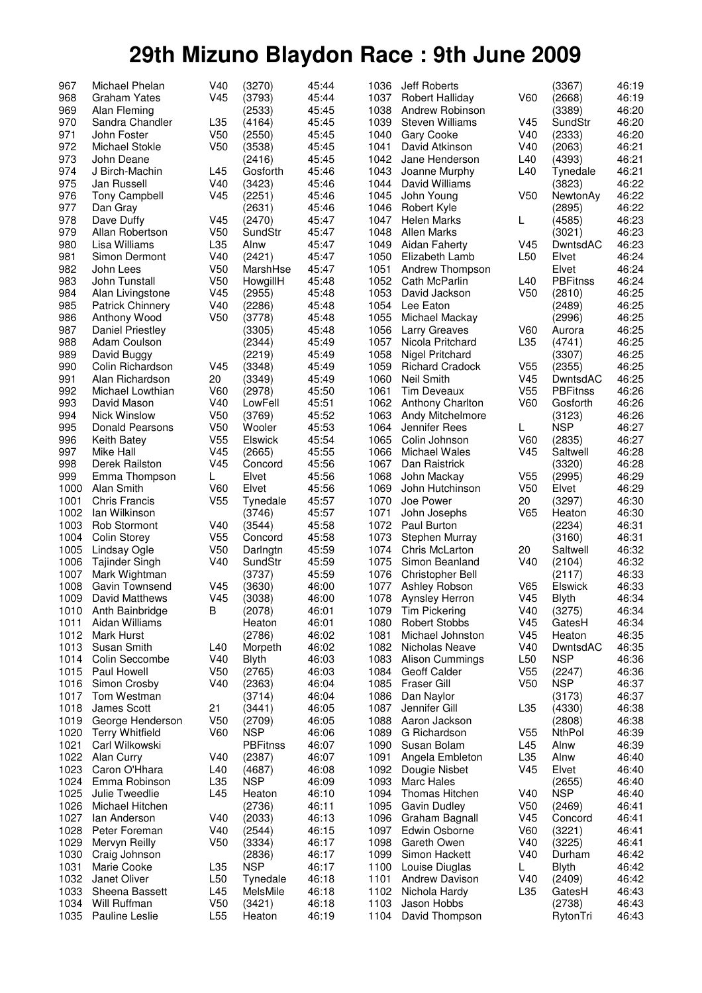| 967          | Michael Phelan                        | V40                    | (3270)              | 45:44          | 1036         | <b>Jeff Roberts</b>              |                 | (3367)             | 46:19          |
|--------------|---------------------------------------|------------------------|---------------------|----------------|--------------|----------------------------------|-----------------|--------------------|----------------|
| 968          | <b>Graham Yates</b>                   | V45                    | (3793)              | 45:44          | 1037         | <b>Robert Halliday</b>           | V60             | (2668)             | 46:19          |
| 969          | Alan Fleming                          |                        | (2533)              | 45:45          | 1038         | Andrew Robinson                  |                 | (3389)             | 46:20          |
| 970          | Sandra Chandler                       | L <sub>35</sub>        | (4164)              | 45:45          | 1039         | Steven Williams                  | V45             | SundStr            | 46:20          |
| 971          | John Foster                           | V50                    | (2550)              | 45:45          | 1040         | Gary Cooke                       | V40             | (2333)             | 46:20          |
| 972          | <b>Michael Stokle</b>                 | V50                    | (3538)              | 45:45          | 1041         | David Atkinson                   | V40             | (2063)             | 46:21          |
| 973          | John Deane                            |                        | (2416)              | 45:45          | 1042         | Jane Henderson                   | L40             | (4393)             | 46:21          |
| 974          | J Birch-Machin                        | L45                    | Gosforth            | 45:46          | 1043         | Joanne Murphy                    | L40             | Tynedale           | 46:21          |
| 975          | Jan Russell                           | V40                    | (3423)              | 45:46          | 1044         | David Williams                   |                 | (3823)             | 46:22          |
| 976          | <b>Tony Campbell</b>                  | V <sub>45</sub>        | (2251)              | 45:46          | 1045         | John Young                       | V <sub>50</sub> | NewtonAy           | 46:22          |
| 977          | Dan Gray                              |                        | (2631)              | 45:46          | 1046         | Robert Kyle                      |                 | (2895)             | 46:22          |
| 978          | Dave Duffy                            | V <sub>45</sub>        | (2470)              | 45:47          | 1047         | <b>Helen Marks</b>               | L               | (4585)             | 46:23          |
| 979          | Allan Robertson                       | V <sub>50</sub>        | <b>SundStr</b>      | 45:47          | 1048         | <b>Allen Marks</b>               |                 | (3021)             | 46:23          |
| 980          | Lisa Williams                         | L <sub>35</sub>        | Alnw                | 45:47          | 1049         | Aidan Faherty                    | V <sub>45</sub> | <b>DwntsdAC</b>    | 46:23          |
| 981          | Simon Dermont                         | V40                    | (2421)              | 45:47          | 1050         | Elizabeth Lamb                   | L <sub>50</sub> | Elvet              | 46:24          |
| 982          | John Lees                             | V <sub>50</sub>        | MarshHse            | 45:47          | 1051         | Andrew Thompson                  |                 | Elvet              | 46:24          |
| 983          | John Tunstall                         | V <sub>50</sub>        | HowgillH            | 45:48          | 1052         | Cath McParlin                    | L <sub>40</sub> | <b>PBFitnss</b>    | 46:24          |
| 984          | Alan Livingstone                      | V <sub>45</sub>        | (2955)              | 45:48          | 1053         | David Jackson                    | V <sub>50</sub> | (2810)             | 46:25          |
| 985          | <b>Patrick Chinnery</b>               | V40                    | (2286)              | 45:48          | 1054         | Lee Eaton                        |                 | (2489)             | 46:25          |
| 986          | Anthony Wood                          | V50                    | (3778)              | 45:48          | 1055         | Michael Mackay                   |                 | (2996)             | 46:25          |
| 987          | <b>Daniel Priestley</b>               |                        | (3305)              | 45:48          | 1056         | <b>Larry Greaves</b>             | V60             | Aurora             | 46:25          |
| 988          | Adam Coulson                          |                        | (2344)              | 45:49          | 1057         | Nicola Pritchard                 | L35             | (4741)             | 46:25          |
| 989          | David Buggy                           |                        | (2219)              | 45:49          | 1058         | Nigel Pritchard                  |                 | (3307)             | 46:25          |
| 990          | Colin Richardson                      | V <sub>45</sub>        | (3348)              | 45:49          | 1059         | <b>Richard Cradock</b>           | V <sub>55</sub> | (2355)             | 46:25          |
| 991          | Alan Richardson                       | 20                     | (3349)              | 45:49          | 1060         | Neil Smith                       | V <sub>45</sub> | <b>DwntsdAC</b>    | 46:25          |
| 992          | Michael Lowthian                      | V60                    | (2978)              | 45:50          | 1061         | <b>Tim Deveaux</b>               | V <sub>55</sub> | <b>PBFitnss</b>    | 46:26          |
| 993          | David Mason                           | V40                    | LowFell             | 45:51          | 1062         | Anthony Charlton                 | V60             | Gosforth           | 46:26          |
| 994          | <b>Nick Winslow</b>                   | V <sub>50</sub>        | (3769)              | 45:52          | 1063         | Andy Mitchelmore                 |                 | (3123)             | 46:26          |
| 995          | <b>Donald Pearsons</b>                | V <sub>50</sub>        | Wooler              | 45:53          | 1064         | Jennifer Rees                    | L.              | <b>NSP</b>         | 46:27          |
| 996          | Keith Batey                           | V <sub>55</sub>        | <b>Elswick</b>      | 45:54          | 1065         | Colin Johnson                    | <b>V60</b>      | (2835)             | 46:27          |
| 997          | Mike Hall                             | V45                    | (2665)              | 45:55          | 1066         | Michael Wales                    | V <sub>45</sub> | Saltwell           | 46:28          |
| 998          | Derek Railston                        | V <sub>45</sub>        | Concord             | 45:56          | 1067         | Dan Raistrick                    |                 | (3320)             | 46:28          |
| 999          | Emma Thompson                         | L                      | Elvet               | 45:56          | 1068         | John Mackay                      | V <sub>55</sub> | (2995)             | 46:29          |
| 1000         | Alan Smith                            | V60                    | Elvet               | 45:56          | 1069         | John Hutchinson                  | V <sub>50</sub> | Elvet              | 46:29          |
| 1001         | <b>Chris Francis</b>                  | V <sub>55</sub>        | Tynedale            | 45:57          | 1070         | Joe Power                        | 20              | (3297)             | 46:30          |
| 1002         | lan Wilkinson                         |                        | (3746)              | 45:57          | 1071         | John Josephs                     | V65             | Heaton             | 46:30          |
| 1003         | <b>Rob Stormont</b>                   | V40                    | (3544)              | 45:58          | 1072         | Paul Burton                      |                 | (2234)             | 46:31          |
| 1004         | <b>Colin Storey</b>                   | V <sub>55</sub>        | Concord             | 45:58          | 1073         | Stephen Murray                   |                 | (3160)             | 46:31          |
| 1005<br>1006 | Lindsay Ogle<br><b>Tajinder Singh</b> | V <sub>50</sub><br>V40 | Darlngtn<br>SundStr | 45:59<br>45:59 | 1074<br>1075 | Chris McLarton<br>Simon Beanland | 20<br>V40       | Saltwell<br>(2104) | 46:32<br>46:32 |
| 1007         | Mark Wightman                         |                        | (3737)              | 45:59          | 1076         | Christopher Bell                 |                 | (2117)             | 46:33          |
| 1008         | <b>Gavin Townsend</b>                 | V <sub>45</sub>        | (3630)              | 46:00          | 1077         | Ashley Robson                    | V65             | <b>Elswick</b>     | 46:33          |
| 1009         | <b>David Matthews</b>                 | V45                    | (3038)              | 46:00          | 1078         | Aynsley Herron                   | V <sub>45</sub> | <b>Blyth</b>       | 46:34          |
| 1010         | Anth Bainbridge                       | B                      | (2078)              | 46:01          | 1079         | <b>Tim Pickering</b>             | V40             | (3275)             | 46:34          |
| 1011         | Aidan Williams                        |                        | Heaton              | 46:01          | 1080         | <b>Robert Stobbs</b>             | V <sub>45</sub> | GatesH             | 46:34          |
| 1012         | Mark Hurst                            |                        | (2786)              | 46:02          | 1081         | Michael Johnston                 | V <sub>45</sub> | Heaton             | 46:35          |
| 1013         | Susan Smith                           | L40                    | Morpeth             | 46:02          | 1082         | Nicholas Neave                   | V40             | <b>DwntsdAC</b>    | 46:35          |
| 1014         | Colin Seccombe                        | V40                    | <b>Blyth</b>        | 46:03          | 1083         | <b>Alison Cummings</b>           | L50             | <b>NSP</b>         | 46:36          |
| 1015         | Paul Howell                           | V50                    | (2765)              | 46:03          | 1084         | Geoff Calder                     | V <sub>55</sub> | (2247)             | 46:36          |
| 1016         | Simon Crosby                          | V40                    | (2363)              | 46:04          | 1085         | Fraser Gill                      | V <sub>50</sub> | <b>NSP</b>         | 46:37          |
| 1017         | Tom Westman                           |                        | (3714)              | 46:04          | 1086         | Dan Naylor                       |                 | (3173)             | 46:37          |
| 1018         | James Scott                           | 21                     | (3441)              | 46:05          | 1087         | Jennifer Gill                    | L35             | (4330)             | 46:38          |
| 1019         | George Henderson                      | V50                    | (2709)              | 46:05          | 1088         | Aaron Jackson                    |                 | (2808)             | 46:38          |
| 1020         | <b>Terry Whitfield</b>                | V60                    | <b>NSP</b>          | 46:06          | 1089         | G Richardson                     | V <sub>55</sub> | NthPol             | 46:39          |
| 1021         | Carl Wilkowski                        |                        | <b>PBFitnss</b>     | 46:07          | 1090         | Susan Bolam                      | L45             | Alnw               | 46:39          |
| 1022         | Alan Curry                            | V40                    | (2387)              | 46:07          | 1091         | Angela Embleton                  | L35             | Alnw               | 46:40          |
| 1023         | Caron O'Hhara                         | L40                    | (4687)              | 46:08          | 1092         | Dougie Nisbet                    | V45             | Elvet              | 46:40          |
| 1024         | Emma Robinson                         | L35                    | <b>NSP</b>          | 46:09          | 1093         | Marc Hales                       |                 | (2655)             | 46:40          |
| 1025         | Julie Tweedlie                        | L45                    | Heaton              | 46:10          | 1094         | Thomas Hitchen                   | V40             | <b>NSP</b>         | 46:40          |
| 1026         | Michael Hitchen                       |                        | (2736)              | 46:11          | 1095         | <b>Gavin Dudley</b>              | V <sub>50</sub> | (2469)             | 46:41          |
| 1027         | lan Anderson                          | V40                    | (2033)              | 46:13          | 1096         | Graham Bagnall                   | V45             | Concord            | 46:41          |
| 1028         | Peter Foreman                         | V40                    | (2544)              | 46:15          | 1097         | Edwin Osborne                    | <b>V60</b>      | (3221)             | 46:41          |
| 1029         | Mervyn Reilly                         | V <sub>50</sub>        | (3334)              | 46:17          | 1098         | Gareth Owen                      | V40             | (3225)             | 46:41          |
| 1030         | Craig Johnson                         |                        | (2836)              | 46:17          | 1099         | Simon Hackett                    | V40             | Durham             | 46:42          |
| 1031         | Marie Cooke                           | L35                    | <b>NSP</b>          | 46:17          | 1100         | Louise Diuglas                   | L               | <b>Blyth</b>       | 46:42          |
| 1032         | Janet Oliver                          | L50                    | Tynedale            | 46:18          | 1101         | <b>Andrew Davison</b>            | V40             | (2409)             | 46:42          |
| 1033         | Sheena Bassett                        | L45                    | MelsMile            | 46:18          | 1102         | Nichola Hardy                    | L35             | GatesH             | 46:43          |
| 1034         | Will Ruffman                          | V <sub>50</sub>        | (3421)              | 46:18          | 1103         | Jason Hobbs                      |                 | (2738)             | 46:43          |
| 1035         | Pauline Leslie                        | L55                    | Heaton              | 46:19          | 1104         | David Thompson                   |                 | RytonTri           | 46:43          |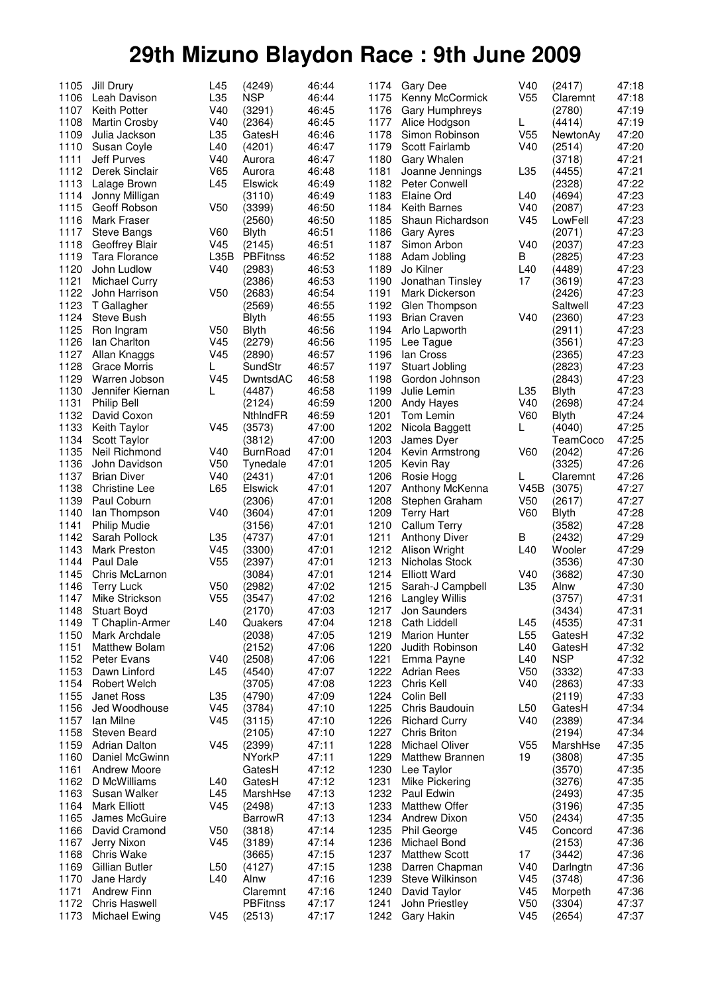| 1105 | Jill Drury           | L <sub>45</sub> | (4249)          | 46:44 | 1174 | Gary Dee              | V40             | (2417)       | 47:18 |
|------|----------------------|-----------------|-----------------|-------|------|-----------------------|-----------------|--------------|-------|
|      |                      |                 |                 |       |      |                       |                 |              |       |
| 1106 | Leah Davison         | L35             | <b>NSP</b>      | 46:44 | 1175 | Kenny McCormick       | V <sub>55</sub> | Claremnt     | 47:18 |
| 1107 | <b>Keith Potter</b>  | V40             | (3291)          | 46:45 | 1176 | Gary Humphreys        |                 | (2780)       | 47:19 |
| 1108 | Martin Crosby        | V40             | (2364)          | 46:45 | 1177 | Alice Hodgson         | L.              | (4414)       | 47:19 |
| 1109 | Julia Jackson        | L35             | GatesH          | 46:46 | 1178 | Simon Robinson        | V <sub>55</sub> | NewtonAy     | 47:20 |
| 1110 | Susan Coyle          | L40             | (4201)          | 46:47 | 1179 | Scott Fairlamb        | V40             | (2514)       | 47:20 |
| 1111 | Jeff Purves          | V40             | Aurora          | 46:47 | 1180 |                       |                 |              | 47:21 |
|      |                      |                 |                 |       |      | Gary Whalen           |                 | (3718)       |       |
| 1112 | Derek Sinclair       | V65             | Aurora          | 46:48 | 1181 | Joanne Jennings       | L35             | (4455)       | 47:21 |
| 1113 | Lalage Brown         | L45             | <b>Elswick</b>  | 46:49 | 1182 | <b>Peter Conwell</b>  |                 | (2328)       | 47:22 |
| 1114 | Jonny Milligan       |                 | (3110)          | 46:49 | 1183 | Elaine Ord            | L40             | (4694)       | 47:23 |
| 1115 | Geoff Robson         | V50             | (3399)          | 46:50 | 1184 | <b>Keith Barnes</b>   | V40             | (2087)       | 47:23 |
| 1116 | Mark Fraser          |                 | (2560)          | 46:50 | 1185 | Shaun Richardson      | V45             | LowFell      | 47:23 |
|      |                      |                 |                 |       |      |                       |                 |              |       |
| 1117 | <b>Steve Bangs</b>   | V60             | <b>Blyth</b>    | 46:51 | 1186 | <b>Gary Ayres</b>     |                 | (2071)       | 47:23 |
| 1118 | Geoffrey Blair       | V45             | (2145)          | 46:51 | 1187 | Simon Arbon           | V40             | (2037)       | 47:23 |
| 1119 | <b>Tara Florance</b> | L35B            | <b>PBFitnss</b> | 46:52 | 1188 | Adam Jobling          | В               | (2825)       | 47:23 |
| 1120 | John Ludlow          | V40             | (2983)          | 46:53 | 1189 | Jo Kilner             | L <sub>40</sub> | (4489)       | 47:23 |
| 1121 | <b>Michael Curry</b> |                 | (2386)          | 46:53 | 1190 | Jonathan Tinsley      | 17              | (3619)       | 47:23 |
| 1122 | John Harrison        | V50             | (2683)          | 46:54 | 1191 | Mark Dickerson        |                 | (2426)       | 47:23 |
| 1123 |                      |                 |                 |       | 1192 |                       |                 | Saltwell     | 47:23 |
|      | T Gallagher          |                 | (2569)          | 46:55 |      | Glen Thompson         |                 |              |       |
| 1124 | Steve Bush           |                 | <b>Blyth</b>    | 46:55 | 1193 | <b>Brian Craven</b>   | V40             | (2360)       | 47:23 |
| 1125 | Ron Ingram           | V50             | <b>Blyth</b>    | 46:56 | 1194 | Arlo Lapworth         |                 | (2911)       | 47:23 |
| 1126 | lan Charlton         | V45             | (2279)          | 46:56 | 1195 | Lee Tague             |                 | (3561)       | 47:23 |
| 1127 | Allan Knaggs         | V <sub>45</sub> | (2890)          | 46:57 | 1196 | lan Cross             |                 | (2365)       | 47:23 |
| 1128 | <b>Grace Morris</b>  | L               | SundStr         | 46:57 | 1197 | Stuart Jobling        |                 | (2823)       | 47:23 |
|      |                      |                 |                 | 46:58 |      | Gordon Johnson        |                 |              | 47:23 |
| 1129 | Warren Jobson        | V <sub>45</sub> | <b>DwntsdAC</b> |       | 1198 |                       |                 | (2843)       |       |
| 1130 | Jennifer Kiernan     | L               | (4487)          | 46:58 | 1199 | Julie Lemin           | L <sub>35</sub> | <b>Blyth</b> | 47:23 |
| 1131 | <b>Philip Bell</b>   |                 | (2124)          | 46:59 | 1200 | Andy Hayes            | V40             | (2698)       | 47:24 |
| 1132 | David Coxon          |                 | <b>NthindFR</b> | 46:59 | 1201 | Tom Lemin             | <b>V60</b>      | <b>Blyth</b> | 47:24 |
| 1133 | Keith Taylor         | V <sub>45</sub> | (3573)          | 47:00 | 1202 | Nicola Baggett        | L               | (4040)       | 47:25 |
| 1134 | Scott Taylor         |                 | (3812)          | 47:00 | 1203 | James Dyer            |                 | TeamCoco     | 47:25 |
| 1135 | Neil Richmond        | V40             | <b>BurnRoad</b> | 47:01 | 1204 | Kevin Armstrong       | <b>V60</b>      | (2042)       | 47:26 |
|      |                      |                 |                 |       |      |                       |                 |              |       |
| 1136 | John Davidson        | V <sub>50</sub> | Tynedale        | 47:01 | 1205 | Kevin Ray             |                 | (3325)       | 47:26 |
| 1137 | <b>Brian Diver</b>   | V40             | (2431)          | 47:01 | 1206 | Rosie Hogg            | L.              | Claremnt     | 47:26 |
| 1138 | <b>Christine Lee</b> | L65             | Elswick         | 47:01 | 1207 | Anthony McKenna       | V45B            | (3075)       | 47:27 |
| 1139 | Paul Coburn          |                 | (2306)          | 47:01 | 1208 | Stephen Graham        | V <sub>50</sub> | (2617)       | 47:27 |
| 1140 | lan Thompson         | V40             | (3604)          | 47:01 | 1209 | <b>Terry Hart</b>     | V60             | <b>Blyth</b> | 47:28 |
| 1141 |                      |                 |                 | 47:01 | 1210 |                       |                 |              | 47:28 |
|      | <b>Philip Mudie</b>  |                 | (3156)          |       |      | <b>Callum Terry</b>   |                 | (3582)       |       |
| 1142 | Sarah Pollock        | L35             | (4737)          | 47:01 | 1211 | <b>Anthony Diver</b>  | В               | (2432)       | 47:29 |
| 1143 | <b>Mark Preston</b>  | V <sub>45</sub> | (3300)          | 47:01 | 1212 | Alison Wright         | L40             | Wooler       | 47:29 |
| 1144 | Paul Dale            | V <sub>55</sub> | (2397)          | 47:01 | 1213 | Nicholas Stock        |                 | (3536)       | 47:30 |
| 1145 | Chris McLarnon       |                 | (3084)          | 47:01 | 1214 | <b>Elliott Ward</b>   | V40             | (3682)       | 47:30 |
| 1146 | <b>Terry Luck</b>    | V50             | (2982)          | 47:02 | 1215 | Sarah-J Campbell      | L35             | Alnw         | 47:30 |
| 1147 | Mike Strickson       | V <sub>55</sub> | (3547)          | 47:02 | 1216 | <b>Langley Willis</b> |                 | (3757)       | 47:31 |
|      |                      |                 |                 | 47:03 | 1217 | Jon Saunders          |                 |              | 47:31 |
| 1148 | Stuart Boyd          |                 | (2170)          |       |      |                       |                 | (3434)       |       |
| 1149 | T Chaplin-Armer      | L <sub>40</sub> | Quakers         | 47:04 | 1218 | Cath Liddell          | L <sub>45</sub> | (4535)       | 47:31 |
| 1150 | Mark Archdale        |                 | (2038)          | 47:05 | 1219 | <b>Marion Hunter</b>  | L55             | GatesH       | 47:32 |
| 1151 | Matthew Bolam        |                 | (2152)          | 47:06 | 1220 | Judith Robinson       | L40             | GatesH       | 47:32 |
| 1152 | Peter Evans          | V40             | (2508)          | 47:06 | 1221 | Emma Payne            | L40             | <b>NSP</b>   | 47:32 |
| 1153 | Dawn Linford         | L45             | (4540)          | 47:07 | 1222 | <b>Adrian Rees</b>    | V <sub>50</sub> | (3332)       | 47:33 |
| 1154 | Robert Welch         |                 | (3705)          | 47:08 | 1223 | Chris Kell            | V40             | (2863)       | 47:33 |
| 1155 | <b>Janet Ross</b>    | L35             | (4790)          | 47:09 | 1224 | Colin Bell            |                 |              | 47:33 |
|      |                      |                 |                 |       |      |                       |                 | (2119)       |       |
| 1156 | Jed Woodhouse        | V <sub>45</sub> | (3784)          | 47:10 | 1225 | Chris Baudouin        | L50             | GatesH       | 47:34 |
| 1157 | lan Milne            | V45             | (3115)          | 47:10 | 1226 | <b>Richard Curry</b>  | V40             | (2389)       | 47:34 |
| 1158 | Steven Beard         |                 | (2105)          | 47:10 | 1227 | Chris Briton          |                 | (2194)       | 47:34 |
| 1159 | <b>Adrian Dalton</b> | V45             | (2399)          | 47:11 | 1228 | <b>Michael Oliver</b> | V <sub>55</sub> | MarshHse     | 47:35 |
| 1160 | Daniel McGwinn       |                 | NYorkP          | 47:11 | 1229 | Matthew Brannen       | 19              | (3808)       | 47:35 |
| 1161 | <b>Andrew Moore</b>  |                 | GatesH          | 47:12 | 1230 | Lee Taylor            |                 | (3570)       | 47:35 |
|      |                      |                 |                 |       |      |                       |                 |              |       |
| 1162 | D McWilliams         | L40             | GatesH          | 47:12 | 1231 | Mike Pickering        |                 | (3276)       | 47:35 |
| 1163 | Susan Walker         | L45             | MarshHse        | 47:13 | 1232 | Paul Edwin            |                 | (2493)       | 47:35 |
| 1164 | Mark Elliott         | V45             | (2498)          | 47:13 | 1233 | <b>Matthew Offer</b>  |                 | (3196)       | 47:35 |
| 1165 | James McGuire        |                 | <b>BarrowR</b>  | 47:13 | 1234 | <b>Andrew Dixon</b>   | V <sub>50</sub> | (2434)       | 47:35 |
| 1166 | David Cramond        | V50             | (3818)          | 47:14 | 1235 | <b>Phil George</b>    | V <sub>45</sub> | Concord      | 47:36 |
| 1167 | Jerry Nixon          | V <sub>45</sub> | (3189)          | 47:14 | 1236 | Michael Bond          |                 | (2153)       | 47:36 |
|      |                      |                 |                 |       |      |                       |                 |              |       |
| 1168 | Chris Wake           |                 | (3665)          | 47:15 | 1237 | <b>Matthew Scott</b>  | 17              | (3442)       | 47:36 |
| 1169 | Gillian Butler       | L50             | (4127)          | 47:15 | 1238 | Darren Chapman        | V40             | Darlngtn     | 47:36 |
| 1170 | Jane Hardy           | L40             | Alnw            | 47:16 | 1239 | Steve Wilkinson       | V45             | (3748)       | 47:36 |
| 1171 | <b>Andrew Finn</b>   |                 | Claremnt        | 47:16 | 1240 | David Taylor          | V45             | Morpeth      | 47:36 |
| 1172 | <b>Chris Haswell</b> |                 | <b>PBFitnss</b> | 47:17 | 1241 | John Priestley        | V <sub>50</sub> | (3304)       | 47:37 |
| 1173 | Michael Ewing        | V <sub>45</sub> | (2513)          | 47:17 | 1242 | Gary Hakin            | V45             | (2654)       | 47:37 |
|      |                      |                 |                 |       |      |                       |                 |              |       |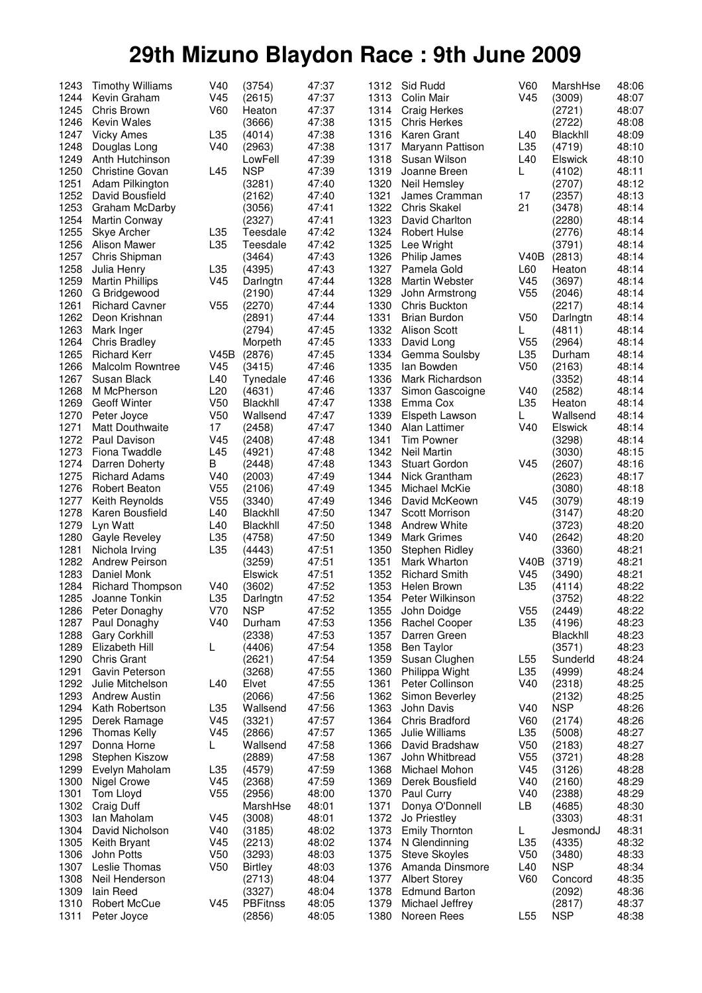| 1243 | <b>Timothy Williams</b> | V40             | (3754)          | 47:37 | 1312 | Sid Rudd              | V60             | MarshHse       | 48:06 |
|------|-------------------------|-----------------|-----------------|-------|------|-----------------------|-----------------|----------------|-------|
| 1244 | Kevin Graham            | V45             | (2615)          | 47:37 | 1313 | Colin Mair            | V <sub>45</sub> | (3009)         | 48:07 |
| 1245 | Chris Brown             | V60             |                 | 47:37 | 1314 |                       |                 |                |       |
|      |                         |                 | Heaton          |       |      | <b>Craig Herkes</b>   |                 | (2721)         | 48:07 |
| 1246 | Kevin Wales             |                 | (3666)          | 47:38 | 1315 | <b>Chris Herkes</b>   |                 | (2722)         | 48:08 |
| 1247 | <b>Vicky Ames</b>       | L <sub>35</sub> | (4014)          | 47:38 | 1316 | Karen Grant           | L40             | Blackhll       | 48:09 |
| 1248 | Douglas Long            | V40             | (2963)          | 47:38 | 1317 | Maryann Pattison      | L <sub>35</sub> | (4719)         | 48:10 |
| 1249 | Anth Hutchinson         |                 | LowFell         | 47:39 | 1318 | Susan Wilson          | L40             | Elswick        | 48:10 |
|      |                         |                 |                 |       |      |                       |                 |                |       |
| 1250 | <b>Christine Govan</b>  | L45             | <b>NSP</b>      | 47:39 | 1319 | Joanne Breen          | L               | (4102)         | 48:11 |
| 1251 | Adam Pilkington         |                 | (3281)          | 47:40 | 1320 | Neil Hemsley          |                 | (2707)         | 48:12 |
| 1252 | David Bousfield         |                 | (2162)          | 47:40 | 1321 | James Cramman         | 17              | (2357)         | 48:13 |
| 1253 | Graham McDarby          |                 | (3056)          | 47:41 | 1322 | <b>Chris Skakel</b>   | 21              | (3478)         | 48:14 |
| 1254 | Martin Conway           |                 | (2327)          | 47:41 | 1323 | David Charlton        |                 | (2280)         | 48:14 |
| 1255 | Skye Archer             | L <sub>35</sub> | Teesdale        | 47:42 | 1324 | <b>Robert Hulse</b>   |                 |                | 48:14 |
|      |                         |                 |                 |       |      |                       |                 | (2776)         |       |
| 1256 | <b>Alison Mawer</b>     | L <sub>35</sub> | Teesdale        | 47:42 | 1325 | Lee Wright            |                 | (3791)         | 48:14 |
| 1257 | Chris Shipman           |                 | (3464)          | 47:43 | 1326 | Philip James          | <b>V40B</b>     | (2813)         | 48:14 |
| 1258 | Julia Henry             | L <sub>35</sub> | (4395)          | 47:43 | 1327 | Pamela Gold           | L60             | Heaton         | 48:14 |
| 1259 | <b>Martin Phillips</b>  | V45             | Darlngtn        | 47:44 | 1328 | <b>Martin Webster</b> | V <sub>45</sub> | (3697)         | 48:14 |
| 1260 |                         |                 | (2190)          | 47:44 | 1329 | John Armstrong        | V <sub>55</sub> | (2046)         | 48:14 |
|      | G Bridgewood            |                 |                 |       |      |                       |                 |                |       |
| 1261 | <b>Richard Cavner</b>   | V <sub>55</sub> | (2270)          | 47:44 | 1330 | <b>Chris Buckton</b>  |                 | (2217)         | 48:14 |
| 1262 | Deon Krishnan           |                 | (2891)          | 47:44 | 1331 | <b>Brian Burdon</b>   | V <sub>50</sub> | Darlngtn       | 48:14 |
| 1263 | Mark Inger              |                 | (2794)          | 47:45 | 1332 | <b>Alison Scott</b>   | L               | (4811)         | 48:14 |
| 1264 | <b>Chris Bradley</b>    |                 | Morpeth         | 47:45 | 1333 | David Long            | V <sub>55</sub> | (2964)         | 48:14 |
| 1265 | <b>Richard Kerr</b>     | <b>V45B</b>     | (2876)          | 47:45 | 1334 | Gemma Soulsby         | L <sub>35</sub> | Durham         | 48:14 |
|      |                         |                 |                 |       |      |                       |                 |                |       |
| 1266 | <b>Malcolm Rowntree</b> | V45             | (3415)          | 47:46 | 1335 | Ian Bowden            | V <sub>50</sub> | (2163)         | 48:14 |
| 1267 | Susan Black             | L40             | Tynedale        | 47:46 | 1336 | Mark Richardson       |                 | (3352)         | 48:14 |
| 1268 | M McPherson             | L20             | (4631)          | 47:46 | 1337 | Simon Gascoigne       | V40             | (2582)         | 48:14 |
| 1269 | <b>Geoff Winter</b>     | V <sub>50</sub> | Blackhll        | 47:47 | 1338 | Emma Cox              | L <sub>35</sub> | Heaton         | 48:14 |
| 1270 | Peter Joyce             | V50             | Wallsend        | 47:47 | 1339 | Elspeth Lawson        | L               | Wallsend       | 48:14 |
|      |                         |                 |                 |       |      |                       |                 |                |       |
| 1271 | <b>Matt Douthwaite</b>  | 17              | (2458)          | 47:47 | 1340 | Alan Lattimer         | V40             | <b>Elswick</b> | 48:14 |
| 1272 | Paul Davison            | V <sub>45</sub> | (2408)          | 47:48 | 1341 | <b>Tim Powner</b>     |                 | (3298)         | 48:14 |
| 1273 | Fiona Twaddle           | L45             | (4921)          | 47:48 | 1342 | <b>Neil Martin</b>    |                 | (3030)         | 48:15 |
| 1274 | Darren Doherty          | В               | (2448)          | 47:48 | 1343 | <b>Stuart Gordon</b>  | V45             | (2607)         | 48:16 |
| 1275 | <b>Richard Adams</b>    | V40             | (2003)          | 47:49 | 1344 | Nick Grantham         |                 | (2623)         | 48:17 |
|      |                         |                 |                 |       |      |                       |                 |                | 48:18 |
| 1276 | <b>Robert Beaton</b>    | V <sub>55</sub> | (2106)          | 47:49 | 1345 | Michael McKie         |                 | (3080)         |       |
| 1277 | Keith Reynolds          | V <sub>55</sub> | (3340)          | 47:49 | 1346 | David McKeown         | V45             | (3079)         | 48:19 |
| 1278 | Karen Bousfield         | L40             | Blackhll        | 47:50 | 1347 | Scott Morrison        |                 | (3147)         | 48:20 |
| 1279 | Lyn Watt                | L40             | Blackhll        | 47:50 | 1348 | <b>Andrew White</b>   |                 | (3723)         | 48:20 |
| 1280 | Gayle Reveley           | L35             | (4758)          | 47:50 | 1349 | <b>Mark Grimes</b>    | V40             | (2642)         | 48:20 |
| 1281 | Nichola Irving          | L35             | (4443)          | 47:51 | 1350 | <b>Stephen Ridley</b> |                 | (3360)         | 48:21 |
|      |                         |                 |                 |       |      |                       |                 |                |       |
| 1282 | <b>Andrew Peirson</b>   |                 | (3259)          | 47:51 | 1351 | Mark Wharton          | <b>V40B</b>     | (3719)         | 48:21 |
| 1283 | Daniel Monk             |                 | <b>Elswick</b>  | 47:51 | 1352 | <b>Richard Smith</b>  | V <sub>45</sub> | (3490)         | 48:21 |
| 1284 | <b>Richard Thompson</b> | V40             | (3602)          | 47:52 | 1353 | Helen Brown           | L35             | (4114)         | 48:22 |
| 1285 | Joanne Tonkin           | L <sub>35</sub> | Darlngtn        | 47:52 | 1354 | Peter Wilkinson       |                 | (3752)         | 48:22 |
| 1286 | Peter Donaghy           | V70             | <b>NSP</b>      | 47:52 | 1355 | John Doidge           | V55             | (2449)         | 48:22 |
| 1287 | Paul Donaghy            | V40             | Durham          |       |      |                       |                 |                |       |
|      |                         |                 |                 | 47:53 | 1356 | Rachel Cooper         | L35             | (4196)         | 48:23 |
| 1288 | Gary Corkhill           |                 | (2338)          | 47:53 | 1357 | Darren Green          |                 | Blackhll       | 48:23 |
| 1289 | Elizabeth Hill          | L               | (4406)          | 47:54 | 1358 | <b>Ben Taylor</b>     |                 | (3571)         | 48:23 |
| 1290 | <b>Chris Grant</b>      |                 | (2621)          | 47:54 | 1359 | Susan Clughen         | L55             | Sunderld       | 48:24 |
| 1291 | Gavin Peterson          |                 | (3268)          | 47:55 | 1360 | Philippa Wight        | L35             | (4999)         | 48:24 |
| 1292 | Julie Mitchelson        | L40             | Elvet           | 47:55 | 1361 | Peter Collinson       | V40             | (2318)         | 48:25 |
| 1293 | <b>Andrew Austin</b>    |                 | (2066)          | 47:56 | 1362 | Simon Beverley        |                 | (2132)         | 48:25 |
|      |                         |                 |                 |       |      |                       |                 |                |       |
| 1294 | Kath Robertson          | L35             | Wallsend        | 47:56 | 1363 | John Davis            | V40             | <b>NSP</b>     | 48:26 |
| 1295 | Derek Ramage            | V45             | (3321)          | 47:57 | 1364 | Chris Bradford        | V60             | (2174)         | 48:26 |
| 1296 | Thomas Kelly            | V45             | (2866)          | 47:57 | 1365 | Julie Williams        | L35             | (5008)         | 48:27 |
| 1297 | Donna Horne             | L               | Wallsend        | 47:58 | 1366 | David Bradshaw        | V50             | (2183)         | 48:27 |
| 1298 | Stephen Kiszow          |                 | (2889)          | 47:58 | 1367 | John Whitbread        | V <sub>55</sub> | (3721)         | 48:28 |
|      |                         |                 |                 |       |      |                       |                 |                |       |
| 1299 | Evelyn Maholam          | L35             | (4579)          | 47:59 | 1368 | Michael Mohon         | V45             | (3126)         | 48:28 |
| 1300 | Nigel Crowe             | V45             | (2368)          | 47:59 | 1369 | Derek Bousfield       | V40             | (2160)         | 48:29 |
| 1301 | Tom Lloyd               | V55             | (2956)          | 48:00 | 1370 | Paul Curry            | V40             | (2388)         | 48:29 |
| 1302 | <b>Craig Duff</b>       |                 | MarshHse        | 48:01 | 1371 | Donya O'Donnell       | LB              | (4685)         | 48:30 |
| 1303 | lan Maholam             | V45             | (3008)          | 48:01 | 1372 | Jo Priestley          |                 | (3303)         | 48:31 |
|      |                         |                 |                 |       |      |                       |                 |                |       |
| 1304 | David Nicholson         | V40             | (3185)          | 48:02 | 1373 | <b>Emily Thornton</b> | L.              | JesmondJ       | 48:31 |
| 1305 | Keith Bryant            | V45             | (2213)          | 48:02 | 1374 | N Glendinning         | L <sub>35</sub> | (4335)         | 48:32 |
| 1306 | John Potts              | V50             | (3293)          | 48:03 | 1375 | Steve Skoyles         | V50             | (3480)         | 48:33 |
| 1307 | Leslie Thomas           | V50             | <b>Birtley</b>  | 48:03 | 1376 | Amanda Dinsmore       | L <sub>40</sub> | <b>NSP</b>     | 48:34 |
| 1308 | Neil Henderson          |                 | (2713)          | 48:04 | 1377 | <b>Albert Storey</b>  | <b>V60</b>      | Concord        | 48:35 |
| 1309 | lain Reed               |                 | (3327)          | 48:04 | 1378 | <b>Edmund Barton</b>  |                 |                | 48:36 |
|      |                         |                 |                 |       |      |                       |                 | (2092)         |       |
| 1310 | <b>Robert McCue</b>     | V45             | <b>PBFitnss</b> | 48:05 | 1379 | Michael Jeffrey       |                 | (2817)         | 48:37 |
| 1311 | Peter Joyce             |                 | (2856)          | 48:05 | 1380 | Noreen Rees           | L <sub>55</sub> | <b>NSP</b>     | 48:38 |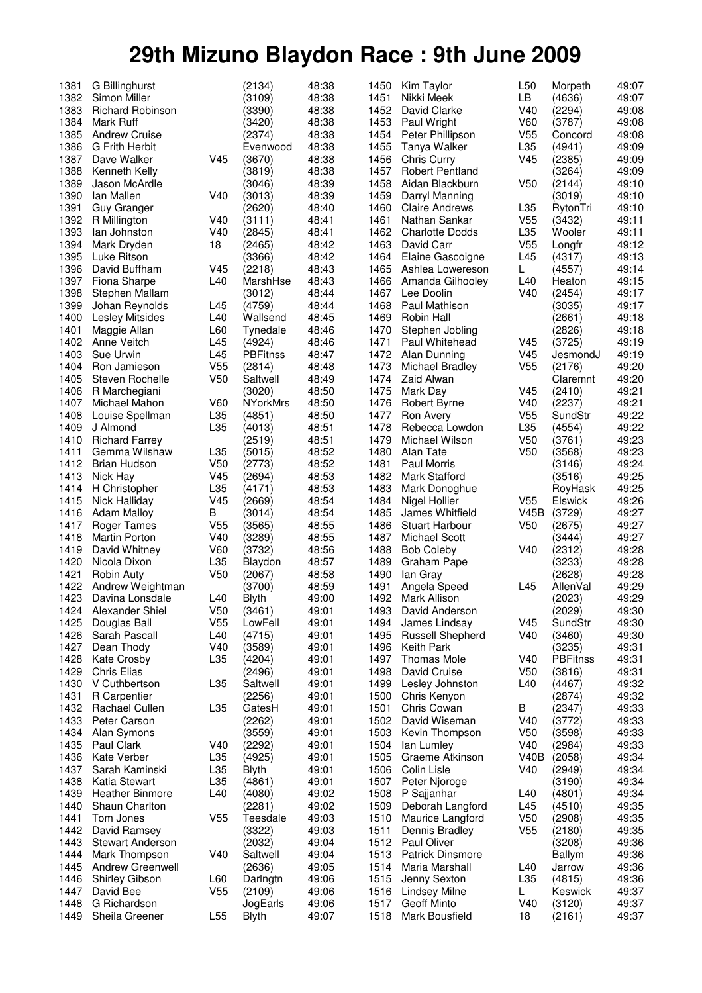| 1381 | G Billinghurst          |                 | (2134)          | 48:38 | 1450 | Kim Taylor              | L <sub>50</sub> | Morpeth         | 49:07 |
|------|-------------------------|-----------------|-----------------|-------|------|-------------------------|-----------------|-----------------|-------|
| 1382 | Simon Miller            |                 | (3109)          | 48:38 | 1451 | Nikki Meek              | LB.             | (4636)          | 49:07 |
| 1383 | <b>Richard Robinson</b> |                 | (3390)          | 48:38 | 1452 | David Clarke            | V40             | (2294)          | 49:08 |
| 1384 |                         |                 |                 |       |      |                         |                 |                 |       |
|      | Mark Ruff               |                 | (3420)          | 48:38 | 1453 | Paul Wright             | V60             | (3787)          | 49:08 |
| 1385 | <b>Andrew Cruise</b>    |                 | (2374)          | 48:38 | 1454 | Peter Phillipson        | V <sub>55</sub> | Concord         | 49:08 |
| 1386 | G Frith Herbit          |                 | Evenwood        | 48:38 | 1455 | Tanya Walker            | L35             | (4941)          | 49:09 |
| 1387 | Dave Walker             | V <sub>45</sub> | (3670)          | 48:38 | 1456 | <b>Chris Curry</b>      | V <sub>45</sub> | (2385)          | 49:09 |
|      |                         |                 |                 |       |      |                         |                 |                 |       |
| 1388 | Kenneth Kelly           |                 | (3819)          | 48:38 | 1457 | <b>Robert Pentland</b>  |                 | (3264)          | 49:09 |
| 1389 | Jason McArdle           |                 | (3046)          | 48:39 | 1458 | Aidan Blackburn         | V50             | (2144)          | 49:10 |
| 1390 | lan Mallen              | V40             | (3013)          | 48:39 | 1459 | Darryl Manning          |                 | (3019)          | 49:10 |
|      |                         |                 |                 |       |      |                         |                 |                 | 49:10 |
| 1391 | <b>Guy Granger</b>      |                 | (2620)          | 48:40 | 1460 | <b>Claire Andrews</b>   | L35             | RytonTri        |       |
| 1392 | R Millington            | V40             | (3111)          | 48:41 | 1461 | Nathan Sankar           | V <sub>55</sub> | (3432)          | 49:11 |
| 1393 | lan Johnston            | V40             | (2845)          | 48:41 | 1462 | <b>Charlotte Dodds</b>  | L <sub>35</sub> | Wooler          | 49:11 |
| 1394 | Mark Dryden             | 18              | (2465)          | 48:42 | 1463 | David Carr              | V <sub>55</sub> | Longfr          | 49:12 |
|      |                         |                 |                 |       |      |                         |                 |                 |       |
| 1395 | Luke Ritson             |                 | (3366)          | 48:42 | 1464 | Elaine Gascoigne        | L45             | (4317)          | 49:13 |
| 1396 | David Buffham           | V <sub>45</sub> | (2218)          | 48:43 | 1465 | Ashlea Lowereson        | L               | (4557)          | 49:14 |
| 1397 | Fiona Sharpe            | L <sub>40</sub> | MarshHse        | 48:43 | 1466 | Amanda Gilhooley        | L <sub>40</sub> | Heaton          | 49:15 |
| 1398 | Stephen Mallam          |                 | (3012)          | 48:44 | 1467 | Lee Doolin              | V40             | (2454)          | 49:17 |
|      |                         |                 |                 |       |      |                         |                 |                 |       |
| 1399 | Johan Reynolds          | L45             | (4759)          | 48:44 | 1468 | Paul Mathison           |                 | (3035)          | 49:17 |
| 1400 | <b>Lesley Mitsides</b>  | L <sub>40</sub> | Wallsend        | 48:45 | 1469 | Robin Hall              |                 | (2661)          | 49:18 |
| 1401 | Maggie Allan            | L60             | Tynedale        | 48:46 | 1470 | Stephen Jobling         |                 | (2826)          | 49:18 |
| 1402 | Anne Veitch             | L45             |                 | 48:46 | 1471 | Paul Whitehead          | V45             | (3725)          | 49:19 |
|      |                         |                 | (4924)          |       |      |                         |                 |                 |       |
| 1403 | Sue Urwin               | L45             | <b>PBFitnss</b> | 48:47 | 1472 | Alan Dunning            | V45             | JesmondJ        | 49:19 |
| 1404 | Ron Jamieson            | V <sub>55</sub> | (2814)          | 48:48 | 1473 | Michael Bradley         | V <sub>55</sub> | (2176)          | 49:20 |
| 1405 | Steven Rochelle         | V <sub>50</sub> | Saltwell        | 48:49 | 1474 | Zaid Alwan              |                 | Claremnt        | 49:20 |
|      |                         |                 |                 |       |      |                         |                 |                 |       |
| 1406 | R Marchegiani           |                 | (3020)          | 48:50 | 1475 | Mark Day                | V45             | (2410)          | 49:21 |
| 1407 | Michael Mahon           | V60             | <b>NYorkMrs</b> | 48:50 | 1476 | <b>Robert Byrne</b>     | V40             | (2237)          | 49:21 |
| 1408 | Louise Spellman         | L35             | (4851)          | 48:50 | 1477 | Ron Avery               | V <sub>55</sub> | SundStr         | 49:22 |
| 1409 | J Almond                | L35             | (4013)          | 48:51 | 1478 | Rebecca Lowdon          | L35             | (4554)          | 49:22 |
|      |                         |                 |                 |       |      |                         |                 |                 |       |
| 1410 | <b>Richard Farrey</b>   |                 | (2519)          | 48:51 | 1479 | Michael Wilson          | V50             | (3761)          | 49:23 |
| 1411 | Gemma Wilshaw           | L35             | (5015)          | 48:52 | 1480 | Alan Tate               | V <sub>50</sub> | (3568)          | 49:23 |
| 1412 | <b>Brian Hudson</b>     | V <sub>50</sub> | (2773)          | 48:52 | 1481 | <b>Paul Morris</b>      |                 | (3146)          | 49:24 |
| 1413 | Nick Hay                | V45             | (2694)          | 48:53 | 1482 | Mark Stafford           |                 | (3516)          | 49:25 |
|      |                         |                 |                 |       |      |                         |                 |                 |       |
| 1414 | H Christopher           | L35             | (4171)          | 48:53 | 1483 | Mark Donoghue           |                 | RoyHask         | 49:25 |
| 1415 | Nick Halliday           | V45             | (2669)          | 48:54 | 1484 | Nigel Hollier           | V <sub>55</sub> | <b>Elswick</b>  | 49:26 |
| 1416 | <b>Adam Malloy</b>      | В               | (3014)          | 48:54 | 1485 | James Whitfield         | V45B            | (3729)          | 49:27 |
| 1417 |                         | V <sub>55</sub> |                 |       | 1486 | <b>Stuart Harbour</b>   | V <sub>50</sub> |                 | 49:27 |
|      | Roger Tames             |                 | (3565)          | 48:55 |      |                         |                 | (2675)          |       |
| 1418 | Martin Porton           | V40             | (3289)          | 48:55 | 1487 | Michael Scott           |                 | (3444)          | 49:27 |
| 1419 | David Whitney           | V60             | (3732)          | 48:56 | 1488 | <b>Bob Coleby</b>       | V40             | (2312)          | 49:28 |
| 1420 | Nicola Dixon            | L35             | Blaydon         | 48:57 | 1489 | Graham Pape             |                 | (3233)          | 49:28 |
|      |                         |                 |                 |       |      |                         |                 |                 |       |
| 1421 | Robin Auty              | V50             | (2067)          | 48:58 | 1490 | lan Gray                |                 | (2628)          | 49:28 |
| 1422 | Andrew Weightman        |                 | (3700)          | 48:59 | 1491 | Angela Speed            | L45             | AllenVal        | 49:29 |
| 1423 | Davina Lonsdale         | L40             | <b>Blyth</b>    | 49:00 | 1492 | Mark Allison            |                 | (2023)          | 49:29 |
| 1424 | Alexander Shiel         | V50             | (3461)          | 49:01 | 1493 | David Anderson          |                 | (2029)          | 49:30 |
|      |                         |                 |                 |       |      |                         |                 |                 |       |
| 1425 | Douglas Ball            | V <sub>55</sub> | LowFell         | 49:01 | 1494 | James Lindsay           | V45             | SundStr         | 49:30 |
| 1426 | Sarah Pascall           | L40             | (4715)          | 49:01 | 1495 | <b>Russell Shepherd</b> | V40             | (3460)          | 49:30 |
| 1427 | Dean Thody              | V40             | (3589)          | 49:01 | 1496 | Keith Park              |                 | (3235)          | 49:31 |
| 1428 | Kate Crosby             | L35             | (4204)          | 49:01 | 1497 | <b>Thomas Mole</b>      | V40             | <b>PBFitnss</b> | 49:31 |
|      |                         |                 |                 |       | 1498 | David Cruise            | V <sub>50</sub> |                 |       |
| 1429 | Chris Elias             |                 | (2496)          | 49:01 |      |                         |                 | (3816)          | 49:31 |
| 1430 | V Cuthbertson           | L35             | Saltwell        | 49:01 | 1499 | Lesley Johnston         | L40             | (4467)          | 49:32 |
| 1431 | R Carpentier            |                 | (2256)          | 49:01 | 1500 | Chris Kenyon            |                 | (2874)          | 49:32 |
| 1432 | Rachael Cullen          | L35             | GatesH          | 49:01 | 1501 | Chris Cowan             | В               | (2347)          | 49:33 |
|      |                         |                 |                 |       |      | David Wiseman           |                 |                 |       |
| 1433 | Peter Carson            |                 | (2262)          | 49:01 | 1502 |                         | V40             | (3772)          | 49:33 |
| 1434 | Alan Symons             |                 | (3559)          | 49:01 | 1503 | Kevin Thompson          | V50             | (3598)          | 49:33 |
| 1435 | Paul Clark              | V40             | (2292)          | 49:01 | 1504 | lan Lumley              | V40             | (2984)          | 49:33 |
| 1436 | Kate Verber             | L35             | (4925)          | 49:01 | 1505 | Graeme Atkinson         | <b>V40B</b>     | (2058)          | 49:34 |
|      |                         |                 |                 |       |      |                         |                 |                 |       |
| 1437 | Sarah Kaminski          | L35             | <b>Blyth</b>    | 49:01 | 1506 | Colin Lisle             | V40             | (2949)          | 49:34 |
| 1438 | Katia Stewart           | L35             | (4861)          | 49:01 | 1507 | Peter Njoroge           |                 | (3190)          | 49:34 |
| 1439 | <b>Heather Binmore</b>  | L40             | (4080)          | 49:02 | 1508 | P Sajjanhar             | L40             | (4801)          | 49:34 |
| 1440 | Shaun Charlton          |                 | (2281)          | 49:02 | 1509 | Deborah Langford        | L45             | (4510)          | 49:35 |
|      |                         |                 |                 |       |      |                         |                 |                 |       |
| 1441 | Tom Jones               | V <sub>55</sub> | Teesdale        | 49:03 | 1510 | Maurice Langford        | V <sub>50</sub> | (2908)          | 49:35 |
| 1442 | David Ramsey            |                 | (3322)          | 49:03 | 1511 | Dennis Bradley          | V <sub>55</sub> | (2180)          | 49:35 |
| 1443 | <b>Stewart Anderson</b> |                 | (2032)          | 49:04 | 1512 | Paul Oliver             |                 | (3208)          | 49:36 |
| 1444 | Mark Thompson           | V40             | Saltwell        | 49:04 | 1513 | <b>Patrick Dinsmore</b> |                 | <b>Ballym</b>   | 49:36 |
|      |                         |                 |                 |       |      |                         |                 |                 |       |
| 1445 | Andrew Greenwell        |                 | (2636)          | 49:05 | 1514 | Maria Marshall          | L40             | Jarrow          | 49:36 |
| 1446 | Shirley Gibson          | L60             | Darlngtn        | 49:06 | 1515 | Jenny Sexton            | L35             | (4815)          | 49:36 |
| 1447 | David Bee               | V <sub>55</sub> | (2109)          | 49:06 | 1516 | Lindsey Milne           | L               | Keswick         | 49:37 |
| 1448 | G Richardson            |                 | JogEarls        | 49:06 | 1517 | <b>Geoff Minto</b>      | V40             | (3120)          | 49:37 |
| 1449 |                         | L <sub>55</sub> |                 |       | 1518 | Mark Bousfield          | 18              |                 | 49:37 |
|      | Sheila Greener          |                 | <b>Blyth</b>    | 49:07 |      |                         |                 | (2161)          |       |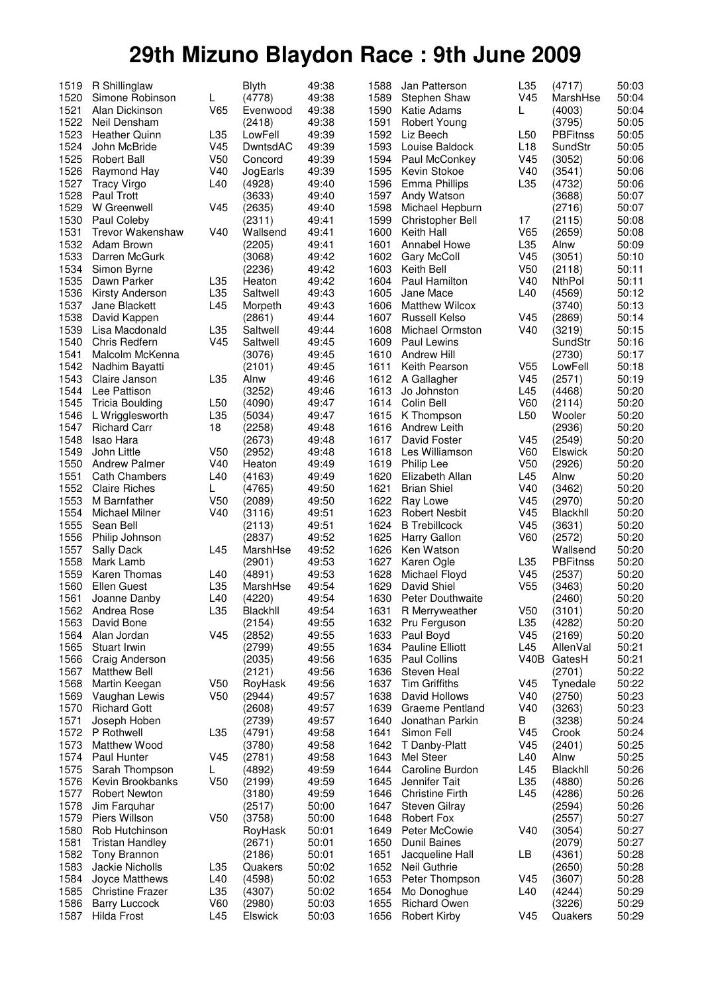| 1519 | R Shillinglaw           |                 | <b>Blyth</b> | 49:38 | 1588 | Jan Patterson           | L35             | (4717)          | 50:03 |
|------|-------------------------|-----------------|--------------|-------|------|-------------------------|-----------------|-----------------|-------|
| 1520 | Simone Robinson         | L               | (4778)       | 49:38 | 1589 | Stephen Shaw            | V <sub>45</sub> | MarshHse        | 50:04 |
| 1521 | Alan Dickinson          | V65             | Evenwood     | 49:38 | 1590 | <b>Katie Adams</b>      | L               | (4003)          | 50:04 |
| 1522 | Neil Densham            |                 | (2418)       | 49:38 | 1591 | <b>Robert Young</b>     |                 | (3795)          | 50:05 |
| 1523 |                         |                 |              |       |      |                         |                 |                 |       |
|      | <b>Heather Quinn</b>    | L <sub>35</sub> | LowFell      | 49:39 | 1592 | Liz Beech               | L <sub>50</sub> | <b>PBFitnss</b> | 50:05 |
| 1524 | John McBride            | V45             | DwntsdAC     | 49:39 | 1593 | Louise Baldock          | L18             | SundStr         | 50:05 |
| 1525 | <b>Robert Ball</b>      | V <sub>50</sub> | Concord      | 49:39 | 1594 | Paul McConkey           | V <sub>45</sub> | (3052)          | 50:06 |
| 1526 | Raymond Hay             | V40             | JogEarls     | 49:39 | 1595 | Kevin Stokoe            | V40             | (3541)          | 50:06 |
| 1527 | <b>Tracy Virgo</b>      | L <sub>40</sub> | (4928)       | 49:40 | 1596 | Emma Phillips           | L35             | (4732)          | 50:06 |
| 1528 | Paul Trott              |                 | (3633)       | 49:40 | 1597 | Andy Watson             |                 | (3688)          | 50:07 |
| 1529 | W Greenwell             | V45             | (2635)       | 49:40 | 1598 | Michael Hepburn         |                 | (2716)          | 50:07 |
| 1530 | Paul Coleby             |                 | (2311)       | 49:41 | 1599 | Christopher Bell        | 17              | (2115)          | 50:08 |
| 1531 | <b>Trevor Wakenshaw</b> | V40             | Wallsend     | 49:41 | 1600 | Keith Hall              | V65             | (2659)          | 50:08 |
| 1532 | Adam Brown              |                 |              | 49:41 | 1601 | <b>Annabel Howe</b>     | L <sub>35</sub> | Alnw            | 50:09 |
| 1533 |                         |                 | (2205)       |       |      |                         |                 |                 |       |
|      | Darren McGurk           |                 | (3068)       | 49:42 | 1602 | <b>Gary McColl</b>      | V <sub>45</sub> | (3051)          | 50:10 |
| 1534 | Simon Byrne             |                 | (2236)       | 49:42 | 1603 | Keith Bell              | V <sub>50</sub> | (2118)          | 50:11 |
| 1535 | Dawn Parker             | L <sub>35</sub> | Heaton       | 49:42 | 1604 | Paul Hamilton           | V40             | <b>NthPol</b>   | 50:11 |
| 1536 | <b>Kirsty Anderson</b>  | L <sub>35</sub> | Saltwell     | 49:43 | 1605 | Jane Mace               | L <sub>40</sub> | (4569)          | 50:12 |
| 1537 | Jane Blackett           | L45             | Morpeth      | 49:43 | 1606 | <b>Matthew Wilcox</b>   |                 | (3740)          | 50:13 |
| 1538 | David Kappen            |                 | (2861)       | 49:44 | 1607 | <b>Russell Kelso</b>    | V45             | (2869)          | 50:14 |
| 1539 | Lisa Macdonald          | L <sub>35</sub> | Saltwell     | 49:44 | 1608 | <b>Michael Ormston</b>  | V40             | (3219)          | 50:15 |
| 1540 | Chris Redfern           | V45             | Saltwell     | 49:45 | 1609 | Paul Lewins             |                 | SundStr         | 50:16 |
| 1541 | Malcolm McKenna         |                 | (3076)       | 49:45 | 1610 | <b>Andrew Hill</b>      |                 | (2730)          | 50:17 |
| 1542 | Nadhim Bayatti          |                 | (2101)       | 49:45 | 1611 | Keith Pearson           | V <sub>55</sub> | LowFell         | 50:18 |
| 1543 | Claire Janson           | L35             | Alnw         | 49:46 | 1612 |                         | V <sub>45</sub> | (2571)          | 50:19 |
|      |                         |                 |              |       |      | A Gallagher             |                 |                 |       |
| 1544 | Lee Pattison            |                 | (3252)       | 49:46 | 1613 | Jo Johnston             | L45             | (4468)          | 50:20 |
| 1545 | <b>Tricia Boulding</b>  | L50             | (4090)       | 49:47 | 1614 | Colin Bell              | V60             | (2114)          | 50:20 |
| 1546 | L Wrigglesworth         | L35             | (5034)       | 49:47 | 1615 | K Thompson              | L <sub>50</sub> | Wooler          | 50:20 |
| 1547 | <b>Richard Carr</b>     | 18              | (2258)       | 49:48 | 1616 | Andrew Leith            |                 | (2936)          | 50:20 |
| 1548 | Isao Hara               |                 | (2673)       | 49:48 | 1617 | David Foster            | V45             | (2549)          | 50:20 |
| 1549 | John Little             | V <sub>50</sub> | (2952)       | 49:48 | 1618 | Les Williamson          | V60             | <b>Elswick</b>  | 50:20 |
| 1550 | <b>Andrew Palmer</b>    | V40             | Heaton       | 49:49 | 1619 | Philip Lee              | V <sub>50</sub> | (2926)          | 50:20 |
| 1551 | <b>Cath Chambers</b>    | L40             | (4163)       | 49:49 | 1620 | Elizabeth Allan         | L45             | Alnw            | 50:20 |
| 1552 | <b>Claire Riches</b>    | L               | (4765)       | 49:50 | 1621 | <b>Brian Shiel</b>      | V40             | (3462)          | 50:20 |
| 1553 | M Barnfather            | V <sub>50</sub> | (2089)       | 49:50 | 1622 | Ray Lowe                | V <sub>45</sub> | (2970)          | 50:20 |
| 1554 | Michael Milner          | V40             |              | 49:51 | 1623 | <b>Robert Nesbit</b>    | V <sub>45</sub> | Blackhll        | 50:20 |
|      |                         |                 | (3116)       |       |      |                         |                 |                 |       |
| 1555 | Sean Bell               |                 | (2113)       | 49:51 | 1624 | <b>B</b> Trebillcock    | V45             | (3631)          | 50:20 |
| 1556 | Philip Johnson          |                 | (2837)       | 49:52 | 1625 | Harry Gallon            | V60             | (2572)          | 50:20 |
| 1557 | Sally Dack              | L45             | MarshHse     | 49:52 | 1626 | Ken Watson              |                 | Wallsend        | 50:20 |
| 1558 | Mark Lamb               |                 | (2901)       | 49:53 | 1627 | Karen Ogle              | L35             | <b>PBFitnss</b> | 50:20 |
| 1559 | <b>Karen Thomas</b>     | L40             | (4891)       | 49:53 | 1628 | Michael Floyd           | V <sub>45</sub> | (2537)          | 50:20 |
| 1560 | <b>Ellen Guest</b>      | L35             | MarshHse     | 49:54 | 1629 | David Shiel             | V <sub>55</sub> | (3463)          | 50:20 |
| 1561 | Joanne Danby            | L40             | (4220)       | 49:54 | 1630 | <b>Peter Douthwaite</b> |                 | (2460)          | 50:20 |
| 1562 | Andrea Rose             | L35             | Blackhll     | 49:54 | 1631 | R Merryweather          | V50             | (3101)          | 50:20 |
| 1563 | David Bone              |                 | (2154)       | 49:55 | 1632 | Pru Ferguson            | L35             | (4282)          | 50:20 |
| 1564 | Alan Jordan             | V45             | (2852)       | 49:55 | 1633 | Paul Boyd               | V <sub>45</sub> | (2169)          | 50:20 |
| 1565 | Stuart Irwin            |                 | (2799)       | 49:55 | 1634 | <b>Pauline Elliott</b>  | L45             | AllenVal        | 50:21 |
|      |                         |                 |              |       |      |                         |                 | V40B GatesH     |       |
| 1566 | Craig Anderson          |                 | (2035)       | 49:56 | 1635 | Paul Collins            |                 |                 | 50:21 |
| 1567 | <b>Matthew Bell</b>     |                 | (2121)       | 49:56 | 1636 | Steven Heal             |                 | (2701)          | 50:22 |
| 1568 | Martin Keegan           | V50             | RoyHask      | 49:56 | 1637 | <b>Tim Griffiths</b>    | V <sub>45</sub> | Tynedale        | 50:22 |
| 1569 | Vaughan Lewis           | V50             | (2944)       | 49:57 | 1638 | David Hollows           | V40             | (2750)          | 50:23 |
| 1570 | <b>Richard Gott</b>     |                 | (2608)       | 49:57 | 1639 | Graeme Pentland         | V40             | (3263)          | 50:23 |
| 1571 | Joseph Hoben            |                 | (2739)       | 49:57 | 1640 | Jonathan Parkin         | В               | (3238)          | 50:24 |
| 1572 | P Rothwell              | L35             | (4791)       | 49:58 | 1641 | Simon Fell              | V45             | Crook           | 50:24 |
| 1573 | <b>Matthew Wood</b>     |                 | (3780)       | 49:58 | 1642 | T Danby-Platt           | V45             | (2401)          | 50:25 |
| 1574 | Paul Hunter             | V <sub>45</sub> | (2781)       | 49:58 | 1643 | Mel Steer               | L40             | Alnw            | 50:25 |
| 1575 | Sarah Thompson          | L               | (4892)       | 49:59 | 1644 | Caroline Burdon         | L <sub>45</sub> | Blackhll        | 50:26 |
| 1576 | Kevin Brookbanks        | V50             | (2199)       | 49:59 | 1645 | Jennifer Tait           | L35             | (4880)          | 50:26 |
|      |                         |                 |              |       |      |                         |                 |                 |       |
| 1577 | <b>Robert Newton</b>    |                 | (3180)       | 49:59 | 1646 | <b>Christine Firth</b>  | L45             | (4286)          | 50:26 |
| 1578 | Jim Farquhar            |                 | (2517)       | 50:00 | 1647 | Steven Gilray           |                 | (2594)          | 50:26 |
| 1579 | Piers Willson           | V50             | (3758)       | 50:00 | 1648 | Robert Fox              |                 | (2557)          | 50:27 |
| 1580 | Rob Hutchinson          |                 | RoyHask      | 50:01 | 1649 | Peter McCowie           | V40             | (3054)          | 50:27 |
| 1581 | <b>Tristan Handley</b>  |                 | (2671)       | 50:01 | 1650 | <b>Dunil Baines</b>     |                 | (2079)          | 50:27 |
| 1582 | Tony Brannon            |                 | (2186)       | 50:01 | 1651 | Jacqueline Hall         | LВ              | (4361)          | 50:28 |
| 1583 | Jackie Nicholls         | L35             | Quakers      | 50:02 | 1652 | Neil Guthrie            |                 | (2650)          | 50:28 |
| 1584 | Joyce Matthews          | L40             | (4598)       | 50:02 | 1653 | Peter Thompson          | V45             | (3607)          | 50:28 |
| 1585 | <b>Christine Frazer</b> | L35             | (4307)       | 50:02 | 1654 | Mo Donoghue             | L40             | (4244)          | 50:29 |
| 1586 | <b>Barry Luccock</b>    | V60             | (2980)       | 50:03 | 1655 | <b>Richard Owen</b>     |                 | (3226)          | 50:29 |
| 1587 | Hilda Frost             | L45             | Elswick      | 50:03 | 1656 | <b>Robert Kirby</b>     | V45             | Quakers         | 50:29 |
|      |                         |                 |              |       |      |                         |                 |                 |       |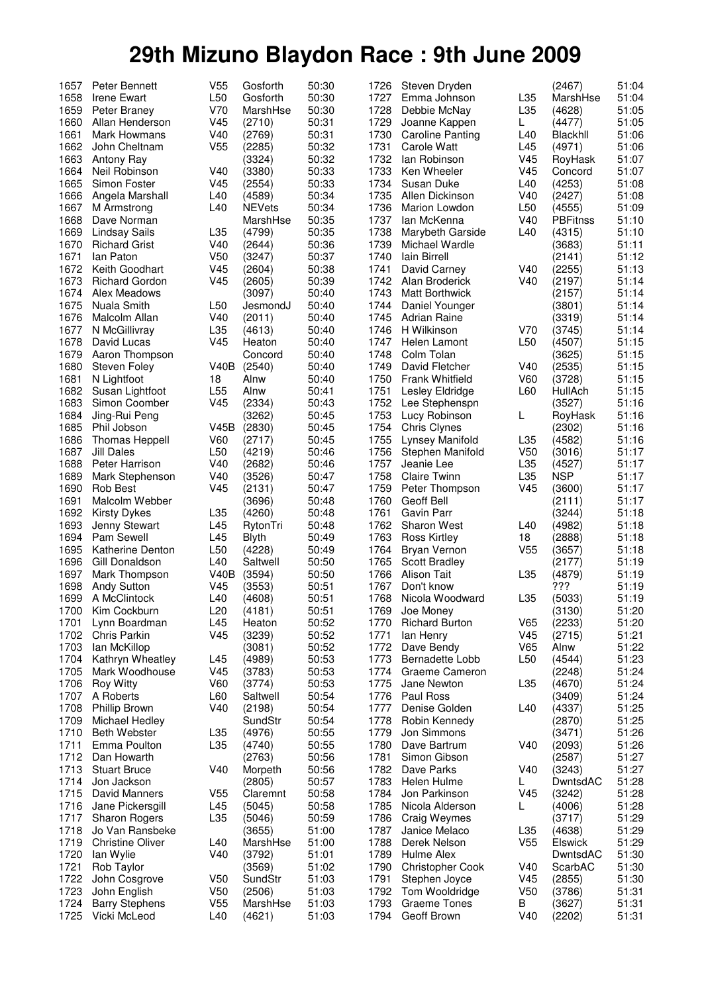| 1657 | Peter Bennett           | V <sub>55</sub> | Gosforth           | 50:30 | 1726 | Steven Dryden            |                 | (2467)           | 51:04 |
|------|-------------------------|-----------------|--------------------|-------|------|--------------------------|-----------------|------------------|-------|
| 1658 | <b>Irene Ewart</b>      | L <sub>50</sub> | Gosforth           | 50:30 | 1727 | Emma Johnson             | L35             | MarshHse         | 51:04 |
| 1659 | Peter Braney            | V70             | MarshHse           | 50:30 | 1728 | Debbie McNay             | L <sub>35</sub> | (4628)           | 51:05 |
| 1660 | Allan Henderson         | V45             | (2710)             | 50:31 | 1729 | Joanne Kappen            | L.              | (4477)           | 51:05 |
| 1661 | Mark Howmans            | V40             | (2769)             | 50:31 | 1730 | <b>Caroline Panting</b>  | L40             | Blackhll         | 51:06 |
| 1662 | John Cheltnam           | V <sub>55</sub> | (2285)             | 50:32 | 1731 | Carole Watt              | L <sub>45</sub> | (4971)           | 51:06 |
|      |                         |                 |                    |       |      | Ian Robinson             |                 |                  |       |
| 1663 | <b>Antony Ray</b>       |                 | (3324)             | 50:32 | 1732 |                          | V45             | RoyHask          | 51:07 |
| 1664 | Neil Robinson           | V40             | (3380)             | 50:33 | 1733 | Ken Wheeler              | V45             | Concord          | 51:07 |
| 1665 | Simon Foster            | V <sub>45</sub> | (2554)             | 50:33 | 1734 | Susan Duke               | L <sub>40</sub> | (4253)           | 51:08 |
| 1666 | Angela Marshall         | L40             | (4589)             | 50:34 | 1735 | Allen Dickinson          | V40             | (2427)           | 51:08 |
| 1667 | M Armstrong             | L40             | <b>NEVets</b>      | 50:34 | 1736 | Marion Lowdon            | L <sub>50</sub> | (4555)           | 51:09 |
| 1668 | Dave Norman             |                 | MarshHse           | 50:35 | 1737 | lan McKenna              | V40             | <b>PBFitnss</b>  | 51:10 |
| 1669 | <b>Lindsay Sails</b>    | L35             | (4799)             | 50:35 | 1738 | Marybeth Garside         | L40             | (4315)           | 51:10 |
| 1670 | <b>Richard Grist</b>    | V40             | (2644)             | 50:36 | 1739 | Michael Wardle           |                 | (3683)           | 51:11 |
| 1671 | lan Paton               | V50             | (3247)             | 50:37 | 1740 | Iain Birrell             |                 | (2141)           | 51:12 |
| 1672 | Keith Goodhart          | V <sub>45</sub> | (2604)             | 50:38 | 1741 | David Carney             | V40             | (2255)           | 51:13 |
| 1673 | <b>Richard Gordon</b>   | V <sub>45</sub> | (2605)             | 50:39 | 1742 | Alan Broderick           | V40             | (2197)           | 51:14 |
| 1674 | Alex Meadows            |                 | (3097)             | 50:40 | 1743 | Matt Borthwick           |                 | (2157)           | 51:14 |
| 1675 | <b>Nuala Smith</b>      | L50             | JesmondJ           | 50:40 | 1744 | Daniel Younger           |                 | (3801)           | 51:14 |
| 1676 | Malcolm Allan           | V40             | (2011)             | 50:40 | 1745 | <b>Adrian Raine</b>      |                 | (3319)           | 51:14 |
| 1677 | N McGillivray           | L35             | (4613)             | 50:40 | 1746 | H Wilkinson              | V70             | (3745)           | 51:14 |
| 1678 | David Lucas             | V45             | Heaton             | 50:40 | 1747 | Helen Lamont             | L <sub>50</sub> | (4507)           | 51:15 |
| 1679 | Aaron Thompson          |                 | Concord            | 50:40 | 1748 | Colm Tolan               |                 | (3625)           | 51:15 |
| 1680 | Steven Foley            | V40B            | (2540)             | 50:40 | 1749 | David Fletcher           | V40             | (2535)           | 51:15 |
| 1681 | N Lightfoot             | 18              | Alnw               | 50:40 | 1750 | <b>Frank Whitfield</b>   | V60             | (3728)           | 51:15 |
| 1682 | Susan Lightfoot         | L <sub>55</sub> | Alnw               | 50:41 | 1751 | Lesley Eldridge          | L60             | <b>HullAch</b>   | 51:15 |
| 1683 | Simon Coomber           | V <sub>45</sub> |                    |       |      |                          |                 |                  | 51:16 |
|      |                         |                 | (2334)             | 50:43 | 1752 | Lee Stephenspn           |                 | (3527)           |       |
| 1684 | Jing-Rui Peng           |                 | (3262)             | 50:45 | 1753 | Lucy Robinson            | L               | RoyHask          | 51:16 |
| 1685 | Phil Jobson             | <b>V45B</b>     | (2830)             | 50:45 | 1754 | <b>Chris Clynes</b>      |                 | (2302)           | 51:16 |
| 1686 | Thomas Heppell          | V60             | (2717)             | 50:45 | 1755 | Lynsey Manifold          | L <sub>35</sub> | (4582)           | 51:16 |
| 1687 | Jill Dales              | L <sub>50</sub> | (4219)             | 50:46 | 1756 | Stephen Manifold         | V50             | (3016)           | 51:17 |
| 1688 | Peter Harrison          | V40             | (2682)             | 50:46 | 1757 | Jeanie Lee               | L <sub>35</sub> | (4527)           | 51:17 |
| 1689 | Mark Stephenson         | V40             | (3526)             | 50:47 | 1758 | <b>Claire Twinn</b>      | L <sub>35</sub> | <b>NSP</b>       | 51:17 |
| 1690 | Rob Best                | V <sub>45</sub> | (2131)             | 50:47 | 1759 | Peter Thompson           | V45             | (3600)           | 51:17 |
| 1691 | Malcolm Webber          |                 | (3696)             | 50:48 | 1760 | Geoff Bell               |                 | (2111)           | 51:17 |
| 1692 | <b>Kirsty Dykes</b>     | L35             | (4260)             | 50:48 | 1761 | <b>Gavin Parr</b>        |                 | (3244)           | 51:18 |
| 1693 | Jenny Stewart           | L45             | RytonTri           | 50:48 | 1762 | <b>Sharon West</b>       | L40             | (4982)           | 51:18 |
| 1694 | <b>Pam Sewell</b>       | L45             | Blyth              | 50:49 | 1763 | <b>Ross Kirtley</b>      | 18              | (2888)           | 51:18 |
| 1695 | <b>Katherine Denton</b> | L <sub>50</sub> | (4228)             | 50:49 | 1764 | <b>Bryan Vernon</b>      | V <sub>55</sub> | (3657)           | 51:18 |
| 1696 | Gill Donaldson          | L40             | Saltwell           | 50:50 | 1765 | Scott Bradley            |                 | (2177)           | 51:19 |
| 1697 | Mark Thompson           | <b>V40B</b>     | (3594)             | 50:50 | 1766 | <b>Alison Tait</b>       | L <sub>35</sub> | (4879)           | 51:19 |
| 1698 | <b>Andy Sutton</b>      | V <sub>45</sub> | (3553)             | 50:51 | 1767 | Don't know               |                 | ???              | 51:19 |
| 1699 | A McClintock            | L40             | (4608)             | 50:51 | 1768 | Nicola Woodward          | L <sub>35</sub> | (5033)           | 51:19 |
| 1700 | Kim Cockburn            | L20             | (4181)             | 50:51 | 1769 | Joe Money                |                 | (3130)           | 51:20 |
| 1701 | Lynn Boardman           | L45             | Heaton             | 50:52 | 1770 | <b>Richard Burton</b>    | V65             | (2233)           | 51:20 |
| 1702 | Chris Parkin            | V <sub>45</sub> | (3239)             | 50:52 | 1771 | lan Henry                | V45             | (2715)           | 51:21 |
| 1703 | lan McKillop            |                 | (3081)             | 50:52 | 1772 | Dave Bendy               | V65             | Alnw             | 51:22 |
| 1704 | Kathryn Wheatley        | L45             | (4989)             | 50:53 | 1773 | <b>Bernadette Lobb</b>   | L50             | (4544)           | 51:23 |
| 1705 | Mark Woodhouse          | V <sub>45</sub> | (3783)             | 50:53 | 1774 | Graeme Cameron           |                 | (2248)           | 51:24 |
| 1706 |                         | V60             |                    |       | 1775 |                          |                 |                  | 51:24 |
| 1707 | <b>Roy Witty</b>        |                 | (3774)<br>Saltwell | 50:53 | 1776 | Jane Newton<br>Paul Ross | L35             | (4670)<br>(3409) | 51:24 |
|      | A Roberts               | L60             |                    | 50:54 |      |                          |                 |                  |       |
| 1708 | Phillip Brown           | V40             | (2198)             | 50:54 | 1777 | Denise Golden            | L40             | (4337)           | 51:25 |
| 1709 | Michael Hedley          |                 | SundStr            | 50:54 | 1778 | Robin Kennedy            |                 | (2870)           | 51:25 |
| 1710 | <b>Beth Webster</b>     | L35             | (4976)             | 50:55 | 1779 | Jon Simmons              |                 | (3471)           | 51:26 |
| 1711 | Emma Poulton            | L35             | (4740)             | 50:55 | 1780 | Dave Bartrum             | V40             | (2093)           | 51:26 |
| 1712 | Dan Howarth             |                 | (2763)             | 50:56 | 1781 | Simon Gibson             |                 | (2587)           | 51:27 |
| 1713 | <b>Stuart Bruce</b>     | V40             | Morpeth            | 50:56 | 1782 | Dave Parks               | V40             | (3243)           | 51:27 |
| 1714 | Jon Jackson             |                 | (2805)             | 50:57 | 1783 | Helen Hulme              | L               | DwntsdAC         | 51:28 |
| 1715 | David Manners           | V <sub>55</sub> | Claremnt           | 50:58 | 1784 | Jon Parkinson            | V45             | (3242)           | 51:28 |
| 1716 | Jane Pickersgill        | L45             | (5045)             | 50:58 | 1785 | Nicola Alderson          | L               | (4006)           | 51:28 |
| 1717 | <b>Sharon Rogers</b>    | L35             | (5046)             | 50:59 | 1786 | Craig Weymes             |                 | (3717)           | 51:29 |
| 1718 | Jo Van Ransbeke         |                 | (3655)             | 51:00 | 1787 | Janice Melaco            | L <sub>35</sub> | (4638)           | 51:29 |
| 1719 | <b>Christine Oliver</b> | L40             | MarshHse           | 51:00 | 1788 | Derek Nelson             | V <sub>55</sub> | <b>Elswick</b>   | 51:29 |
| 1720 | lan Wylie               | V40             | (3792)             | 51:01 | 1789 | Hulme Alex               |                 | DwntsdAC         | 51:30 |
| 1721 | Rob Taylor              |                 | (3569)             | 51:02 | 1790 | <b>Christopher Cook</b>  | V40             | ScarbAC          | 51:30 |
| 1722 | John Cosgrove           | V <sub>50</sub> | SundStr            | 51:03 | 1791 | Stephen Joyce            | V45             | (2855)           | 51:30 |
| 1723 | John English            | V <sub>50</sub> | (2506)             | 51:03 | 1792 | Tom Wooldridge           | V <sub>50</sub> | (3786)           | 51:31 |
| 1724 | <b>Barry Stephens</b>   | V <sub>55</sub> | MarshHse           | 51:03 | 1793 | <b>Graeme Tones</b>      | B               | (3627)           | 51:31 |
| 1725 | Vicki McLeod            | L40             | (4621)             | 51:03 | 1794 | Geoff Brown              | V40             | (2202)           | 51:31 |
|      |                         |                 |                    |       |      |                          |                 |                  |       |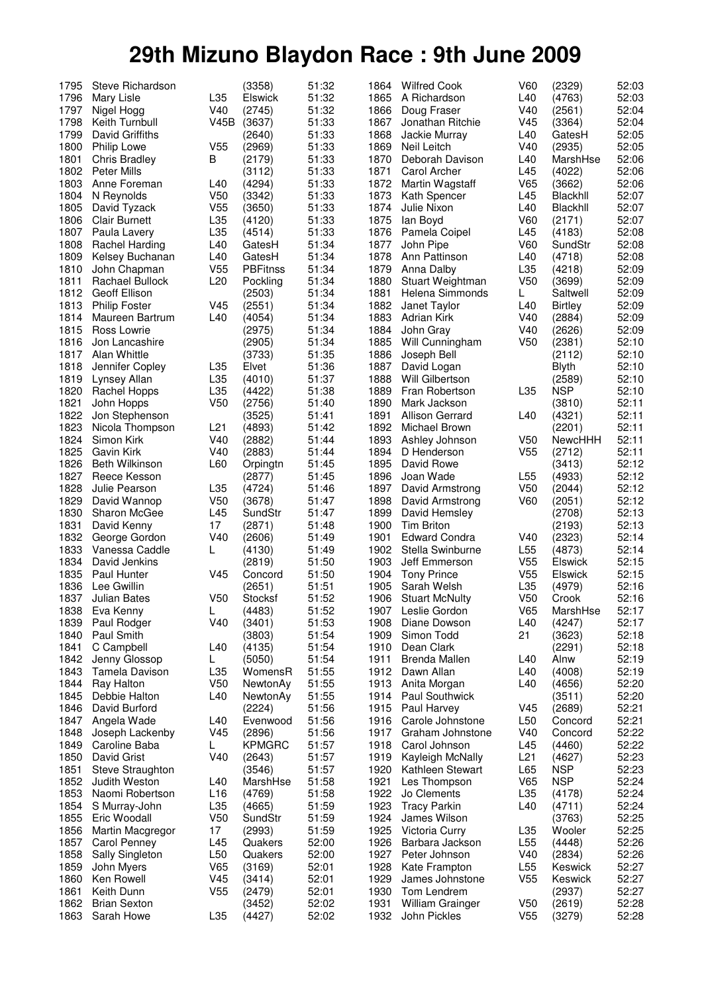| 1795 | Steve Richardson      |                 | (3358)          | 51:32 | 1864 | <b>Wilfred Cook</b>    | V60             | (2329)         | 52:03 |
|------|-----------------------|-----------------|-----------------|-------|------|------------------------|-----------------|----------------|-------|
| 1796 | Mary Lisle            | L35             | <b>Elswick</b>  | 51:32 | 1865 | A Richardson           | L40             | (4763)         | 52:03 |
| 1797 |                       | V40             |                 | 51:32 | 1866 |                        | V40             | (2561)         | 52:04 |
|      | Nigel Hogg            |                 | (2745)          |       |      | Doug Fraser            |                 |                |       |
| 1798 | Keith Turnbull        | V45B            | (3637)          | 51:33 | 1867 | Jonathan Ritchie       | V45             | (3364)         | 52:04 |
| 1799 | David Griffiths       |                 | (2640)          | 51:33 | 1868 | Jackie Murray          | L40             | GatesH         | 52:05 |
| 1800 |                       | V <sub>55</sub> |                 | 51:33 | 1869 | Neil Leitch            | V40             |                | 52:05 |
|      | <b>Philip Lowe</b>    |                 | (2969)          |       |      |                        |                 | (2935)         |       |
| 1801 | <b>Chris Bradley</b>  | В               | (2179)          | 51:33 | 1870 | Deborah Davison        | L40             | MarshHse       | 52:06 |
| 1802 | <b>Peter Mills</b>    |                 | (3112)          | 51:33 | 1871 | Carol Archer           | L45             | (4022)         | 52:06 |
|      |                       |                 |                 |       |      |                        |                 |                |       |
| 1803 | Anne Foreman          | L40             | (4294)          | 51:33 | 1872 | Martin Wagstaff        | V65             | (3662)         | 52:06 |
| 1804 | N Reynolds            | V <sub>50</sub> | (3342)          | 51:33 | 1873 | Kath Spencer           | L45             | Blackhll       | 52:07 |
| 1805 | David Tyzack          | V <sub>55</sub> | (3650)          | 51:33 | 1874 | Julie Nixon            | L40             | Blackhll       | 52:07 |
|      |                       |                 |                 |       |      |                        |                 |                |       |
| 1806 | <b>Clair Burnett</b>  | L35             | (4120)          | 51:33 | 1875 | lan Boyd               | V60             | (2171)         | 52:07 |
| 1807 | Paula Lavery          | L35             | (4514)          | 51:33 | 1876 | Pamela Coipel          | L <sub>45</sub> | (4183)         | 52:08 |
| 1808 | Rachel Harding        | L40             | GatesH          | 51:34 | 1877 | John Pipe              | <b>V60</b>      | SundStr        | 52:08 |
| 1809 | Kelsey Buchanan       | L40             | GatesH          | 51:34 | 1878 | Ann Pattinson          | L40             | (4718)         | 52:08 |
|      |                       |                 |                 |       |      |                        |                 |                |       |
| 1810 | John Chapman          | V <sub>55</sub> | <b>PBFitnss</b> | 51:34 | 1879 | Anna Dalby             | L35             | (4218)         | 52:09 |
| 1811 | Rachael Bullock       | L20             | Pockling        | 51:34 | 1880 | Stuart Weightman       | V <sub>50</sub> | (3699)         | 52:09 |
| 1812 | Geoff Ellison         |                 | (2503)          | 51:34 | 1881 | Helena Simmonds        | L               | Saltwell       | 52:09 |
| 1813 |                       | V45             |                 | 51:34 | 1882 | Janet Taylor           | L40             |                | 52:09 |
|      | <b>Philip Foster</b>  |                 | (2551)          |       |      |                        |                 | <b>Birtley</b> |       |
| 1814 | Maureen Bartrum       | L40             | (4054)          | 51:34 | 1883 | <b>Adrian Kirk</b>     | V40             | (2884)         | 52:09 |
| 1815 | Ross Lowrie           |                 | (2975)          | 51:34 | 1884 | John Gray              | V40             | (2626)         | 52:09 |
| 1816 | Jon Lancashire        |                 | (2905)          | 51:34 | 1885 | Will Cunningham        | V50             | (2381)         | 52:10 |
|      |                       |                 |                 |       |      |                        |                 |                |       |
| 1817 | Alan Whittle          |                 | (3733)          | 51:35 | 1886 | Joseph Bell            |                 | (2112)         | 52:10 |
| 1818 | Jennifer Copley       | L <sub>35</sub> | Elvet           | 51:36 | 1887 | David Logan            |                 | <b>Blyth</b>   | 52:10 |
| 1819 | Lynsey Allan          | L35             | (4010)          | 51:37 | 1888 | Will Gilbertson        |                 | (2589)         | 52:10 |
| 1820 |                       |                 |                 | 51:38 | 1889 | Fran Robertson         | L <sub>35</sub> | <b>NSP</b>     | 52:10 |
|      | Rachel Hopps          | L35             | (4422)          |       |      |                        |                 |                |       |
| 1821 | John Hopps            | V <sub>50</sub> | (2756)          | 51:40 | 1890 | Mark Jackson           |                 | (3810)         | 52:11 |
| 1822 | Jon Stephenson        |                 | (3525)          | 51:41 | 1891 | <b>Allison Gerrard</b> | L40             | (4321)         | 52:11 |
| 1823 | Nicola Thompson       | L21             | (4893)          | 51:42 | 1892 | <b>Michael Brown</b>   |                 | (2201)         | 52:11 |
|      |                       |                 |                 |       |      |                        |                 |                |       |
| 1824 | Simon Kirk            | V40             | (2882)          | 51:44 | 1893 | Ashley Johnson         | V50             | NewcHHH        | 52:11 |
| 1825 | Gavin Kirk            | V40             | (2883)          | 51:44 | 1894 | D Henderson            | V <sub>55</sub> | (2712)         | 52:11 |
| 1826 | <b>Beth Wilkinson</b> | L60             | Orpingtn        | 51:45 | 1895 | David Rowe             |                 | (3413)         | 52:12 |
| 1827 | Reece Kesson          |                 | (2877)          | 51:45 | 1896 | Joan Wade              | L <sub>55</sub> | (4933)         | 52:12 |
|      |                       |                 |                 |       |      |                        |                 |                |       |
| 1828 | Julie Pearson         | L35             | (4724)          | 51:46 | 1897 | David Armstrong        | V <sub>50</sub> | (2044)         | 52:12 |
| 1829 | David Wannop          | V <sub>50</sub> | (3678)          | 51:47 | 1898 | David Armstrong        | V60             | (2051)         | 52:12 |
| 1830 | Sharon McGee          | L45             | <b>SundStr</b>  | 51:47 | 1899 | David Hemsley          |                 | (2708)         | 52:13 |
| 1831 | David Kenny           | 17              | (2871)          | 51:48 | 1900 | <b>Tim Briton</b>      |                 | (2193)         | 52:13 |
|      |                       |                 |                 |       |      |                        |                 |                |       |
| 1832 | George Gordon         | V40             | (2606)          | 51:49 | 1901 | <b>Edward Condra</b>   | V40             | (2323)         | 52:14 |
| 1833 | Vanessa Caddle        | L               | (4130)          | 51:49 | 1902 | Stella Swinburne       | L <sub>55</sub> | (4873)         | 52:14 |
| 1834 | David Jenkins         |                 | (2819)          | 51:50 | 1903 | Jeff Emmerson          | V <sub>55</sub> | <b>Elswick</b> | 52:15 |
| 1835 | <b>Paul Hunter</b>    | V <sub>45</sub> | Concord         | 51:50 | 1904 | <b>Tony Prince</b>     | V <sub>55</sub> | Elswick        | 52:15 |
|      |                       |                 |                 |       |      |                        |                 |                |       |
| 1836 | Lee Gwillin           |                 | (2651)          | 51:51 | 1905 | Sarah Welsh            | L35             | (4979)         | 52:16 |
| 1837 | <b>Julian Bates</b>   | V50             | Stocksf         | 51:52 | 1906 | <b>Stuart McNulty</b>  | V <sub>50</sub> | Crook          | 52:16 |
| 1838 | Eva Kenny             | L               | (4483)          | 51:52 | 1907 | Leslie Gordon          | V65             | MarshHse       | 52:17 |
|      |                       | V40             |                 |       |      |                        |                 |                |       |
| 1839 | Paul Rodger           |                 | (3401)          | 51:53 | 1908 | Diane Dowson           | L40             | (4247)         | 52:17 |
| 1840 | Paul Smith            |                 | (3803)          | 51:54 | 1909 | Simon Todd             | 21              | (3623)         | 52:18 |
| 1841 | C Campbell            | L40             | (4135)          | 51:54 | 1910 | Dean Clark             |                 | (2291)         | 52:18 |
| 1842 | Jenny Glossop         | L               | (5050)          | 51:54 | 1911 | Brenda Mallen          | L40             | Alnw           | 52:19 |
|      |                       |                 |                 |       |      |                        |                 |                |       |
| 1843 | Tamela Davison        | L35             | WomensR         | 51:55 | 1912 | Dawn Allan             | L40             | (4008)         | 52:19 |
| 1844 | Ray Halton            | V50             | NewtonAy        | 51:55 | 1913 | Anita Morgan           | L40             | (4656)         | 52:20 |
| 1845 | Debbie Halton         | L40             | NewtonAy        | 51:55 | 1914 | Paul Southwick         |                 | (3511)         | 52:20 |
| 1846 | David Burford         |                 | (2224)          | 51:56 | 1915 | Paul Harvey            | V45             | (2689)         | 52:21 |
|      |                       |                 |                 |       |      |                        |                 |                |       |
| 1847 | Angela Wade           | L40             | Evenwood        | 51:56 | 1916 | Carole Johnstone       | L50             | Concord        | 52:21 |
| 1848 | Joseph Lackenby       | V45             | (2896)          | 51:56 | 1917 | Graham Johnstone       | V40             | Concord        | 52:22 |
| 1849 | Caroline Baba         | L               | <b>KPMGRC</b>   | 51:57 | 1918 | Carol Johnson          | L45             | (4460)         | 52:22 |
| 1850 | David Grist           | V40             | (2643)          | 51:57 | 1919 | Kayleigh McNally       | L21             | (4627)         | 52:23 |
|      |                       |                 |                 |       |      |                        |                 |                |       |
| 1851 | Steve Straughton      |                 | (3546)          | 51:57 | 1920 | Kathleen Stewart       | L65             | <b>NSP</b>     | 52:23 |
| 1852 | <b>Judith Weston</b>  | L40             | MarshHse        | 51:58 | 1921 | Les Thompson           | V65             | <b>NSP</b>     | 52:24 |
| 1853 | Naomi Robertson       | L16             | (4769)          | 51:58 | 1922 | Jo Clements            | L35             | (4178)         | 52:24 |
|      |                       |                 |                 |       |      |                        |                 |                |       |
| 1854 | S Murray-John         | L35             | (4665)          | 51:59 | 1923 | <b>Tracy Parkin</b>    | L40             | (4711)         | 52:24 |
| 1855 | Eric Woodall          | V <sub>50</sub> | SundStr         | 51:59 | 1924 | James Wilson           |                 | (3763)         | 52:25 |
| 1856 | Martin Macgregor      | 17              | (2993)          | 51:59 | 1925 | Victoria Curry         | L35             | Wooler         | 52:25 |
| 1857 | Carol Penney          | L45             | Quakers         | 52:00 | 1926 | Barbara Jackson        | L55             | (4448)         | 52:26 |
| 1858 |                       | L <sub>50</sub> |                 |       | 1927 |                        | V40             |                | 52:26 |
|      | Sally Singleton       |                 | Quakers         | 52:00 |      | Peter Johnson          |                 | (2834)         |       |
| 1859 | John Myers            | V65             | (3169)          | 52:01 | 1928 | Kate Frampton          | L <sub>55</sub> | Keswick        | 52:27 |
| 1860 | Ken Rowell            | V <sub>45</sub> | (3414)          | 52:01 | 1929 | James Johnstone        | V <sub>55</sub> | Keswick        | 52:27 |
| 1861 | Keith Dunn            | V <sub>55</sub> | (2479)          | 52:01 | 1930 | Tom Lendrem            |                 | (2937)         | 52:27 |
|      |                       |                 |                 |       |      |                        |                 |                | 52:28 |
| 1862 | <b>Brian Sexton</b>   |                 | (3452)          | 52:02 | 1931 | William Grainger       | V <sub>50</sub> | (2619)         |       |
| 1863 | Sarah Howe            | L35             | (4427)          | 52:02 | 1932 | John Pickles           | V <sub>55</sub> | (3279)         | 52:28 |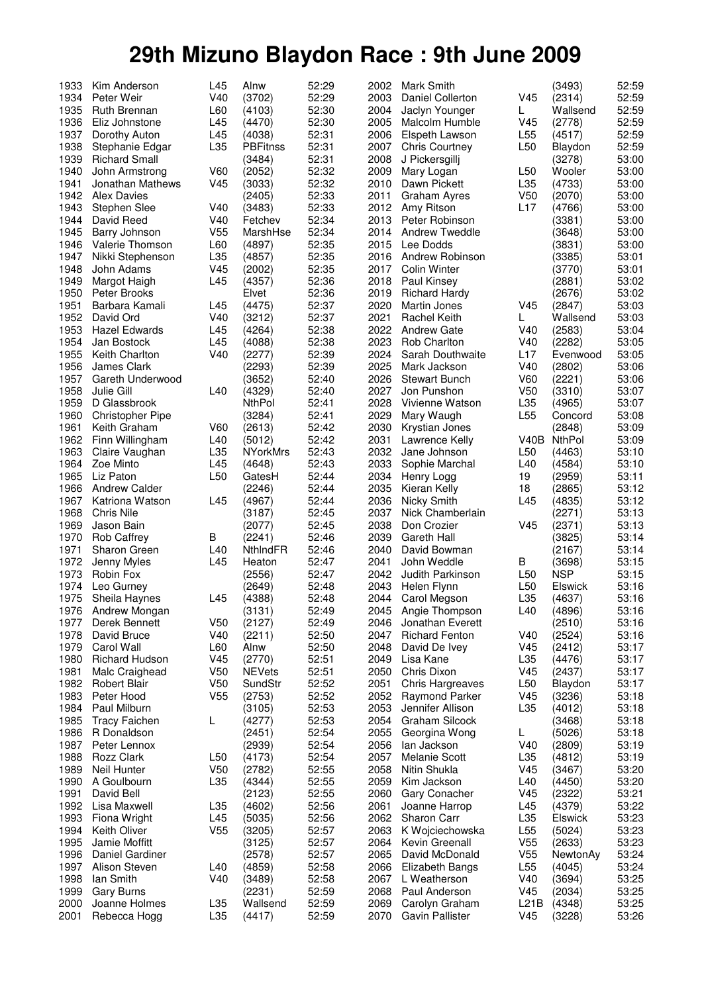| 1933 | Kim Anderson            | L45             | Alnw            | 52:29 | 2002 | <b>Mark Smith</b>       |                 | (3493)         | 52:59 |
|------|-------------------------|-----------------|-----------------|-------|------|-------------------------|-----------------|----------------|-------|
| 1934 | Peter Weir              | V40             | (3702)          | 52:29 | 2003 | Daniel Collerton        | V45             | (2314)         | 52:59 |
| 1935 | <b>Ruth Brennan</b>     | L60             | (4103)          | 52:30 | 2004 | Jaclyn Younger          | L               | Wallsend       | 52:59 |
| 1936 | Eliz Johnstone          | L45             | (4470)          | 52:30 | 2005 | Malcolm Humble          | V45             | (2778)         | 52:59 |
| 1937 |                         |                 |                 | 52:31 |      |                         | L <sub>55</sub> |                | 52:59 |
|      | Dorothy Auton           | L45             | (4038)          |       | 2006 | Elspeth Lawson          |                 | (4517)         |       |
| 1938 | Stephanie Edgar         | L <sub>35</sub> | <b>PBFitnss</b> | 52:31 | 2007 | <b>Chris Courtney</b>   | L <sub>50</sub> | Blaydon        | 52:59 |
| 1939 | <b>Richard Small</b>    |                 | (3484)          | 52:31 | 2008 | J Pickersgillj          |                 | (3278)         | 53:00 |
| 1940 | John Armstrong          | V60             | (2052)          | 52:32 | 2009 | Mary Logan              | L50             | Wooler         | 53:00 |
| 1941 | Jonathan Mathews        | V45             | (3033)          | 52:32 | 2010 | Dawn Pickett            | L <sub>35</sub> | (4733)         | 53:00 |
| 1942 | <b>Alex Davies</b>      |                 | (2405)          | 52:33 | 2011 | Graham Ayres            | V <sub>50</sub> | (2070)         | 53:00 |
| 1943 | Stephen Slee            | V40             | (3483)          | 52:33 | 2012 | Amy Ritson              | L17             | (4766)         | 53:00 |
| 1944 | David Reed              | V40             | Fetchev         | 52:34 | 2013 | Peter Robinson          |                 | (3381)         | 53:00 |
| 1945 | Barry Johnson           | V <sub>55</sub> | MarshHse        | 52:34 | 2014 | <b>Andrew Tweddle</b>   |                 | (3648)         | 53:00 |
| 1946 | Valerie Thomson         | L60             | (4897)          | 52:35 | 2015 | Lee Dodds               |                 | (3831)         | 53:00 |
| 1947 |                         | L <sub>35</sub> |                 |       | 2016 | Andrew Robinson         |                 | (3385)         |       |
|      | Nikki Stephenson        |                 | (4857)          | 52:35 |      |                         |                 |                | 53:01 |
| 1948 | John Adams              | V <sub>45</sub> | (2002)          | 52:35 | 2017 | Colin Winter            |                 | (3770)         | 53:01 |
| 1949 | Margot Haigh            | L <sub>45</sub> | (4357)          | 52:36 | 2018 | Paul Kinsey             |                 | (2881)         | 53:02 |
| 1950 | Peter Brooks            |                 | Elvet           | 52:36 | 2019 | <b>Richard Hardy</b>    |                 | (2676)         | 53:02 |
| 1951 | Barbara Kamali          | L45             | (4475)          | 52:37 | 2020 | <b>Martin Jones</b>     | V <sub>45</sub> | (2847)         | 53:03 |
| 1952 | David Ord               | V40             | (3212)          | 52:37 | 2021 | <b>Rachel Keith</b>     | L               | Wallsend       | 53:03 |
| 1953 | <b>Hazel Edwards</b>    | L45             | (4264)          | 52:38 | 2022 | <b>Andrew Gate</b>      | V40             | (2583)         | 53:04 |
| 1954 | Jan Bostock             | L45             | (4088)          | 52:38 | 2023 | <b>Rob Charlton</b>     | V40             | (2282)         | 53:05 |
| 1955 | Keith Charlton          | V40             | (2277)          | 52:39 | 2024 | Sarah Douthwaite        | L17             | Evenwood       | 53:05 |
| 1956 | James Clark             |                 | (2293)          | 52:39 | 2025 | Mark Jackson            | V40             | (2802)         | 53:06 |
| 1957 | Gareth Underwood        |                 | (3652)          | 52:40 | 2026 | <b>Stewart Bunch</b>    | V60             | (2221)         | 53:06 |
| 1958 | Julie Gill              | L40             |                 | 52:40 | 2027 | Jon Punshon             | V <sub>50</sub> | (3310)         | 53:07 |
|      |                         |                 | (4329)          |       |      |                         |                 |                |       |
| 1959 | D Glassbrook            |                 | <b>NthPol</b>   | 52:41 | 2028 | Vivienne Watson         | L35             | (4965)         | 53:07 |
| 1960 | <b>Christopher Pipe</b> |                 | (3284)          | 52:41 | 2029 | Mary Waugh              | L <sub>55</sub> | Concord        | 53:08 |
| 1961 | Keith Graham            | V60             | (2613)          | 52:42 | 2030 | Krystian Jones          |                 | (2848)         | 53:09 |
| 1962 | Finn Willingham         | L40             | (5012)          | 52:42 | 2031 | Lawrence Kelly          | V40B            | <b>NthPol</b>  | 53:09 |
| 1963 | Claire Vaughan          | L35             | <b>NYorkMrs</b> | 52:43 | 2032 | Jane Johnson            | L <sub>50</sub> | (4463)         | 53:10 |
| 1964 | Zoe Minto               | L45             | (4648)          | 52:43 | 2033 | Sophie Marchal          | L40             | (4584)         | 53:10 |
| 1965 | Liz Paton               | L <sub>50</sub> | GatesH          | 52:44 | 2034 | Henry Logg              | 19              | (2959)         | 53:11 |
| 1966 | <b>Andrew Calder</b>    |                 | (2246)          | 52:44 | 2035 | Kieran Kelly            | 18              | (2865)         | 53:12 |
| 1967 | Katriona Watson         | L45             | (4967)          | 52:44 | 2036 | Nicky Smith             | L <sub>45</sub> | (4835)         | 53:12 |
| 1968 | <b>Chris Nile</b>       |                 | (3187)          | 52:45 | 2037 | Nick Chamberlain        |                 | (2271)         | 53:13 |
| 1969 | Jason Bain              |                 | (2077)          | 52:45 | 2038 | Don Crozier             | V <sub>45</sub> | (2371)         | 53:13 |
|      |                         |                 |                 |       |      |                         |                 |                |       |
| 1970 | <b>Rob Caffrey</b>      | В               | (2241)          | 52:46 | 2039 | <b>Gareth Hall</b>      |                 | (3825)         | 53:14 |
| 1971 | Sharon Green            | L40             | <b>NthIndFR</b> | 52:46 | 2040 | David Bowman            |                 | (2167)         | 53:14 |
| 1972 | Jenny Myles             | L45             | Heaton          | 52:47 | 2041 | John Weddle             | B               | (3698)         | 53:15 |
| 1973 | Robin Fox               |                 | (2556)          | 52:47 | 2042 | <b>Judith Parkinson</b> | L <sub>50</sub> | <b>NSP</b>     | 53:15 |
| 1974 | Leo Gurney              |                 | (2649)          | 52:48 | 2043 | Helen Flynn             | L <sub>50</sub> | <b>Elswick</b> | 53:16 |
| 1975 | Sheila Haynes           | L45             | (4388)          | 52:48 | 2044 | Carol Megson            | L <sub>35</sub> | (4637)         | 53:16 |
| 1976 | Andrew Mongan           |                 | (3131)          | 52:49 | 2045 | Angie Thompson          | L40             | (4896)         | 53:16 |
| 1977 | Derek Bennett           | V50             | (2127)          | 52:49 | 2046 | Jonathan Everett        |                 | (2510)         | 53:16 |
| 1978 | David Bruce             | V40             | (2211)          | 52:50 | 2047 | <b>Richard Fenton</b>   | V40             | (2524)         | 53:16 |
| 1979 | Carol Wall              | L60             | Alnw            | 52:50 | 2048 | David De Ivey           | V <sub>45</sub> | (2412)         | 53:17 |
| 1980 | <b>Richard Hudson</b>   | V45             | (2770)          | 52:51 | 2049 | Lisa Kane               | L35             | (4476)         | 53:17 |
| 1981 | Malc Craighead          | V <sub>50</sub> | <b>NEVets</b>   | 52:51 | 2050 | Chris Dixon             | V45             | (2437)         | 53:17 |
| 1982 | <b>Robert Blair</b>     | V50             | SundStr         | 52:52 | 2051 | <b>Chris Hargreaves</b> | L <sub>50</sub> |                | 53:17 |
| 1983 |                         | V <sub>55</sub> |                 |       |      |                         | V <sub>45</sub> | Blaydon        | 53:18 |
|      | Peter Hood              |                 | (2753)          | 52:52 | 2052 | <b>Raymond Parker</b>   |                 | (3236)         |       |
| 1984 | Paul Milburn            |                 | (3105)          | 52:53 | 2053 | Jennifer Allison        | L35             | (4012)         | 53:18 |
| 1985 | <b>Tracy Faichen</b>    | L               | (4277)          | 52:53 | 2054 | <b>Graham Silcock</b>   |                 | (3468)         | 53:18 |
| 1986 | R Donaldson             |                 | (2451)          | 52:54 | 2055 | Georgina Wong           | L.              | (5026)         | 53:18 |
| 1987 | Peter Lennox            |                 | (2939)          | 52:54 | 2056 | lan Jackson             | V40             | (2809)         | 53:19 |
| 1988 | Rozz Clark              | L50             | (4173)          | 52:54 | 2057 | Melanie Scott           | L35             | (4812)         | 53:19 |
| 1989 | Neil Hunter             | V <sub>50</sub> | (2782)          | 52:55 | 2058 | Nitin Shukla            | V <sub>45</sub> | (3467)         | 53:20 |
| 1990 | A Goulbourn             | L35             | (4344)          | 52:55 | 2059 | Kim Jackson             | L <sub>40</sub> | (4450)         | 53:20 |
| 1991 | David Bell              |                 | (2123)          | 52:55 | 2060 | <b>Gary Conacher</b>    | V45             | (2322)         | 53:21 |
| 1992 | Lisa Maxwell            | L35             | (4602)          | 52:56 | 2061 | Joanne Harrop           | L45             | (4379)         | 53:22 |
| 1993 | Fiona Wright            | L45             | (5035)          | 52:56 | 2062 | Sharon Carr             | L35             | <b>Elswick</b> | 53:23 |
|      |                         |                 |                 |       |      |                         |                 |                |       |
| 1994 | Keith Oliver            | V <sub>55</sub> | (3205)          | 52:57 | 2063 | K Wojciechowska         | L55             | (5024)         | 53:23 |
| 1995 | Jamie Moffitt           |                 | (3125)          | 52:57 | 2064 | Kevin Greenall          | V <sub>55</sub> | (2633)         | 53:23 |
| 1996 | Daniel Gardiner         |                 | (2578)          | 52:57 | 2065 | David McDonald          | V <sub>55</sub> | NewtonAy       | 53:24 |
| 1997 | Alison Steven           | L40             | (4859)          | 52:58 | 2066 | <b>Elizabeth Bangs</b>  | L <sub>55</sub> | (4045)         | 53:24 |
| 1998 | lan Smith               | V40             | (3489)          | 52:58 | 2067 | L Weatherson            | V40             | (3694)         | 53:25 |
| 1999 | Gary Burns              |                 | (2231)          | 52:59 | 2068 | Paul Anderson           | V <sub>45</sub> | (2034)         | 53:25 |
| 2000 | Joanne Holmes           | L35             | Wallsend        | 52:59 | 2069 | Carolyn Graham          | L21B            | (4348)         | 53:25 |
| 2001 | Rebecca Hogg            | L35             | (4417)          | 52:59 | 2070 | Gavin Pallister         | V45             | (3228)         | 53:26 |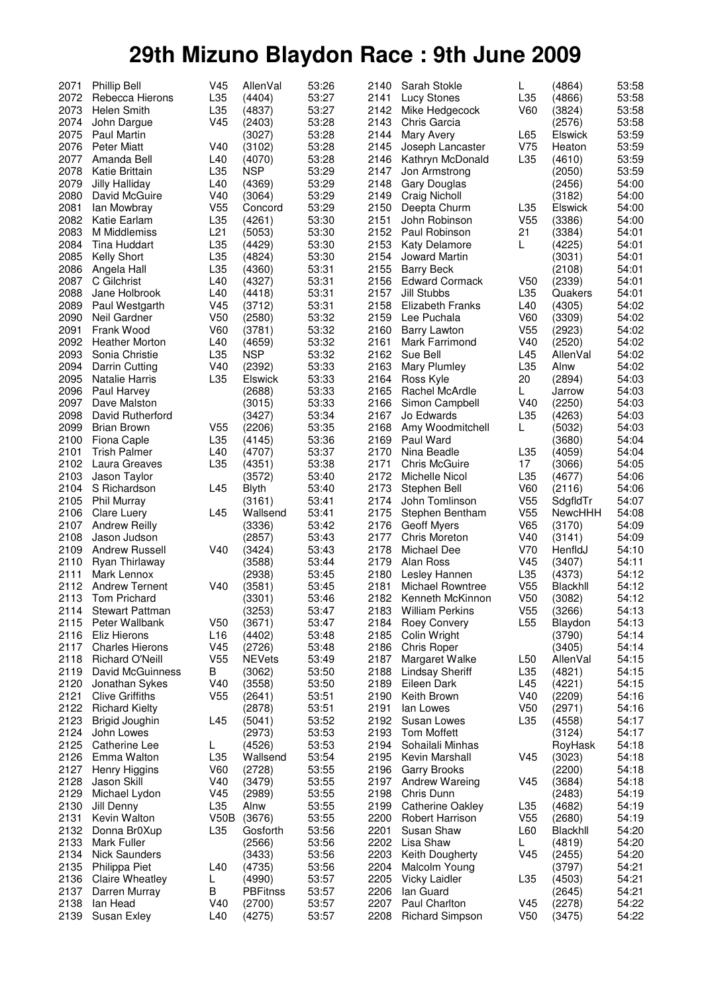| 2071 | <b>Phillip Bell</b>    | V45             | AllenVal        | 53:26 | 2140 | Sarah Stokle            | L               | (4864)         | 53:58 |
|------|------------------------|-----------------|-----------------|-------|------|-------------------------|-----------------|----------------|-------|
| 2072 | Rebecca Hierons        | L <sub>35</sub> | (4404)          | 53:27 | 2141 | Lucy Stones             | L <sub>35</sub> | (4866)         | 53:58 |
|      |                        |                 |                 |       |      |                         |                 |                |       |
| 2073 | <b>Helen Smith</b>     | L <sub>35</sub> | (4837)          | 53:27 | 2142 | Mike Hedgecock          | V60             | (3824)         | 53:58 |
| 2074 | John Dargue            | V45             | (2403)          | 53:28 | 2143 | Chris Garcia            |                 | (2576)         | 53:58 |
| 2075 | <b>Paul Martin</b>     |                 |                 |       | 2144 |                         | L65             |                | 53:59 |
|      |                        |                 | (3027)          | 53:28 |      | Mary Avery              |                 | <b>Elswick</b> |       |
| 2076 | <b>Peter Miatt</b>     | V40             | (3102)          | 53:28 | 2145 | Joseph Lancaster        | V75             | Heaton         | 53:59 |
| 2077 | Amanda Bell            | L40             | (4070)          | 53:28 | 2146 | Kathryn McDonald        | L35             | (4610)         | 53:59 |
|      |                        |                 |                 |       |      |                         |                 |                |       |
| 2078 | Katie Brittain         | L <sub>35</sub> | <b>NSP</b>      | 53:29 | 2147 | Jon Armstrong           |                 | (2050)         | 53:59 |
| 2079 | <b>Jilly Halliday</b>  | L40             | (4369)          | 53:29 | 2148 | Gary Douglas            |                 | (2456)         | 54:00 |
| 2080 | David McGuire          | V40             | (3064)          | 53:29 | 2149 | <b>Craig Nicholl</b>    |                 | (3182)         | 54:00 |
|      |                        |                 |                 |       |      |                         |                 |                |       |
| 2081 | lan Mowbray            | V <sub>55</sub> | Concord         | 53:29 | 2150 | Deepta Churm            | L35             | Elswick        | 54:00 |
| 2082 | Katie Earlam           | L <sub>35</sub> | (4261)          | 53:30 | 2151 | John Robinson           | V <sub>55</sub> | (3386)         | 54:00 |
| 2083 | M Middlemiss           | L21             | (5053)          | 53:30 | 2152 | Paul Robinson           | 21              | (3384)         | 54:01 |
|      |                        |                 |                 |       |      |                         |                 |                |       |
| 2084 | Tina Huddart           | L <sub>35</sub> | (4429)          | 53:30 | 2153 | <b>Katy Delamore</b>    | L               | (4225)         | 54:01 |
| 2085 | <b>Kelly Short</b>     | L <sub>35</sub> | (4824)          | 53:30 | 2154 | Joward Martin           |                 | (3031)         | 54:01 |
| 2086 | Angela Hall            | L <sub>35</sub> | (4360)          | 53:31 | 2155 | <b>Barry Beck</b>       |                 | (2108)         | 54:01 |
|      |                        |                 |                 |       |      |                         |                 |                |       |
| 2087 | C Gilchrist            | L40             | (4327)          | 53:31 | 2156 | <b>Edward Cormack</b>   | V50             | (2339)         | 54:01 |
| 2088 | Jane Holbrook          | L40             | (4418)          | 53:31 | 2157 | Jill Stubbs             | L <sub>35</sub> | Quakers        | 54:01 |
| 2089 | Paul Westgarth         | V <sub>45</sub> | (3712)          | 53:31 | 2158 | <b>Elizabeth Franks</b> | L40             | (4305)         | 54:02 |
|      |                        |                 |                 |       |      |                         |                 |                |       |
| 2090 | Neil Gardner           | V <sub>50</sub> | (2580)          | 53:32 | 2159 | Lee Puchala             | V60             | (3309)         | 54:02 |
| 2091 | Frank Wood             | V60             | (3781)          | 53:32 | 2160 | <b>Barry Lawton</b>     | V <sub>55</sub> | (2923)         | 54:02 |
| 2092 | <b>Heather Morton</b>  | L40             | (4659)          | 53:32 | 2161 | Mark Farrimond          | V40             | (2520)         | 54:02 |
|      |                        |                 |                 |       |      |                         |                 |                |       |
| 2093 | Sonia Christie         | L <sub>35</sub> | <b>NSP</b>      | 53:32 | 2162 | Sue Bell                | L45             | AllenVal       | 54:02 |
| 2094 | Darrin Cutting         | V40             | (2392)          | 53:33 | 2163 | Mary Plumley            | L <sub>35</sub> | Alnw           | 54:02 |
| 2095 |                        | L35             | <b>Elswick</b>  | 53:33 | 2164 |                         | 20              | (2894)         | 54:03 |
|      | Natalie Harris         |                 |                 |       |      | Ross Kyle               |                 |                |       |
| 2096 | Paul Harvey            |                 | (2688)          | 53:33 | 2165 | Rachel McArdle          | L.              | Jarrow         | 54:03 |
| 2097 | Dave Malston           |                 | (3015)          | 53:33 | 2166 | Simon Campbell          | V40             | (2250)         | 54:03 |
| 2098 | David Rutherford       |                 |                 | 53:34 | 2167 | Jo Edwards              | L <sub>35</sub> |                |       |
|      |                        |                 | (3427)          |       |      |                         |                 | (4263)         | 54:03 |
| 2099 | <b>Brian Brown</b>     | V <sub>55</sub> | (2206)          | 53:35 | 2168 | Amy Woodmitchell        | L.              | (5032)         | 54:03 |
| 2100 | Fiona Caple            | L <sub>35</sub> | (4145)          | 53:36 | 2169 | Paul Ward               |                 | (3680)         | 54:04 |
| 2101 | <b>Trish Palmer</b>    | L40             | (4707)          | 53:37 | 2170 | Nina Beadle             | L35             | (4059)         | 54:04 |
|      |                        |                 |                 |       |      |                         |                 |                |       |
| 2102 | Laura Greaves          | L35             | (4351)          | 53:38 | 2171 | <b>Chris McGuire</b>    | 17              | (3066)         | 54:05 |
| 2103 | Jason Taylor           |                 | (3572)          | 53:40 | 2172 | Michelle Nicol          | L <sub>35</sub> | (4677)         | 54:06 |
| 2104 | S Richardson           | L45             | <b>Blyth</b>    | 53:40 | 2173 | Stephen Bell            | <b>V60</b>      | (2116)         | 54:06 |
| 2105 |                        |                 |                 |       | 2174 | John Tomlinson          | V <sub>55</sub> | SdgfldTr       |       |
|      | <b>Phil Murray</b>     |                 | (3161)          | 53:41 |      |                         |                 |                | 54:07 |
| 2106 | Clare Luery            | L45             | Wallsend        | 53:41 | 2175 | Stephen Bentham         | V <sub>55</sub> | NewcHHH        | 54:08 |
| 2107 | <b>Andrew Reilly</b>   |                 | (3336)          | 53:42 | 2176 | <b>Geoff Myers</b>      | V65             | (3170)         | 54:09 |
| 2108 | Jason Judson           |                 | (2857)          | 53:43 | 2177 | Chris Moreton           | V40             | (3141)         | 54:09 |
|      |                        |                 |                 |       |      |                         |                 |                |       |
| 2109 | <b>Andrew Russell</b>  | V40             | (3424)          | 53:43 | 2178 | Michael Dee             | V70             | HenfldJ        | 54:10 |
| 2110 | Ryan Thirlaway         |                 | (3588)          | 53:44 | 2179 | Alan Ross               | V <sub>45</sub> | (3407)         | 54:11 |
| 2111 | Mark Lennox            |                 | (2938)          | 53:45 | 2180 | Lesley Hannen           | L35             | (4373)         | 54:12 |
| 2112 | <b>Andrew Ternent</b>  | V40             | (3581)          | 53:45 | 2181 | <b>Michael Rowntree</b> | V <sub>55</sub> | Blackhll       | 54:12 |
|      |                        |                 |                 |       |      |                         |                 |                |       |
| 2113 | <b>Tom Prichard</b>    |                 | (3301)          | 53:46 | 2182 | Kenneth McKinnon        | V <sub>50</sub> | (3082)         | 54:12 |
| 2114 | <b>Stewart Pattman</b> |                 | (3253)          | 53:47 | 2183 | <b>William Perkins</b>  | V <sub>55</sub> | (3266)         | 54:13 |
| 2115 | Peter Wallbank         | V <sub>50</sub> | (3671)          | 53:47 | 2184 | Roey Convery            | L <sub>55</sub> | Blaydon        | 54:13 |
| 2116 | Eliz Hierons           | L16             | (4402)          | 53:48 | 2185 | Colin Wright            |                 |                | 54:14 |
|      |                        |                 |                 |       |      |                         |                 | (3790)         |       |
| 2117 | <b>Charles Hierons</b> | V45             | (2726)          | 53:48 | 2186 | Chris Roper             |                 | (3405)         | 54:14 |
| 2118 | Richard O'Neill        | V <sub>55</sub> | <b>NEVets</b>   | 53:49 | 2187 | Margaret Walke          | L50             | AllenVal       | 54:15 |
| 2119 | David McGuinness       | В               | (3062)          | 53:50 | 2188 | <b>Lindsay Sheriff</b>  | L35             | (4821)         | 54:15 |
| 2120 | Jonathan Sykes         | V40             | (3558)          | 53:50 | 2189 | Eileen Dark             | L45             | (4221)         | 54:15 |
|      |                        |                 |                 |       |      |                         |                 |                |       |
| 2121 | <b>Clive Griffiths</b> | V55             | (2641)          | 53:51 | 2190 | Keith Brown             | V40             | (2209)         | 54:16 |
| 2122 | <b>Richard Kielty</b>  |                 | (2878)          | 53:51 | 2191 | lan Lowes               | V <sub>50</sub> | (2971)         | 54:16 |
| 2123 | Brigid Joughin         | L45             | (5041)          | 53:52 | 2192 | Susan Lowes             | L35             | (4558)         | 54:17 |
|      | John Lowes             |                 |                 |       |      |                         |                 |                |       |
| 2124 |                        |                 | (2973)          | 53:53 | 2193 | <b>Tom Moffett</b>      |                 | (3124)         | 54:17 |
| 2125 | Catherine Lee          | L.              | (4526)          | 53:53 | 2194 | Sohailali Minhas        |                 | RoyHask        | 54:18 |
| 2126 | Emma Walton            | L35             | Wallsend        | 53:54 | 2195 | Kevin Marshall          | V <sub>45</sub> | (3023)         | 54:18 |
| 2127 | Henry Higgins          | V60             | (2728)          | 53:55 | 2196 | Garry Brooks            |                 | (2200)         | 54:18 |
|      |                        |                 |                 |       |      |                         |                 |                |       |
| 2128 | Jason Skill            | V40             | (3479)          | 53:55 | 2197 | Andrew Wareing          | V45             | (3684)         | 54:18 |
| 2129 | Michael Lydon          | V45             | (2989)          | 53:55 | 2198 | Chris Dunn              |                 | (2483)         | 54:19 |
| 2130 | Jill Denny             | L35             | Alnw            | 53:55 | 2199 | <b>Catherine Oakley</b> | L35             | (4682)         | 54:19 |
| 2131 | Kevin Walton           | V50B            | (3676)          | 53:55 | 2200 | Robert Harrison         | V <sub>55</sub> | (2680)         | 54:19 |
|      |                        |                 |                 |       |      |                         |                 |                |       |
| 2132 | Donna Br0Xup           | L35             | Gosforth        | 53:56 | 2201 | Susan Shaw              | L60             | Blackhll       | 54:20 |
| 2133 | Mark Fuller            |                 | (2566)          | 53:56 | 2202 | Lisa Shaw               | L               | (4819)         | 54:20 |
| 2134 | <b>Nick Saunders</b>   |                 | (3433)          | 53:56 | 2203 | Keith Dougherty         | V45             | (2455)         | 54:20 |
| 2135 | Philippa Piet          | L40             | (4735)          | 53:56 | 2204 | Malcolm Young           |                 | (3797)         | 54:21 |
|      |                        |                 |                 |       |      |                         |                 |                |       |
| 2136 | <b>Claire Wheatley</b> | L               | (4990)          | 53:57 | 2205 | <b>Vicky Laidler</b>    | L35             | (4503)         | 54:21 |
| 2137 | Darren Murray          | В               | <b>PBFitnss</b> | 53:57 | 2206 | lan Guard               |                 | (2645)         | 54:21 |
| 2138 | lan Head               | V40             | (2700)          | 53:57 | 2207 | Paul Charlton           | V45             | (2278)         | 54:22 |
| 2139 | Susan Exley            | L40             | (4275)          | 53:57 | 2208 | <b>Richard Simpson</b>  | V <sub>50</sub> | (3475)         | 54:22 |
|      |                        |                 |                 |       |      |                         |                 |                |       |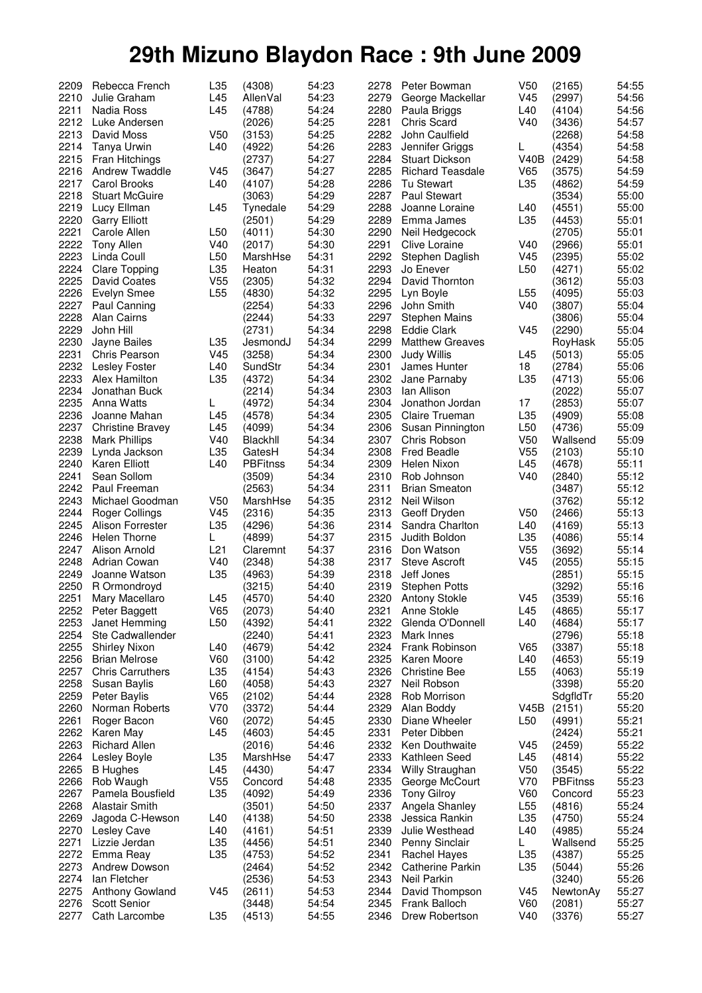| 2209 | Rebecca French          | L35             | (4308)          | 54:23 | 2278 | Peter Bowman            | V <sub>50</sub> | (2165)          | 54:55 |
|------|-------------------------|-----------------|-----------------|-------|------|-------------------------|-----------------|-----------------|-------|
| 2210 | Julie Graham            | L45             | AllenVal        | 54:23 | 2279 | George Mackellar        | V45             | (2997)          | 54:56 |
| 2211 | Nadia Ross              | L45             | (4788)          | 54:24 | 2280 | Paula Briggs            | L <sub>40</sub> | (4104)          | 54:56 |
| 2212 | Luke Andersen           |                 | (2026)          | 54:25 | 2281 | <b>Chris Scard</b>      | V40             | (3436)          | 54:57 |
|      |                         |                 |                 |       |      |                         |                 |                 |       |
| 2213 | David Moss              | V50             | (3153)          | 54:25 | 2282 | John Caulfield          |                 | (2268)          | 54:58 |
| 2214 | Tanya Urwin             | L40             | (4922)          | 54:26 | 2283 | Jennifer Griggs         | L               | (4354)          | 54:58 |
| 2215 | Fran Hitchings          |                 | (2737)          | 54:27 | 2284 | <b>Stuart Dickson</b>   | V40B            | (2429)          | 54:58 |
|      |                         |                 |                 |       |      |                         |                 |                 |       |
| 2216 | <b>Andrew Twaddle</b>   | V45             | (3647)          | 54:27 | 2285 | <b>Richard Teasdale</b> | V65             | (3575)          | 54:59 |
| 2217 | <b>Carol Brooks</b>     | L40             | (4107)          | 54:28 | 2286 | Tu Stewart              | L <sub>35</sub> | (4862)          | 54:59 |
| 2218 | <b>Stuart McGuire</b>   |                 | (3063)          | 54:29 | 2287 | <b>Paul Stewart</b>     |                 | (3534)          | 55:00 |
| 2219 | Lucy Ellman             | L45             | Tynedale        | 54:29 | 2288 | Joanne Loraine          | L <sub>40</sub> | (4551)          | 55:00 |
|      |                         |                 |                 |       |      |                         |                 |                 |       |
| 2220 | <b>Garry Elliott</b>    |                 | (2501)          | 54:29 | 2289 | Emma James              | L <sub>35</sub> | (4453)          | 55:01 |
| 2221 | Carole Allen            | L <sub>50</sub> | (4011)          | 54:30 | 2290 | Neil Hedgecock          |                 | (2705)          | 55:01 |
| 2222 | <b>Tony Allen</b>       | V40             | (2017)          | 54:30 | 2291 | Clive Loraine           | V40             | (2966)          | 55:01 |
|      |                         |                 |                 |       |      |                         |                 |                 |       |
| 2223 | Linda Coull             | L <sub>50</sub> | MarshHse        | 54:31 | 2292 | Stephen Daglish         | V45             | (2395)          | 55:02 |
| 2224 | <b>Clare Topping</b>    | L35             | Heaton          | 54:31 | 2293 | Jo Enever               | L <sub>50</sub> | (4271)          | 55:02 |
| 2225 | David Coates            | V <sub>55</sub> | (2305)          | 54:32 | 2294 | David Thornton          |                 | (3612)          | 55:03 |
| 2226 | Evelyn Smee             | L <sub>55</sub> | (4830)          | 54:32 | 2295 | Lyn Boyle               | L <sub>55</sub> | (4095)          | 55:03 |
|      |                         |                 |                 |       |      |                         |                 |                 |       |
| 2227 | Paul Canning            |                 | (2254)          | 54:33 | 2296 | John Smith              | V40             | (3807)          | 55:04 |
| 2228 | Alan Cairns             |                 | (2244)          | 54:33 | 2297 | <b>Stephen Mains</b>    |                 | (3806)          | 55:04 |
| 2229 | John Hill               |                 | (2731)          | 54:34 | 2298 | <b>Eddie Clark</b>      | V <sub>45</sub> | (2290)          | 55:04 |
| 2230 | <b>Jayne Bailes</b>     | L <sub>35</sub> | JesmondJ        | 54:34 | 2299 | <b>Matthew Greaves</b>  |                 | RoyHask         | 55:05 |
|      |                         |                 |                 |       |      |                         |                 |                 |       |
| 2231 | Chris Pearson           | V <sub>45</sub> | (3258)          | 54:34 | 2300 | Judy Willis             | L45             | (5013)          | 55:05 |
| 2232 | <b>Lesley Foster</b>    | L40             | SundStr         | 54:34 | 2301 | James Hunter            | 18              | (2784)          | 55:06 |
| 2233 | Alex Hamilton           | L35             | (4372)          | 54:34 | 2302 | Jane Parnaby            | L <sub>35</sub> | (4713)          | 55:06 |
| 2234 | Jonathan Buck           |                 |                 | 54:34 | 2303 | Ian Allison             |                 |                 |       |
|      |                         |                 | (2214)          |       |      |                         |                 | (2022)          | 55:07 |
| 2235 | Anna Watts              | L               | (4972)          | 54:34 | 2304 | Jonathon Jordan         | 17              | (2853)          | 55:07 |
| 2236 | Joanne Mahan            | L45             | (4578)          | 54:34 | 2305 | <b>Claire Trueman</b>   | L <sub>35</sub> | (4909)          | 55:08 |
| 2237 | Christine Bravey        | L45             | (4099)          | 54:34 | 2306 | Susan Pinnington        | L <sub>50</sub> | (4736)          | 55:09 |
|      |                         |                 |                 |       |      |                         |                 |                 |       |
| 2238 | Mark Phillips           | V40             | Blackhll        | 54:34 | 2307 | Chris Robson            | V <sub>50</sub> | Wallsend        | 55:09 |
| 2239 | Lynda Jackson           | L35             | GatesH          | 54:34 | 2308 | <b>Fred Beadle</b>      | V <sub>55</sub> | (2103)          | 55:10 |
| 2240 | Karen Elliott           | L40             | <b>PBFitnss</b> | 54:34 | 2309 | Helen Nixon             | L <sub>45</sub> | (4678)          | 55:11 |
| 2241 | Sean Sollom             |                 | (3509)          | 54:34 | 2310 | Rob Johnson             | V40             | (2840)          | 55:12 |
|      |                         |                 |                 |       |      |                         |                 |                 |       |
| 2242 | Paul Freeman            |                 | (2563)          | 54:34 | 2311 | <b>Brian Smeaton</b>    |                 | (3487)          | 55:12 |
| 2243 | Michael Goodman         | V50             | MarshHse        | 54:35 | 2312 | Neil Wilson             |                 | (3762)          | 55:12 |
| 2244 | Roger Collings          | V <sub>45</sub> | (2316)          | 54:35 | 2313 | Geoff Dryden            | V <sub>50</sub> | (2466)          | 55:13 |
| 2245 | Alison Forrester        | L <sub>35</sub> |                 |       | 2314 | Sandra Charlton         | L40             |                 | 55:13 |
|      |                         |                 | (4296)          | 54:36 |      |                         |                 | (4169)          |       |
| 2246 | <b>Helen Thorne</b>     | L               | (4899)          | 54:37 | 2315 | Judith Boldon           | L <sub>35</sub> | (4086)          | 55:14 |
| 2247 | Alison Arnold           | L21             | Claremnt        | 54:37 | 2316 | Don Watson              | V <sub>55</sub> | (3692)          | 55:14 |
| 2248 | Adrian Cowan            | V40             | (2348)          | 54:38 | 2317 | <b>Steve Ascroft</b>    | V45             | (2055)          | 55:15 |
|      |                         |                 |                 |       |      |                         |                 |                 |       |
| 2249 | Joanne Watson           | L35             | (4963)          | 54:39 | 2318 | Jeff Jones              |                 | (2851)          | 55:15 |
| 2250 | R Ormondroyd            |                 | (3215)          | 54:40 | 2319 | <b>Stephen Potts</b>    |                 | (3292)          | 55:16 |
| 2251 | Mary Macellaro          | L45             | (4570)          | 54:40 | 2320 | <b>Antony Stokle</b>    | V <sub>45</sub> | (3539)          | 55:16 |
| 2252 | Peter Baggett           | V65             | (2073)          | 54:40 | 2321 | Anne Stokle             | L45             | (4865)          | 55:17 |
|      |                         |                 |                 |       |      |                         |                 |                 |       |
| 2253 | Janet Hemming           | L <sub>50</sub> | (4392)          | 54:41 | 2322 | Glenda O'Donnell        | L <sub>40</sub> | (4684)          | 55:17 |
| 2254 | Ste Cadwallender        |                 | (2240)          | 54:41 | 2323 | Mark Innes              |                 | (2796)          | 55:18 |
| 2255 | <b>Shirley Nixon</b>    | L40             | (4679)          | 54:42 | 2324 | Frank Robinson          | V65             | (3387)          | 55:18 |
| 2256 | <b>Brian Melrose</b>    | V60             | (3100)          | 54:42 | 2325 | Karen Moore             | L40             | (4653)          | 55:19 |
|      |                         |                 |                 |       |      |                         |                 |                 |       |
| 2257 | <b>Chris Carruthers</b> | L35             | (4154)          | 54:43 | 2326 | <b>Christine Bee</b>    | L <sub>55</sub> | (4063)          | 55:19 |
| 2258 | Susan Baylis            | L60             | (4058)          | 54:43 | 2327 | Neil Robson             |                 | (3398)          | 55:20 |
| 2259 | Peter Baylis            | V65             | (2102)          | 54:44 | 2328 | Rob Morrison            |                 | SdgfldTr        | 55:20 |
| 2260 | Norman Roberts          | V70             | (3372)          | 54:44 | 2329 | Alan Boddy              | V45B            | (2151)          | 55:20 |
|      |                         |                 |                 |       |      |                         |                 |                 |       |
| 2261 | Roger Bacon             | V60             | (2072)          | 54:45 | 2330 | Diane Wheeler           | L50             | (4991)          | 55:21 |
| 2262 | Karen May               | L45             | (4603)          | 54:45 | 2331 | Peter Dibben            |                 | (2424)          | 55:21 |
| 2263 | <b>Richard Allen</b>    |                 | (2016)          | 54:46 | 2332 | Ken Douthwaite          | V <sub>45</sub> | (2459)          | 55:22 |
| 2264 | Lesley Boyle            | L35             | MarshHse        | 54:47 | 2333 | Kathleen Seed           | L45             | (4814)          | 55:22 |
|      |                         |                 |                 |       |      |                         |                 |                 |       |
| 2265 | <b>B</b> Hughes         | L45             | (4430)          | 54:47 | 2334 | Willy Straughan         | V50             | (3545)          | 55:22 |
| 2266 | Rob Waugh               | V <sub>55</sub> | Concord         | 54:48 | 2335 | George McCourt          | V70             | <b>PBFitnss</b> | 55:23 |
| 2267 | Pamela Bousfield        | L35             | (4092)          | 54:49 | 2336 | <b>Tony Gilroy</b>      | V60             | Concord         | 55:23 |
| 2268 | <b>Alastair Smith</b>   |                 | (3501)          | 54:50 | 2337 | Angela Shanley          | L <sub>55</sub> | (4816)          | 55:24 |
|      |                         |                 |                 |       |      |                         |                 |                 |       |
| 2269 | Jagoda C-Hewson         | L40             | (4138)          | 54:50 | 2338 | Jessica Rankin          | L35             | (4750)          | 55:24 |
| 2270 | <b>Lesley Cave</b>      | L40             | (4161)          | 54:51 | 2339 | Julie Westhead          | L <sub>40</sub> | (4985)          | 55:24 |
| 2271 | Lizzie Jerdan           | L35             | (4456)          | 54:51 | 2340 | Penny Sinclair          | L.              | Wallsend        | 55:25 |
| 2272 | Emma Reay               | L35             | (4753)          | 54:52 | 2341 | <b>Rachel Hayes</b>     | L35             | (4387)          | 55:25 |
|      |                         |                 |                 |       |      |                         |                 |                 |       |
| 2273 | Andrew Dowson           |                 | (2464)          | 54:52 | 2342 | <b>Catherine Parkin</b> | L35             | (5044)          | 55:26 |
| 2274 | lan Fletcher            |                 | (2536)          | 54:53 | 2343 | Neil Parkin             |                 | (3240)          | 55:26 |
| 2275 | Anthony Gowland         | V45             | (2611)          | 54:53 | 2344 | David Thompson          | V45             | NewtonAy        | 55:27 |
| 2276 | <b>Scott Senior</b>     |                 | (3448)          | 54:54 | 2345 | Frank Balloch           | V60             | (2081)          | 55:27 |
|      |                         |                 |                 |       |      |                         |                 |                 |       |
| 2277 | Cath Larcombe           | L35             | (4513)          | 54:55 | 2346 | Drew Robertson          | V40             | (3376)          | 55:27 |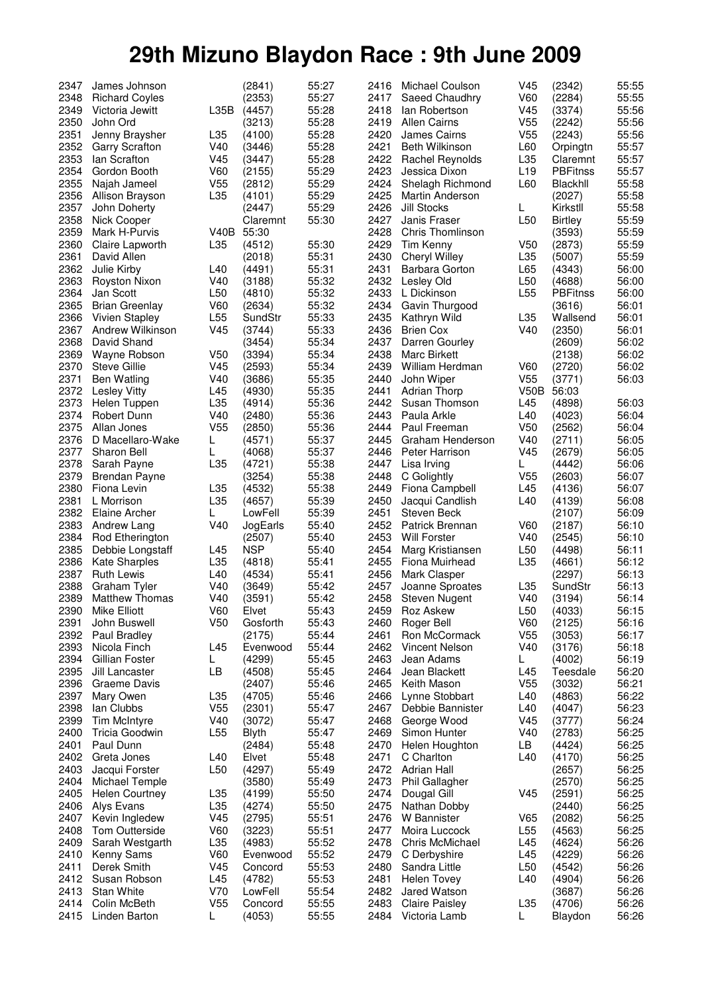| 2347 | James Johnson         |                 | (2841)       | 55:27 | 2416 | Michael Coulson        | V45             | (2342)          | 55:55 |
|------|-----------------------|-----------------|--------------|-------|------|------------------------|-----------------|-----------------|-------|
| 2348 | <b>Richard Coyles</b> |                 | (2353)       | 55:27 | 2417 | Saeed Chaudhry         | V60             | (2284)          | 55:55 |
| 2349 | Victoria Jewitt       | L35B            | (4457)       | 55:28 | 2418 | lan Robertson          | V <sub>45</sub> | (3374)          | 55:56 |
| 2350 | John Ord              |                 |              | 55:28 | 2419 | Allen Cairns           | V <sub>55</sub> | (2242)          | 55:56 |
|      |                       |                 | (3213)       |       |      |                        |                 |                 |       |
| 2351 | Jenny Braysher        | L <sub>35</sub> | (4100)       | 55:28 | 2420 | James Cairns           | V <sub>55</sub> | (2243)          | 55:56 |
| 2352 | <b>Garry Scrafton</b> | V40             | (3446)       | 55:28 | 2421 | <b>Beth Wilkinson</b>  | L60             | Orpingtn        | 55:57 |
| 2353 | lan Scrafton          | V45             | (3447)       | 55:28 | 2422 | <b>Rachel Reynolds</b> | L <sub>35</sub> | Claremnt        | 55:57 |
| 2354 | Gordon Booth          | <b>V60</b>      | (2155)       | 55:29 | 2423 | Jessica Dixon          | L19             | <b>PBFitnss</b> | 55:57 |
| 2355 | Najah Jameel          | V <sub>55</sub> | (2812)       | 55:29 | 2424 | Shelagh Richmond       | L60             | Blackhll        | 55:58 |
| 2356 | Allison Brayson       | L35             | (4101)       | 55:29 | 2425 | <b>Martin Anderson</b> |                 | (2027)          | 55:58 |
|      |                       |                 |              |       |      |                        |                 |                 |       |
| 2357 | John Doherty          |                 | (2447)       | 55:29 | 2426 | Jill Stocks            | L.              | Kirkstll        | 55:58 |
| 2358 | Nick Cooper           |                 | Claremnt     | 55:30 | 2427 | Janis Fraser           | L50             | <b>Birtley</b>  | 55:59 |
| 2359 | Mark H-Purvis         | V40B            | 55:30        |       | 2428 | Chris Thomlinson       |                 | (3593)          | 55:59 |
| 2360 | Claire Lapworth       | L35             | (4512)       | 55:30 | 2429 | Tim Kenny              | V50             | (2873)          | 55:59 |
| 2361 | David Allen           |                 | (2018)       | 55:31 | 2430 | <b>Cheryl Willey</b>   | L <sub>35</sub> | (5007)          | 55:59 |
| 2362 | Julie Kirby           | L40             | (4491)       | 55:31 | 2431 | <b>Barbara Gorton</b>  | L65             | (4343)          | 56:00 |
| 2363 | Royston Nixon         | V40             | (3188)       | 55:32 | 2432 | Lesley Old             | L <sub>50</sub> | (4688)          | 56:00 |
| 2364 |                       |                 |              | 55:32 | 2433 |                        | L <sub>55</sub> |                 | 56:00 |
|      | Jan Scott             | L <sub>50</sub> | (4810)       |       |      | L Dickinson            |                 | <b>PBFitnss</b> |       |
| 2365 | <b>Brian Greenlay</b> | <b>V60</b>      | (2634)       | 55:32 | 2434 | Gavin Thurgood         |                 | (3616)          | 56:01 |
| 2366 | <b>Vivien Stapley</b> | L <sub>55</sub> | SundStr      | 55:33 | 2435 | Kathryn Wild           | L35             | Wallsend        | 56:01 |
| 2367 | Andrew Wilkinson      | V <sub>45</sub> | (3744)       | 55:33 | 2436 | <b>Brien Cox</b>       | V40             | (2350)          | 56:01 |
| 2368 | David Shand           |                 | (3454)       | 55:34 | 2437 | Darren Gourley         |                 | (2609)          | 56:02 |
| 2369 | Wayne Robson          | V <sub>50</sub> | (3394)       | 55:34 | 2438 | Marc Birkett           |                 | (2138)          | 56:02 |
| 2370 | <b>Steve Gillie</b>   | V <sub>45</sub> | (2593)       | 55:34 | 2439 | William Herdman        | V60             | (2720)          | 56:02 |
| 2371 | <b>Ben Watling</b>    | V40             | (3686)       | 55:35 | 2440 | John Wiper             | V <sub>55</sub> | (3771)          | 56:03 |
| 2372 |                       |                 |              | 55:35 | 2441 |                        | V50B            | 56:03           |       |
|      | <b>Lesley Vitty</b>   | L45             | (4930)       |       |      | <b>Adrian Thorp</b>    |                 |                 |       |
| 2373 | Helen Tuppen          | L35             | (4914)       | 55:36 | 2442 | Susan Thomson          | L <sub>45</sub> | (4898)          | 56:03 |
| 2374 | <b>Robert Dunn</b>    | V40             | (2480)       | 55:36 | 2443 | Paula Arkle            | L40             | (4023)          | 56:04 |
| 2375 | Allan Jones           | V <sub>55</sub> | (2850)       | 55:36 | 2444 | Paul Freeman           | V <sub>50</sub> | (2562)          | 56:04 |
| 2376 | D Macellaro-Wake      | L               | (4571)       | 55:37 | 2445 | Graham Henderson       | V40             | (2711)          | 56:05 |
| 2377 | Sharon Bell           | L               | (4068)       | 55:37 | 2446 | <b>Peter Harrison</b>  | V <sub>45</sub> | (2679)          | 56:05 |
| 2378 | Sarah Payne           | L35             | (4721)       | 55:38 | 2447 | Lisa Irving            | L               | (4442)          | 56:06 |
| 2379 | <b>Brendan Payne</b>  |                 | (3254)       | 55:38 | 2448 | C Golightly            | V <sub>55</sub> | (2603)          | 56:07 |
| 2380 | Fiona Levin           | L35             | (4532)       | 55:38 | 2449 | Fiona Campbell         | L <sub>45</sub> | (4136)          | 56:07 |
| 2381 | L Morrison            | L <sub>35</sub> | (4657)       | 55:39 | 2450 | Jacqui Candlish        | L <sub>40</sub> | (4139)          | 56:08 |
| 2382 | Elaine Archer         | L               | LowFell      | 55:39 | 2451 | <b>Steven Beck</b>     |                 | (2107)          | 56:09 |
| 2383 |                       | V40             |              | 55:40 | 2452 | Patrick Brennan        | V60             |                 | 56:10 |
|      | Andrew Lang           |                 | JogEarls     |       |      |                        |                 | (2187)          |       |
| 2384 | Rod Etherington       |                 | (2507)       | 55:40 | 2453 | <b>Will Forster</b>    | V40             | (2545)          | 56:10 |
| 2385 | Debbie Longstaff      | L45             | <b>NSP</b>   | 55:40 | 2454 | Marg Kristiansen       | L <sub>50</sub> | (4498)          | 56:11 |
| 2386 | <b>Kate Sharples</b>  | L35             | (4818)       | 55:41 | 2455 | Fiona Muirhead         | L35             | (4661)          | 56:12 |
| 2387 | <b>Ruth Lewis</b>     | L40             | (4534)       | 55:41 | 2456 | Mark Clasper           |                 | (2297)          | 56:13 |
| 2388 | Graham Tyler          | V40             | (3649)       | 55:42 | 2457 | Joanne Sproates        | L35             | SundStr         | 56:13 |
| 2389 | <b>Matthew Thomas</b> | V40             | (3591)       | 55:42 | 2458 | Steven Nugent          | V40             | (3194)          | 56:14 |
| 2390 | <b>Mike Elliott</b>   | V60             | Elvet        | 55:43 | 2459 | Roz Askew              | L <sub>50</sub> | (4033)          | 56:15 |
| 2391 | John Buswell          | V <sub>50</sub> | Gosforth     | 55:43 | 2460 | Roger Bell             | V60             | (2125)          | 56:16 |
| 2392 | Paul Bradley          |                 | (2175)       | 55:44 | 2461 | Ron McCormack          | V <sub>55</sub> | (3053)          | 56:17 |
| 2393 | Nicola Finch          | L <sub>45</sub> | Evenwood     | 55:44 | 2462 | <b>Vincent Nelson</b>  | V40             | (3176)          | 56:18 |
|      |                       |                 |              |       |      |                        |                 |                 | 56:19 |
| 2394 | Gillian Foster        | L               | (4299)       | 55:45 | 2463 | Jean Adams             | L               | (4002)          |       |
| 2395 | Jill Lancaster        | LB              | (4508)       | 55:45 | 2464 | Jean Blackett          | L45             | Teesdale        | 56:20 |
| 2396 | Graeme Davis          |                 | (2407)       | 55:46 | 2465 | Keith Mason            | V <sub>55</sub> | (3032)          | 56:21 |
| 2397 | Mary Owen             | L35             | (4705)       | 55:46 | 2466 | Lynne Stobbart         | L40             | (4863)          | 56:22 |
| 2398 | lan Clubbs            | V <sub>55</sub> | (2301)       | 55:47 | 2467 | Debbie Bannister       | L40             | (4047)          | 56:23 |
| 2399 | <b>Tim McIntyre</b>   | V40             | (3072)       | 55:47 | 2468 | George Wood            | V45             | (3777)          | 56:24 |
| 2400 | Tricia Goodwin        | L <sub>55</sub> | <b>Blyth</b> | 55:47 | 2469 | Simon Hunter           | V40             | (2783)          | 56:25 |
| 2401 | Paul Dunn             |                 | (2484)       | 55:48 | 2470 | Helen Houghton         | LB.             | (4424)          | 56:25 |
| 2402 | Greta Jones           | L40             | Elvet        | 55:48 | 2471 | C Charlton             | L40             | (4170)          | 56:25 |
| 2403 | Jacqui Forster        | L50             | (4297)       | 55:49 | 2472 | <b>Adrian Hall</b>     |                 | (2657)          | 56:25 |
| 2404 |                       |                 | (3580)       |       | 2473 |                        |                 | (2570)          | 56:25 |
|      | Michael Temple        |                 |              | 55:49 |      | <b>Phil Gallagher</b>  |                 |                 |       |
| 2405 | Helen Courtney        | L35             | (4199)       | 55:50 | 2474 | Dougal Gill            | V45             | (2591)          | 56:25 |
| 2406 | Alys Evans            | L35             | (4274)       | 55:50 | 2475 | Nathan Dobby           |                 | (2440)          | 56:25 |
| 2407 | Kevin Ingledew        | V <sub>45</sub> | (2795)       | 55:51 | 2476 | W Bannister            | V65             | (2082)          | 56:25 |
| 2408 | <b>Tom Outterside</b> | <b>V60</b>      | (3223)       | 55:51 | 2477 | Moira Luccock          | L <sub>55</sub> | (4563)          | 56:25 |
| 2409 | Sarah Westgarth       | L35             | (4983)       | 55:52 | 2478 | Chris McMichael        | L45             | (4624)          | 56:26 |
| 2410 | Kenny Sams            | V60             | Evenwood     | 55:52 | 2479 | C Derbyshire           | L45             | (4229)          | 56:26 |
| 2411 | Derek Smith           | V <sub>45</sub> | Concord      | 55:53 | 2480 | Sandra Little          | L <sub>50</sub> | (4542)          | 56:26 |
| 2412 | Susan Robson          | L45             | (4782)       | 55:53 | 2481 | Helen Tovey            | L40             | (4904)          | 56:26 |
| 2413 | <b>Stan White</b>     | V70             | LowFell      | 55:54 | 2482 | Jared Watson           |                 | (3687)          | 56:26 |
| 2414 | Colin McBeth          | V <sub>55</sub> | Concord      | 55:55 | 2483 | <b>Claire Paisley</b>  | L35             | (4706)          | 56:26 |
| 2415 | Linden Barton         | L               | (4053)       | 55:55 | 2484 | Victoria Lamb          | L               | Blaydon         | 56:26 |
|      |                       |                 |              |       |      |                        |                 |                 |       |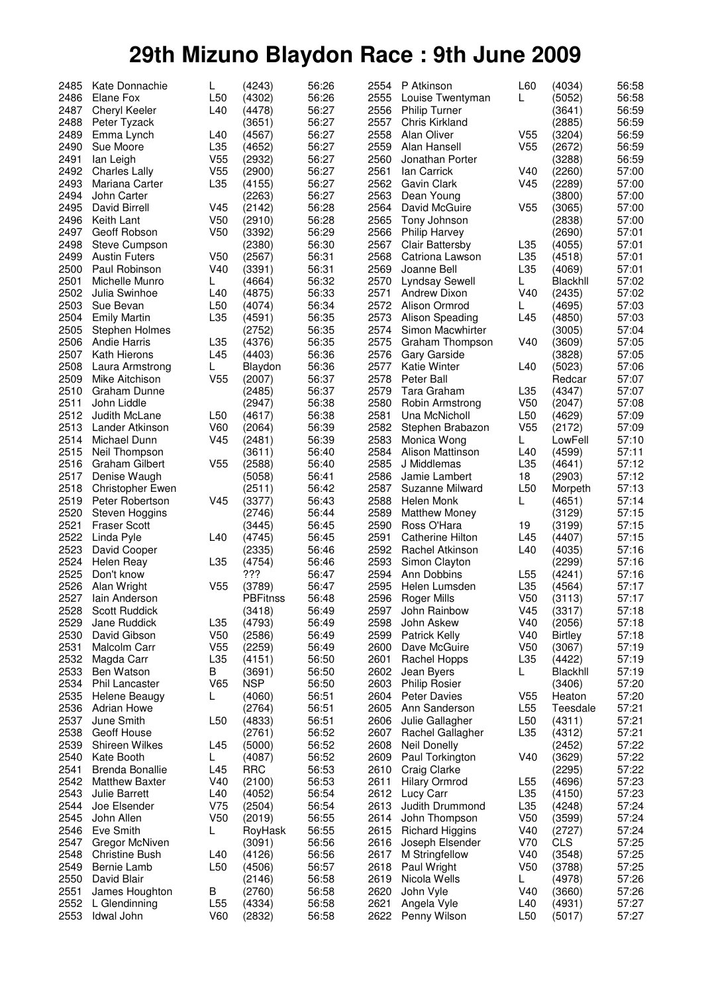| 2485 | Kate Donnachie         | L               | (4243)          | 56:26 | 2554 | P Atkinson             | L60             | (4034)         | 56:58 |
|------|------------------------|-----------------|-----------------|-------|------|------------------------|-----------------|----------------|-------|
| 2486 | Elane Fox              | L <sub>50</sub> | (4302)          | 56:26 | 2555 | Louise Twentyman       | L.              | (5052)         | 56:58 |
|      |                        |                 |                 |       |      |                        |                 |                |       |
| 2487 | Cheryl Keeler          | L40             | (4478)          | 56:27 | 2556 | <b>Philip Turner</b>   |                 | (3641)         | 56:59 |
| 2488 | Peter Tyzack           |                 | (3651)          | 56:27 | 2557 | Chris Kirkland         |                 | (2885)         | 56:59 |
| 2489 | Emma Lynch             | L40             | (4567)          | 56:27 | 2558 | Alan Oliver            | V55             | (3204)         | 56:59 |
| 2490 | Sue Moore              | L <sub>35</sub> | (4652)          | 56:27 | 2559 | Alan Hansell           | V <sub>55</sub> | (2672)         | 56:59 |
|      |                        |                 |                 |       |      |                        |                 |                |       |
| 2491 | lan Leigh              | V <sub>55</sub> | (2932)          | 56:27 | 2560 | Jonathan Porter        |                 | (3288)         | 56:59 |
| 2492 | Charles Lally          | V <sub>55</sub> | (2900)          | 56:27 | 2561 | lan Carrick            | V40             | (2260)         | 57:00 |
| 2493 | Mariana Carter         | L35             | (4155)          | 56:27 | 2562 | Gavin Clark            | V45             | (2289)         | 57:00 |
|      |                        |                 |                 |       |      |                        |                 |                |       |
| 2494 | John Carter            |                 | (2263)          | 56:27 | 2563 | Dean Young             |                 | (3800)         | 57:00 |
| 2495 | David Birrell          | V45             | (2142)          | 56:28 | 2564 | David McGuire          | V <sub>55</sub> | (3065)         | 57:00 |
| 2496 | Keith Lant             | V <sub>50</sub> | (2910)          | 56:28 | 2565 | Tony Johnson           |                 | (2838)         | 57:00 |
| 2497 | Geoff Robson           | V <sub>50</sub> | (3392)          | 56:29 | 2566 | Philip Harvey          |                 | (2690)         | 57:01 |
|      |                        |                 |                 |       |      |                        |                 |                |       |
| 2498 | Steve Cumpson          |                 | (2380)          | 56:30 | 2567 | <b>Clair Battersby</b> | L <sub>35</sub> | (4055)         | 57:01 |
| 2499 | <b>Austin Futers</b>   | V50             | (2567)          | 56:31 | 2568 | Catriona Lawson        | L35             | (4518)         | 57:01 |
| 2500 | Paul Robinson          | V40             | (3391)          | 56:31 | 2569 | Joanne Bell            | L <sub>35</sub> | (4069)         | 57:01 |
| 2501 | Michelle Munro         |                 |                 | 56:32 | 2570 |                        |                 | Blackhll       | 57:02 |
|      |                        | L               | (4664)          |       |      | <b>Lyndsay Sewell</b>  | L.              |                |       |
| 2502 | Julia Swinhoe          | L40             | (4875)          | 56:33 | 2571 | <b>Andrew Dixon</b>    | V40             | (2435)         | 57:02 |
| 2503 | Sue Bevan              | L50             | (4074)          | 56:34 | 2572 | Alison Ormrod          | L               | (4695)         | 57:03 |
| 2504 | <b>Emily Martin</b>    | L <sub>35</sub> | (4591)          | 56:35 | 2573 | Alison Speading        | L <sub>45</sub> | (4850)         | 57:03 |
|      |                        |                 |                 |       |      |                        |                 |                |       |
| 2505 | Stephen Holmes         |                 | (2752)          | 56:35 | 2574 | Simon Macwhirter       |                 | (3005)         | 57:04 |
| 2506 | <b>Andie Harris</b>    | L35             | (4376)          | 56:35 | 2575 | Graham Thompson        | V40             | (3609)         | 57:05 |
| 2507 | <b>Kath Hierons</b>    | L45             | (4403)          | 56:36 | 2576 | Gary Garside           |                 | (3828)         | 57:05 |
| 2508 | Laura Armstrong        | L               | Blaydon         | 56:36 | 2577 | <b>Katie Winter</b>    | L <sub>40</sub> | (5023)         | 57:06 |
|      |                        |                 |                 |       |      |                        |                 |                |       |
| 2509 | Mike Aitchison         | V <sub>55</sub> | (2007)          | 56:37 | 2578 | Peter Ball             |                 | Redcar         | 57:07 |
| 2510 | Graham Dunne           |                 | (2485)          | 56:37 | 2579 | Tara Graham            | L35             | (4347)         | 57:07 |
| 2511 | John Liddle            |                 | (2947)          | 56:38 | 2580 | Robin Armstrong        | V50             | (2047)         | 57:08 |
|      | Judith McLane          |                 |                 |       |      |                        |                 |                |       |
| 2512 |                        | L50             | (4617)          | 56:38 | 2581 | Una McNicholl          | L <sub>50</sub> | (4629)         | 57:09 |
| 2513 | Lander Atkinson        | V60             | (2064)          | 56:39 | 2582 | Stephen Brabazon       | V <sub>55</sub> | (2172)         | 57:09 |
| 2514 | Michael Dunn           | V45             | (2481)          | 56:39 | 2583 | Monica Wong            | L               | LowFell        | 57:10 |
| 2515 | Neil Thompson          |                 | (3611)          | 56:40 | 2584 | Alison Mattinson       | L <sub>40</sub> | (4599)         | 57:11 |
|      |                        |                 |                 |       |      |                        |                 |                |       |
| 2516 | <b>Graham Gilbert</b>  | V <sub>55</sub> | (2588)          | 56:40 | 2585 | J Middlemas            | L <sub>35</sub> | (4641)         | 57:12 |
| 2517 | Denise Waugh           |                 | (5058)          | 56:41 | 2586 | Jamie Lambert          | 18              | (2903)         | 57:12 |
| 2518 | Christopher Ewen       |                 | (2511)          | 56:42 | 2587 | Suzanne Milward        | L <sub>50</sub> | Morpeth        | 57:13 |
| 2519 | Peter Robertson        | V45             | (3377)          | 56:43 | 2588 | Helen Monk             | L               | (4651)         | 57:14 |
|      |                        |                 |                 |       |      |                        |                 |                |       |
| 2520 | Steven Hoggins         |                 | (2746)          | 56:44 | 2589 | <b>Matthew Money</b>   |                 | (3129)         | 57:15 |
| 2521 | <b>Fraser Scott</b>    |                 | (3445)          | 56:45 | 2590 | Ross O'Hara            | 19              | (3199)         | 57:15 |
| 2522 | Linda Pyle             | L40             | (4745)          | 56:45 | 2591 | Catherine Hilton       | L45             | (4407)         | 57:15 |
|      |                        |                 |                 |       |      |                        |                 |                |       |
| 2523 | David Cooper           |                 | (2335)          | 56:46 | 2592 | <b>Rachel Atkinson</b> | L <sub>40</sub> | (4035)         | 57:16 |
| 2524 | Helen Reay             | L35             | (4754)          | 56:46 | 2593 | Simon Clayton          |                 | (2299)         | 57:16 |
| 2525 | Don't know             |                 | ???             | 56:47 | 2594 | Ann Dobbins            | L <sub>55</sub> | (4241)         | 57:16 |
| 2526 | Alan Wright            | V <sub>55</sub> | (3789)          | 56:47 | 2595 | Helen Lumsden          | L35             | (4564)         | 57:17 |
|      |                        |                 |                 |       |      |                        |                 |                |       |
| 2527 | lain Anderson          |                 | <b>PBFitnss</b> | 56:48 | 2596 | Roger Mills            | V50             | (3113)         | 57:17 |
| 2528 | Scott Ruddick          |                 | (3418)          | 56:49 | 2597 | John Rainbow           | V <sub>45</sub> | (3317)         | 57:18 |
| 2529 | Jane Ruddick           | L35             | (4793)          | 56:49 | 2598 | John Askew             | V40             | (2056)         | 57:18 |
| 2530 | David Gibson           | V50             | (2586)          | 56:49 | 2599 | Patrick Kelly          | V40             | <b>Birtley</b> | 57:18 |
|      |                        |                 |                 |       |      |                        |                 |                |       |
| 2531 | Malcolm Carr           | V <sub>55</sub> | (2259)          | 56:49 | 2600 | Dave McGuire           | V <sub>50</sub> | (3067)         | 57:19 |
| 2532 | Magda Carr             | L35             | (4151)          | 56:50 | 2601 | <b>Rachel Hopps</b>    | L35             | (4422)         | 57:19 |
| 2533 | Ben Watson             | В               | (3691)          | 56:50 | 2602 | Jean Byers             | L.              | Blackhll       | 57:19 |
| 2534 | <b>Phil Lancaster</b>  | V65             | <b>NSP</b>      | 56:50 | 2603 | <b>Philip Rosier</b>   |                 | (3406)         | 57:20 |
|      |                        |                 |                 |       |      |                        |                 |                |       |
| 2535 | Helene Beaugy          | L               | (4060)          | 56:51 | 2604 | <b>Peter Davies</b>    | V <sub>55</sub> | Heaton         | 57:20 |
| 2536 | <b>Adrian Howe</b>     |                 | (2764)          | 56:51 | 2605 | Ann Sanderson          | L55             | Teesdale       | 57:21 |
| 2537 | June Smith             | L50             | (4833)          | 56:51 | 2606 | Julie Gallagher        | L <sub>50</sub> | (4311)         | 57:21 |
| 2538 |                        |                 |                 |       |      |                        |                 |                | 57:21 |
|      | Geoff House            |                 | (2761)          | 56:52 | 2607 | Rachel Gallagher       | L35             | (4312)         |       |
| 2539 | Shireen Wilkes         | L45             | (5000)          | 56:52 | 2608 | <b>Neil Donelly</b>    |                 | (2452)         | 57:22 |
| 2540 | Kate Booth             | L               | (4087)          | 56:52 | 2609 | Paul Torkington        | V40             | (3629)         | 57:22 |
| 2541 | <b>Brenda Bonallie</b> | L45             | <b>RRC</b>      | 56:53 | 2610 | Craig Clarke           |                 | (2295)         | 57:22 |
| 2542 | <b>Matthew Baxter</b>  | V40             |                 | 56:53 |      |                        |                 | (4696)         | 57:23 |
|      |                        |                 | (2100)          |       | 2611 | <b>Hilary Ormrod</b>   | L55             |                |       |
| 2543 | Julie Barrett          | L40             | (4052)          | 56:54 | 2612 | Lucy Carr              | L35             | (4150)         | 57:23 |
| 2544 | Joe Elsender           | V75             | (2504)          | 56:54 | 2613 | Judith Drummond        | L35             | (4248)         | 57:24 |
| 2545 | John Allen             | V50             | (2019)          | 56:55 | 2614 | John Thompson          | V <sub>50</sub> | (3599)         | 57:24 |
|      |                        |                 |                 |       |      |                        |                 |                |       |
| 2546 | Eve Smith              | L               | RoyHask         | 56:55 | 2615 | <b>Richard Higgins</b> | V40             | (2727)         | 57:24 |
| 2547 | Gregor McNiven         |                 | (3091)          | 56:56 | 2616 | Joseph Elsender        | V70             | <b>CLS</b>     | 57:25 |
| 2548 | <b>Christine Bush</b>  | L40             | (4126)          | 56:56 | 2617 | M Stringfellow         | V40             | (3548)         | 57:25 |
| 2549 | Bernie Lamb            | L50             | (4506)          | 56:57 | 2618 | Paul Wright            | V <sub>50</sub> | (3788)         | 57:25 |
|      |                        |                 |                 |       |      |                        |                 |                |       |
| 2550 | David Blair            |                 | (2146)          | 56:58 | 2619 | Nicola Wells           | L               | (4978)         | 57:26 |
| 2551 | James Houghton         | В               | (2760)          | 56:58 | 2620 | John Vyle              | V40             | (3660)         | 57:26 |
| 2552 | L Glendinning          | L55             | (4334)          | 56:58 | 2621 | Angela Vyle            | L40             | (4931)         | 57:27 |
| 2553 | Idwal John             | V60             | (2832)          | 56:58 | 2622 | Penny Wilson           | L50             | (5017)         | 57:27 |
|      |                        |                 |                 |       |      |                        |                 |                |       |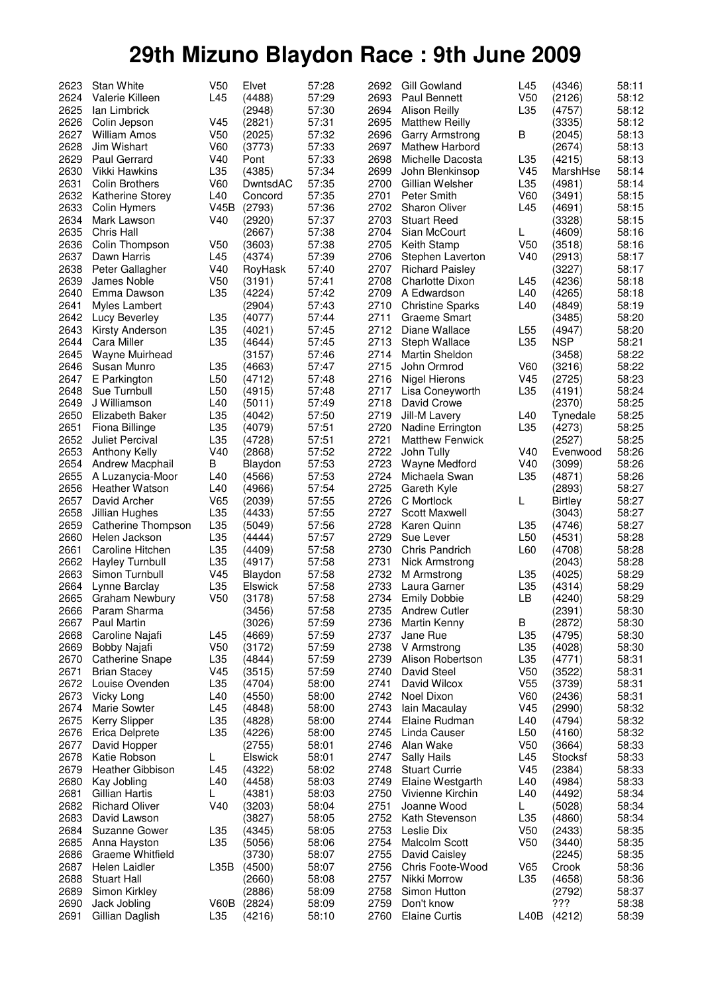| 2623 | Stan White              | V <sub>50</sub> | Elvet           | 57:28 | 2692 | <b>Gill Gowland</b>     | L45             | (4346)         | 58:11 |
|------|-------------------------|-----------------|-----------------|-------|------|-------------------------|-----------------|----------------|-------|
| 2624 | Valerie Killeen         | L45             | (4488)          | 57:29 | 2693 | <b>Paul Bennett</b>     | V50             | (2126)         | 58:12 |
| 2625 | lan Limbrick            |                 | (2948)          | 57:30 | 2694 | <b>Alison Reilly</b>    | L <sub>35</sub> | (4757)         | 58:12 |
| 2626 |                         |                 |                 |       |      |                         |                 |                |       |
|      | Colin Jepson            | V <sub>45</sub> | (2821)          | 57:31 | 2695 | <b>Matthew Reilly</b>   |                 | (3335)         | 58:12 |
| 2627 | <b>William Amos</b>     | V <sub>50</sub> | (2025)          | 57:32 | 2696 | <b>Garry Armstrong</b>  | B               | (2045)         | 58:13 |
| 2628 | Jim Wishart             | V60             | (3773)          | 57:33 | 2697 | <b>Mathew Harbord</b>   |                 | (2674)         | 58:13 |
| 2629 | Paul Gerrard            | V40             | Pont            | 57:33 | 2698 | Michelle Dacosta        | L35             | (4215)         | 58:13 |
|      |                         |                 |                 |       |      |                         |                 |                |       |
| 2630 | <b>Vikki Hawkins</b>    | L35             | (4385)          | 57:34 | 2699 | John Blenkinsop         | V45             | MarshHse       | 58:14 |
| 2631 | <b>Colin Brothers</b>   | V60             | <b>DwntsdAC</b> | 57:35 | 2700 | Gillian Welsher         | L35             | (4981)         | 58:14 |
| 2632 | <b>Katherine Storey</b> | L40             | Concord         | 57:35 | 2701 | Peter Smith             | <b>V60</b>      | (3491)         | 58:15 |
| 2633 | Colin Hymers            | V45B            | (2793)          | 57:36 | 2702 | <b>Sharon Oliver</b>    | L <sub>45</sub> | (4691)         | 58:15 |
|      |                         |                 |                 |       |      |                         |                 |                |       |
| 2634 | Mark Lawson             | V40             | (2920)          | 57:37 | 2703 | <b>Stuart Reed</b>      |                 | (3328)         | 58:15 |
| 2635 | Chris Hall              |                 | (2667)          | 57:38 | 2704 | Sian McCourt            | L.              | (4609)         | 58:16 |
| 2636 | Colin Thompson          | V <sub>50</sub> | (3603)          | 57:38 | 2705 | <b>Keith Stamp</b>      | V <sub>50</sub> | (3518)         | 58:16 |
| 2637 | Dawn Harris             | L45             | (4374)          | 57:39 | 2706 | Stephen Laverton        | V40             | (2913)         | 58:17 |
|      |                         |                 |                 |       |      |                         |                 |                |       |
| 2638 | Peter Gallagher         | V40             | RoyHask         | 57:40 | 2707 | <b>Richard Paisley</b>  |                 | (3227)         | 58:17 |
| 2639 | James Noble             | V <sub>50</sub> | (3191)          | 57:41 | 2708 | <b>Charlotte Dixon</b>  | L45             | (4236)         | 58:18 |
| 2640 | Emma Dawson             | L35             | (4224)          | 57:42 | 2709 | A Edwardson             | L40             | (4265)         | 58:18 |
| 2641 | Myles Lambert           |                 | (2904)          | 57:43 | 2710 | <b>Christine Sparks</b> | L40             | (4849)         | 58:19 |
|      |                         |                 |                 |       |      |                         |                 |                |       |
| 2642 | Lucy Beverley           | L35             | (4077)          | 57:44 | 2711 | <b>Graeme Smart</b>     |                 | (3485)         | 58:20 |
| 2643 | <b>Kirsty Anderson</b>  | L35             | (4021)          | 57:45 | 2712 | Diane Wallace           | L <sub>55</sub> | (4947)         | 58:20 |
| 2644 | Cara Miller             | L35             | (4644)          | 57:45 | 2713 | Steph Wallace           | L <sub>35</sub> | <b>NSP</b>     | 58:21 |
| 2645 | Wayne Muirhead          |                 | (3157)          | 57:46 | 2714 | Martin Sheldon          |                 | (3458)         | 58:22 |
| 2646 |                         | L <sub>35</sub> |                 | 57:47 | 2715 | John Ormrod             | V60             |                | 58:22 |
|      | Susan Munro             |                 | (4663)          |       |      |                         |                 | (3216)         |       |
| 2647 | E Parkington            | L <sub>50</sub> | (4712)          | 57:48 | 2716 | Nigel Hierons           | V <sub>45</sub> | (2725)         | 58:23 |
| 2648 | Sue Turnbull            | L <sub>50</sub> | (4915)          | 57:48 | 2717 | Lisa Coneyworth         | L35             | (4191)         | 58:24 |
| 2649 | J Williamson            | L40             | (5011)          | 57:49 | 2718 | David Crowe             |                 | (2370)         | 58:25 |
| 2650 | Elizabeth Baker         | L35             | (4042)          | 57:50 | 2719 | Jill-M Lavery           | L40             | Tynedale       | 58:25 |
|      |                         |                 |                 |       |      |                         |                 |                |       |
| 2651 | Fiona Billinge          | L35             | (4079)          | 57:51 | 2720 | Nadine Errington        | L35             | (4273)         | 58:25 |
| 2652 | <b>Juliet Percival</b>  | L35             | (4728)          | 57:51 | 2721 | <b>Matthew Fenwick</b>  |                 | (2527)         | 58:25 |
| 2653 | Anthony Kelly           | V40             | (2868)          | 57:52 | 2722 | John Tully              | V40             | Evenwood       | 58:26 |
| 2654 | Andrew Macphail         | B               | Blaydon         | 57:53 | 2723 | Wayne Medford           | V40             | (3099)         | 58:26 |
|      |                         |                 |                 |       |      |                         |                 |                |       |
| 2655 | A Luzanycia-Moor        | L40             | (4566)          | 57:53 | 2724 | Michaela Swan           | L35             | (4871)         | 58:26 |
| 2656 | <b>Heather Watson</b>   | L40             | (4966)          | 57:54 | 2725 | Gareth Kyle             |                 | (2893)         | 58:27 |
| 2657 | David Archer            | V65             | (2039)          | 57:55 | 2726 | C Mortlock              | L               | <b>Birtley</b> | 58:27 |
| 2658 | Jillian Hughes          | L35             | (4433)          | 57:55 | 2727 | Scott Maxwell           |                 | (3043)         | 58:27 |
|      |                         |                 |                 |       |      |                         |                 |                |       |
| 2659 | Catherine Thompson      | L35             | (5049)          | 57:56 | 2728 | Karen Quinn             | L35             | (4746)         | 58:27 |
| 2660 | Helen Jackson           | L35             | (4444)          | 57:57 | 2729 | Sue Lever               | L <sub>50</sub> | (4531)         | 58:28 |
| 2661 | Caroline Hitchen        | L35             | (4409)          | 57:58 | 2730 | Chris Pandrich          | L60             | (4708)         | 58:28 |
| 2662 | Hayley Turnbull         | L35             | (4917)          | 57:58 | 2731 | Nick Armstrong          |                 | (2043)         | 58:28 |
| 2663 | Simon Turnbull          |                 |                 |       | 2732 |                         |                 |                |       |
|      |                         | V <sub>45</sub> | Blaydon         | 57:58 |      | M Armstrong             | L35             | (4025)         | 58:29 |
| 2664 | Lynne Barclay           | L35             | <b>Elswick</b>  | 57:58 | 2733 | Laura Garner            | L35             | (4314)         | 58:29 |
| 2665 | <b>Graham Newbury</b>   | V50             | (3178)          | 57:58 | 2734 | <b>Emily Dobbie</b>     | LB              | (4240)         | 58:29 |
| 2666 | Param Sharma            |                 | (3456)          | 57:58 | 2735 | <b>Andrew Cutler</b>    |                 | (2391)         | 58:30 |
| 2667 | Paul Martin             |                 | (3026)          | 57:59 | 2736 | Martin Kenny            | В               | (2872)         | 58:30 |
|      |                         |                 |                 |       |      |                         |                 |                |       |
| 2668 | Caroline Najafi         | L45             | (4669)          | 57:59 | 2737 | Jane Rue                | L <sub>35</sub> | (4795)         | 58:30 |
| 2669 | Bobby Najafi            | V50             | (3172)          | 57:59 | 2738 | V Armstrong             | L35             | (4028)         | 58:30 |
| 2670 | <b>Catherine Snape</b>  | L35             | (4844)          | 57:59 | 2739 | Alison Robertson        | L35             | (4771)         | 58:31 |
| 2671 | <b>Brian Stacey</b>     | V <sub>45</sub> | (3515)          | 57:59 | 2740 | David Steel             | V <sub>50</sub> | (3522)         | 58:31 |
|      |                         |                 |                 |       |      |                         |                 |                |       |
| 2672 | Louise Ovenden          | L35             | (4704)          | 58:00 | 2741 | David Wilcox            | V <sub>55</sub> | (3739)         | 58:31 |
| 2673 | Vicky Long              | L40             | (4550)          | 58:00 | 2742 | Noel Dixon              | V60             | (2436)         | 58:31 |
| 2674 | Marie Sowter            | L45             | (4848)          | 58:00 | 2743 | lain Macaulay           | V <sub>45</sub> | (2990)         | 58:32 |
| 2675 | Kerry Slipper           | L35             | (4828)          | 58:00 | 2744 | Elaine Rudman           | L <sub>40</sub> | (4794)         | 58:32 |
| 2676 |                         | L35             | (4226)          | 58:00 | 2745 | Linda Causer            | L <sub>50</sub> | (4160)         | 58:32 |
|      | Erica Delprete          |                 |                 |       |      |                         |                 |                |       |
| 2677 | David Hopper            |                 | (2755)          | 58:01 | 2746 | Alan Wake               | V <sub>50</sub> | (3664)         | 58:33 |
| 2678 | Katie Robson            | L               | <b>Elswick</b>  | 58:01 | 2747 | Sally Hails             | L45             | Stocksf        | 58:33 |
| 2679 | Heather Gibbison        | L45             | (4322)          | 58:02 | 2748 | <b>Stuart Currie</b>    | V <sub>45</sub> | (2384)         | 58:33 |
| 2680 | Kay Jobling             | L40             | (4458)          | 58:03 | 2749 | Elaine Westgarth        | L <sub>40</sub> | (4984)         | 58:33 |
|      |                         |                 |                 |       |      |                         |                 |                |       |
| 2681 | Gillian Hartis          | L               | (4381)          | 58:03 | 2750 | Vivienne Kirchin        | L40             | (4492)         | 58:34 |
| 2682 | <b>Richard Oliver</b>   | V40             | (3203)          | 58:04 | 2751 | Joanne Wood             | L               | (5028)         | 58:34 |
| 2683 | David Lawson            |                 | (3827)          | 58:05 | 2752 | Kath Stevenson          | L35             | (4860)         | 58:34 |
| 2684 | Suzanne Gower           | L35             | (4345)          | 58:05 | 2753 | Leslie Dix              | V <sub>50</sub> | (2433)         | 58:35 |
|      |                         |                 |                 |       |      |                         |                 |                |       |
| 2685 | Anna Hayston            | L35             | (5056)          | 58:06 | 2754 | Malcolm Scott           | V <sub>50</sub> | (3440)         | 58:35 |
| 2686 | Graeme Whitfield        |                 | (3730)          | 58:07 | 2755 | David Caisley           |                 | (2245)         | 58:35 |
| 2687 | Helen Laidler           | L35B            | (4500)          | 58:07 | 2756 | Chris Foote-Wood        | V65             | Crook          | 58:36 |
| 2688 | <b>Stuart Hall</b>      |                 | (2660)          | 58:08 | 2757 | Nikki Morrow            | L35             | (4658)         | 58:36 |
| 2689 |                         |                 |                 |       |      |                         |                 |                |       |
|      | Simon Kirkley           |                 | (2886)          | 58:09 | 2758 | Simon Hutton            |                 | (2792)         | 58:37 |
| 2690 | Jack Jobling            | V60B            | (2824)          | 58:09 | 2759 | Don't know              |                 | ???            | 58:38 |
| 2691 | Gillian Daglish         | L35             | (4216)          | 58:10 | 2760 | <b>Elaine Curtis</b>    | L40B            | (4212)         | 58:39 |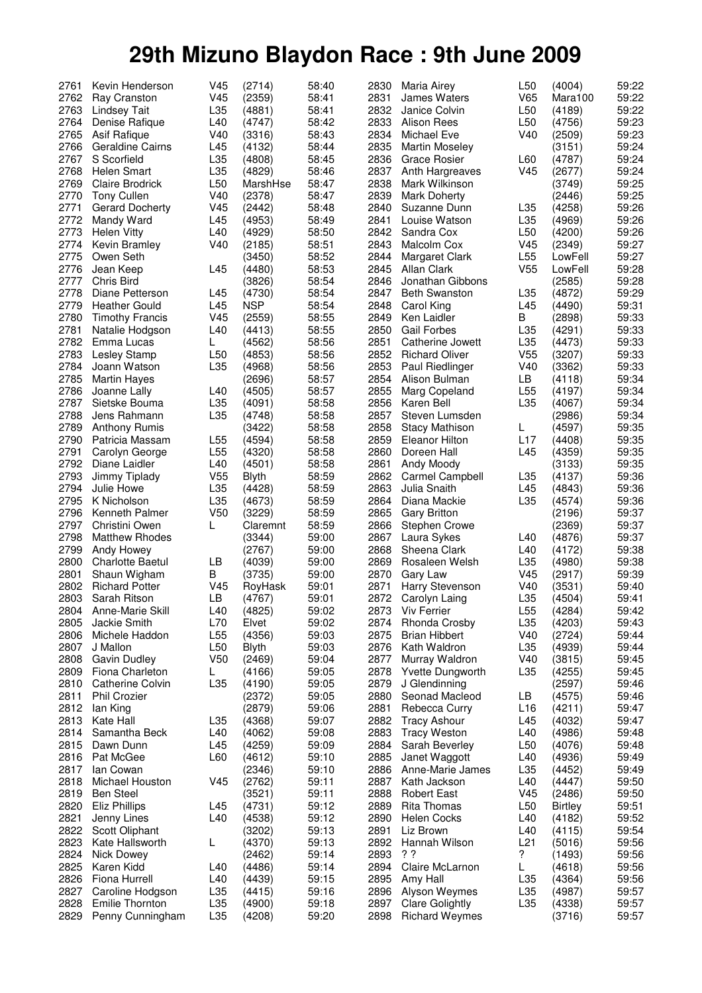| 2761 | Kevin Henderson         | V45             | (2714)       | 58:40 | 2830 | Maria Airey             | L <sub>50</sub> | (4004)         | 59:22 |
|------|-------------------------|-----------------|--------------|-------|------|-------------------------|-----------------|----------------|-------|
| 2762 | Ray Cranston            | V45             | (2359)       | 58:41 | 2831 | <b>James Waters</b>     | V65             | Mara100        | 59:22 |
|      |                         |                 |              |       |      |                         |                 |                |       |
| 2763 | <b>Lindsey Tait</b>     | L35             | (4881)       | 58:41 | 2832 | Janice Colvin           | L <sub>50</sub> | (4189)         | 59:22 |
| 2764 | Denise Rafique          | L40             | (4747)       | 58:42 | 2833 | <b>Alison Rees</b>      | L <sub>50</sub> | (4756)         | 59:23 |
| 2765 | Asif Rafique            | V40             | (3316)       | 58:43 | 2834 | Michael Eve             | V40             | (2509)         | 59:23 |
|      |                         |                 |              |       |      |                         |                 |                |       |
| 2766 | <b>Geraldine Cairns</b> | L45             | (4132)       | 58:44 | 2835 | <b>Martin Moseley</b>   |                 | (3151)         | 59:24 |
| 2767 | S Scorfield             | L35             | (4808)       | 58:45 | 2836 | Grace Rosier            | L60             | (4787)         | 59:24 |
|      |                         |                 |              |       |      |                         |                 |                |       |
| 2768 | <b>Helen Smart</b>      | L35             | (4829)       | 58:46 | 2837 | Anth Hargreaves         | V45             | (2677)         | 59:24 |
| 2769 | <b>Claire Brodrick</b>  | L <sub>50</sub> | MarshHse     | 58:47 | 2838 | Mark Wilkinson          |                 | (3749)         | 59:25 |
| 2770 | <b>Tony Cullen</b>      | V40             | (2378)       | 58:47 | 2839 | Mark Doherty            |                 | (2446)         | 59:25 |
|      |                         |                 |              |       |      |                         |                 |                |       |
| 2771 | Gerard Docherty         | V45             | (2442)       | 58:48 | 2840 | Suzanne Dunn            | L35             | (4258)         | 59:26 |
| 2772 | Mandy Ward              | L45             | (4953)       | 58:49 | 2841 | Louise Watson           | L <sub>35</sub> | (4969)         | 59:26 |
|      |                         |                 |              |       |      |                         |                 |                |       |
| 2773 | <b>Helen Vitty</b>      | L40             | (4929)       | 58:50 | 2842 | Sandra Cox              | L <sub>50</sub> | (4200)         | 59:26 |
| 2774 | Kevin Bramley           | V40             | (2185)       | 58:51 | 2843 | Malcolm Cox             | V <sub>45</sub> | (2349)         | 59:27 |
| 2775 | Owen Seth               |                 | (3450)       | 58:52 | 2844 | Margaret Clark          | L <sub>55</sub> | LowFell        | 59:27 |
|      |                         |                 |              |       |      |                         |                 |                |       |
| 2776 | Jean Keep               | L45             | (4480)       | 58:53 | 2845 | <b>Allan Clark</b>      | V <sub>55</sub> | LowFell        | 59:28 |
| 2777 | Chris Bird              |                 | (3826)       | 58:54 | 2846 | Jonathan Gibbons        |                 | (2585)         | 59:28 |
| 2778 |                         |                 |              |       |      |                         |                 |                |       |
|      | Diane Petterson         | L45             | (4730)       | 58:54 | 2847 | <b>Beth Swanston</b>    | L35             | (4872)         | 59:29 |
| 2779 | <b>Heather Gould</b>    | L45             | <b>NSP</b>   | 58:54 | 2848 | Carol King              | L45             | (4490)         | 59:31 |
| 2780 | <b>Timothy Francis</b>  | V45             | (2559)       | 58:55 | 2849 | Ken Laidler             | В               | (2898)         | 59:33 |
|      |                         |                 |              |       |      |                         |                 |                |       |
| 2781 | Natalie Hodgson         | L40             | (4413)       | 58:55 | 2850 | <b>Gail Forbes</b>      | L <sub>35</sub> | (4291)         | 59:33 |
| 2782 | Emma Lucas              | L               | (4562)       | 58:56 | 2851 | Catherine Jowett        | L35             | (4473)         | 59:33 |
| 2783 | Lesley Stamp            | L50             | (4853)       | 58:56 | 2852 | <b>Richard Oliver</b>   | V <sub>55</sub> | (3207)         | 59:33 |
|      |                         |                 |              |       |      |                         |                 |                |       |
| 2784 | Joann Watson            | L35             | (4968)       | 58:56 | 2853 | Paul Riedlinger         | V40             | (3362)         | 59:33 |
| 2785 | <b>Martin Hayes</b>     |                 | (2696)       | 58:57 | 2854 | Alison Bulman           | LB              | (4118)         | 59:34 |
|      |                         |                 |              |       |      |                         |                 |                |       |
| 2786 | Joanne Lally            | L40             | (4505)       | 58:57 | 2855 | Marg Copeland           | L <sub>55</sub> | (4197)         | 59:34 |
| 2787 | Sietske Bouma           | L35             | (4091)       | 58:58 | 2856 | Karen Bell              | L35             | (4067)         | 59:34 |
| 2788 | Jens Rahmann            | L35             | (4748)       | 58:58 | 2857 | Steven Lumsden          |                 | (2986)         | 59:34 |
|      |                         |                 |              |       |      |                         |                 |                |       |
| 2789 | <b>Anthony Rumis</b>    |                 | (3422)       | 58:58 | 2858 | <b>Stacy Mathison</b>   | L.              | (4597)         | 59:35 |
| 2790 | Patricia Massam         | L55             | (4594)       | 58:58 | 2859 | Eleanor Hilton          | L17             | (4408)         | 59:35 |
|      |                         |                 |              |       |      |                         |                 |                |       |
| 2791 | Carolyn George          | L <sub>55</sub> | (4320)       | 58:58 | 2860 | Doreen Hall             | L45             | (4359)         | 59:35 |
| 2792 | Diane Laidler           | L40             | (4501)       | 58:58 | 2861 | Andy Moody              |                 | (3133)         | 59:35 |
| 2793 | Jimmy Tiplady           | V <sub>55</sub> | Blyth        | 58:59 | 2862 | Carmel Campbell         | L35             | (4137)         | 59:36 |
|      |                         |                 |              |       |      |                         |                 |                |       |
| 2794 | Julie Howe              | L35             | (4428)       | 58:59 | 2863 | Julia Snaith            | L45             | (4843)         | 59:36 |
| 2795 | K Nicholson             | L35             | (4673)       | 58:59 | 2864 | Diana Mackie            | L35             | (4574)         | 59:36 |
| 2796 | Kenneth Palmer          | V50             |              |       | 2865 |                         |                 |                |       |
|      |                         |                 | (3229)       | 58:59 |      | <b>Gary Britton</b>     |                 | (2196)         | 59:37 |
| 2797 | Christini Owen          | L               | Claremnt     | 58:59 | 2866 | <b>Stephen Crowe</b>    |                 | (2369)         | 59:37 |
| 2798 | <b>Matthew Rhodes</b>   |                 | (3344)       | 59:00 | 2867 | Laura Sykes             | L40             | (4876)         | 59:37 |
|      |                         |                 |              |       |      |                         |                 |                |       |
| 2799 | Andy Howey              |                 | (2767)       | 59:00 | 2868 | Sheena Clark            | L40             | (4172)         | 59:38 |
| 2800 | <b>Charlotte Baetul</b> | LB              | (4039)       | 59:00 | 2869 | Rosaleen Welsh          | L35             | (4980)         | 59:38 |
| 2801 | Shaun Wigham            | В               | (3735)       | 59:00 | 2870 | Gary Law                | V45             | (2917)         | 59:39 |
|      |                         |                 |              |       |      |                         |                 |                |       |
| 2802 | <b>Richard Potter</b>   | V45             | RoyHask      | 59:01 | 2871 | Harry Stevenson         | V40             | (3531)         | 59:40 |
| 2803 | Sarah Ritson            | LВ              | (4767)       | 59:01 | 2872 | Carolyn Laing           | L35             | (4504)         | 59:41 |
|      | Anne-Marie Skill        |                 |              |       |      |                         |                 |                |       |
| 2804 |                         | L40             | (4825)       | 59:02 | 2873 | Viv Ferrier             | L <sub>55</sub> | (4284)         | 59:42 |
| 2805 | Jackie Smith            | L70             | Elvet        | 59:02 | 2874 | Rhonda Crosby           | L35             | (4203)         | 59:43 |
| 2806 | Michele Haddon          | L <sub>55</sub> | (4356)       | 59:03 | 2875 | <b>Brian Hibbert</b>    | V40             | (2724)         | 59:44 |
|      |                         |                 |              |       |      |                         |                 |                |       |
| 2807 | J Mallon                | L50             | <b>Blyth</b> | 59:03 | 2876 | Kath Waldron            | L35             | (4939)         | 59:44 |
| 2808 | Gavin Dudley            | V <sub>50</sub> | (2469)       | 59:04 | 2877 | Murray Waldron          | V40             | (3815)         | 59:45 |
| 2809 | Fiona Charleton         | L               | (4166)       | 59:05 | 2878 | <b>Yvette Dungworth</b> | L35             | (4255)         | 59:45 |
|      |                         |                 |              |       |      |                         |                 |                |       |
| 2810 | <b>Catherine Colvin</b> | L35             | (4190)       | 59:05 | 2879 | J Glendinning           |                 | (2597)         | 59:46 |
| 2811 | <b>Phil Crozier</b>     |                 | (2372)       | 59:05 | 2880 | Seonad Macleod          | LB              | (4575)         | 59:46 |
| 2812 | lan King                |                 | (2879)       | 59:06 | 2881 | Rebecca Curry           | L16             | (4211)         | 59:47 |
|      |                         |                 |              |       |      |                         |                 |                |       |
| 2813 | Kate Hall               | L35             | (4368)       | 59:07 | 2882 | <b>Tracy Ashour</b>     | L45             | (4032)         | 59:47 |
| 2814 | Samantha Beck           | L40             | (4062)       | 59:08 | 2883 | <b>Tracy Weston</b>     | L40             | (4986)         | 59:48 |
| 2815 | Dawn Dunn               | L45             | (4259)       | 59:09 | 2884 | Sarah Beverley          | L <sub>50</sub> | (4076)         | 59:48 |
|      |                         |                 |              |       |      |                         |                 |                |       |
| 2816 | Pat McGee               | L60             | (4612)       | 59:10 | 2885 | Janet Waggott           | L40             | (4936)         | 59:49 |
| 2817 | lan Cowan               |                 | (2346)       | 59:10 | 2886 | Anne-Marie James        | L35             | (4452)         | 59:49 |
|      |                         |                 |              |       |      |                         |                 |                |       |
| 2818 | Michael Houston         | V45             | (2762)       | 59:11 | 2887 | Kath Jackson            | L <sub>40</sub> | (4447)         | 59:50 |
| 2819 | <b>Ben Steel</b>        |                 | (3521)       | 59:11 | 2888 | <b>Robert East</b>      | V <sub>45</sub> | (2486)         | 59:50 |
| 2820 | Eliz Phillips           | L45             | (4731)       | 59:12 | 2889 | <b>Rita Thomas</b>      | L <sub>50</sub> | <b>Birtley</b> | 59:51 |
|      |                         |                 |              |       |      |                         |                 |                |       |
| 2821 | Jenny Lines             | L40             | (4538)       | 59:12 | 2890 | <b>Helen Cocks</b>      | L40             | (4182)         | 59:52 |
| 2822 | Scott Oliphant          |                 | (3202)       | 59:13 | 2891 | Liz Brown               | L40             | (4115)         | 59:54 |
| 2823 | Kate Hallsworth         | L               | (4370)       | 59:13 | 2892 | Hannah Wilson           | L21             | (5016)         | 59:56 |
|      |                         |                 |              |       |      |                         |                 |                |       |
| 2824 | Nick Dowey              |                 | (2462)       | 59:14 | 2893 | ??                      | ?               | (1493)         | 59:56 |
| 2825 | Karen Kidd              | L40             | (4486)       | 59:14 | 2894 | Claire McLarnon         | L.              | (4618)         | 59:56 |
|      |                         |                 |              |       |      |                         |                 |                |       |
| 2826 | Fiona Hurrell           | L40             | (4439)       | 59:15 | 2895 | Amy Hall                | L35             | (4364)         | 59:56 |
| 2827 | Caroline Hodgson        | L35             | (4415)       | 59:16 | 2896 | Alyson Weymes           | L35             | (4987)         | 59:57 |
| 2828 | <b>Emilie Thornton</b>  | L35             | (4900)       | 59:18 | 2897 | <b>Clare Golightly</b>  | L35             | (4338)         | 59:57 |
|      |                         |                 |              |       |      |                         |                 |                |       |
| 2829 | Penny Cunningham        | L35             | (4208)       | 59:20 | 2898 | <b>Richard Weymes</b>   |                 | (3716)         | 59:57 |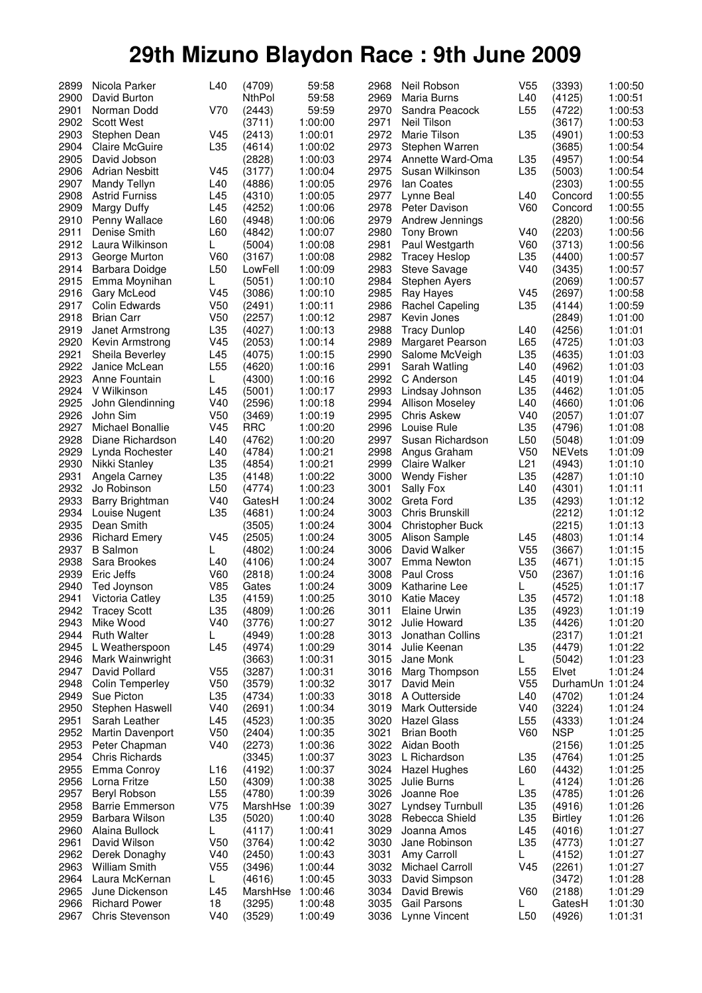| 2899 | Nicola Parker           | L40             | (4709)        | 59:58   | 2968 | Neil Robson             | V55             | (3393)           | 1:00:50 |
|------|-------------------------|-----------------|---------------|---------|------|-------------------------|-----------------|------------------|---------|
| 2900 | David Burton            |                 | <b>NthPol</b> | 59:58   | 2969 | Maria Burns             | L <sub>40</sub> | (4125)           | 1:00:51 |
|      |                         |                 |               |         |      |                         |                 |                  |         |
| 2901 | Norman Dodd             | V70             | (2443)        | 59:59   | 2970 | Sandra Peacock          | L <sub>55</sub> | (4722)           | 1:00:53 |
| 2902 | <b>Scott West</b>       |                 | (3711)        | 1:00:00 | 2971 | Neil Tilson             |                 | (3617)           | 1:00:53 |
|      |                         |                 |               |         |      |                         |                 |                  |         |
| 2903 | Stephen Dean            | V45             | (2413)        | 1:00:01 | 2972 | Marie Tilson            | L <sub>35</sub> | (4901)           | 1:00:53 |
| 2904 | <b>Claire McGuire</b>   | L <sub>35</sub> | (4614)        | 1:00:02 | 2973 | Stephen Warren          |                 | (3685)           | 1:00:54 |
| 2905 | David Jobson            |                 | (2828)        | 1:00:03 | 2974 | Annette Ward-Oma        | L <sub>35</sub> | (4957)           | 1:00:54 |
|      |                         |                 |               |         |      |                         |                 |                  |         |
| 2906 | <b>Adrian Nesbitt</b>   | V45             | (3177)        | 1:00:04 | 2975 | Susan Wilkinson         | L35             | (5003)           | 1:00:54 |
| 2907 | Mandy Tellyn            | L40             | (4886)        | 1:00:05 | 2976 | lan Coates              |                 | (2303)           | 1:00:55 |
|      |                         |                 |               |         |      |                         |                 |                  |         |
| 2908 | <b>Astrid Furniss</b>   | L45             | (4310)        | 1:00:05 | 2977 | Lynne Beal              | L40             | Concord          | 1:00:55 |
| 2909 | <b>Margy Duffy</b>      | L45             | (4252)        | 1:00:06 | 2978 | Peter Davison           | V60             | Concord          | 1:00:55 |
|      |                         |                 |               |         |      |                         |                 |                  |         |
| 2910 | Penny Wallace           | L60             | (4948)        | 1:00:06 | 2979 | Andrew Jennings         |                 | (2820)           | 1:00:56 |
| 2911 | Denise Smith            | L60             | (4842)        | 1:00:07 | 2980 | <b>Tony Brown</b>       | V40             | (2203)           | 1:00:56 |
|      |                         |                 |               |         |      |                         |                 |                  |         |
| 2912 | Laura Wilkinson         | L               | (5004)        | 1:00:08 | 2981 | Paul Westgarth          | V60             | (3713)           | 1:00:56 |
| 2913 | George Murton           | V60             | (3167)        | 1:00:08 | 2982 | <b>Tracey Heslop</b>    | L35             | (4400)           | 1:00:57 |
| 2914 |                         | L <sub>50</sub> | LowFell       | 1:00:09 | 2983 | Steve Savage            | V40             | (3435)           | 1:00:57 |
|      | Barbara Doidge          |                 |               |         |      |                         |                 |                  |         |
| 2915 | Emma Moynihan           | L               | (5051)        | 1:00:10 | 2984 | Stephen Ayers           |                 | (2069)           | 1:00:57 |
| 2916 | Gary McLeod             | V <sub>45</sub> | (3086)        | 1:00:10 | 2985 | Ray Hayes               | V45             | (2697)           | 1:00:58 |
|      |                         |                 |               |         |      |                         |                 |                  |         |
| 2917 | Colin Edwards           | V50             | (2491)        | 1:00:11 | 2986 | <b>Rachel Capeling</b>  | L <sub>35</sub> | (4144)           | 1:00:59 |
| 2918 | <b>Brian Carr</b>       | V <sub>50</sub> | (2257)        | 1:00:12 | 2987 | Kevin Jones             |                 | (2849)           | 1:01:00 |
|      |                         |                 |               |         |      |                         |                 |                  |         |
| 2919 | Janet Armstrong         | L35             | (4027)        | 1:00:13 | 2988 | <b>Tracy Dunlop</b>     | L40             | (4256)           | 1:01:01 |
| 2920 | Kevin Armstrong         | V <sub>45</sub> | (2053)        | 1:00:14 | 2989 | Margaret Pearson        | L65             | (4725)           | 1:01:03 |
| 2921 | Sheila Beverley         | L45             | (4075)        | 1:00:15 | 2990 | Salome McVeigh          | L35             | (4635)           | 1:01:03 |
|      |                         |                 |               |         |      |                         |                 |                  |         |
| 2922 | Janice McLean           | L <sub>55</sub> | (4620)        | 1:00:16 | 2991 | Sarah Watling           | L <sub>40</sub> | (4962)           | 1:01:03 |
| 2923 | Anne Fountain           | L               | (4300)        | 1:00:16 | 2992 | C Anderson              | L <sub>45</sub> | (4019)           | 1:01:04 |
|      |                         |                 |               |         |      |                         |                 |                  |         |
| 2924 | V Wilkinson             | L45             | (5001)        | 1:00:17 | 2993 | Lindsay Johnson         | L35             | (4462)           | 1:01:05 |
| 2925 | John Glendinning        | V40             | (2596)        | 1:00:18 | 2994 | <b>Allison Moseley</b>  | L40             | (4660)           | 1:01:06 |
|      |                         |                 |               |         |      |                         |                 |                  |         |
| 2926 | John Sim                | V50             | (3469)        | 1:00:19 | 2995 | <b>Chris Askew</b>      | V40             | (2057)           | 1:01:07 |
| 2927 | <b>Michael Bonallie</b> | V45             | <b>RRC</b>    | 1:00:20 | 2996 | Louise Rule             | L <sub>35</sub> | (4796)           | 1:01:08 |
| 2928 | Diane Richardson        | L40             | (4762)        | 1:00:20 | 2997 | Susan Richardson        | L50             | (5048)           | 1:01:09 |
|      |                         |                 |               |         |      |                         |                 |                  |         |
| 2929 | Lynda Rochester         | L40             | (4784)        | 1:00:21 | 2998 | Angus Graham            | V <sub>50</sub> | <b>NEVets</b>    | 1:01:09 |
| 2930 | Nikki Stanley           | L35             | (4854)        | 1:00:21 | 2999 | <b>Claire Walker</b>    | L21             | (4943)           | 1:01:10 |
|      |                         |                 |               |         |      |                         |                 |                  |         |
| 2931 | Angela Carney           | L35             | (4148)        | 1:00:22 | 3000 | <b>Wendy Fisher</b>     | L35             | (4287)           | 1:01:10 |
| 2932 | Jo Robinson             | L <sub>50</sub> | (4774)        | 1:00:23 | 3001 | Sally Fox               | L40             | (4301)           | 1:01:11 |
| 2933 |                         | V40             |               |         | 3002 | Greta Ford              | L35             |                  |         |
|      | Barry Brightman         |                 | GatesH        | 1:00:24 |      |                         |                 | (4293)           | 1:01:12 |
| 2934 | Louise Nugent           | L35             | (4681)        | 1:00:24 | 3003 | Chris Brunskill         |                 | (2212)           | 1:01:12 |
| 2935 | Dean Smith              |                 | (3505)        | 1:00:24 | 3004 | <b>Christopher Buck</b> |                 | (2215)           | 1:01:13 |
|      |                         |                 |               |         |      |                         |                 |                  |         |
| 2936 | <b>Richard Emery</b>    | V45             | (2505)        | 1:00:24 | 3005 | Alison Sample           | L45             | (4803)           | 1:01:14 |
| 2937 | <b>B</b> Salmon         | L               | (4802)        | 1:00:24 | 3006 | David Walker            | V <sub>55</sub> | (3667)           | 1:01:15 |
|      |                         |                 |               |         |      |                         |                 |                  |         |
| 2938 | Sara Brookes            | L40             | (4106)        | 1:00:24 | 3007 | Emma Newton             | L35             | (4671)           | 1:01:15 |
| 2939 | Eric Jeffs              | V60             | (2818)        | 1:00:24 | 3008 | <b>Paul Cross</b>       | V50             | (2367)           | 1:01:16 |
| 2940 | Ted Joynson             | <b>V85</b>      | Gates         | 1:00:24 | 3009 | Katharine Lee           | L               | (4525)           | 1:01:17 |
|      |                         |                 |               |         |      |                         |                 |                  |         |
| 2941 | Victoria Catley         | L35             | (4159)        | 1:00:25 | 3010 | Katie Macey             | L <sub>35</sub> | (4572)           | 1:01:18 |
| 2942 | <b>Tracey Scott</b>     | L35             | (4809)        | 1:00:26 | 3011 | Elaine Urwin            | L <sub>35</sub> | (4923)           | 1:01:19 |
|      |                         |                 |               |         |      |                         |                 |                  |         |
| 2943 | Mike Wood               | V40             | (3776)        | 1:00:27 | 3012 | Julie Howard            | L <sub>35</sub> | (4426)           | 1:01:20 |
| 2944 | <b>Ruth Walter</b>      | L               | (4949)        | 1:00:28 | 3013 | Jonathan Collins        |                 | (2317)           | 1:01:21 |
| 2945 | L Weatherspoon          | L45             | (4974)        | 1:00:29 | 3014 | Julie Keenan            | L <sub>35</sub> | (4479)           | 1:01:22 |
|      |                         |                 |               |         |      |                         |                 |                  |         |
| 2946 | Mark Wainwright         |                 | (3663)        | 1:00:31 | 3015 | Jane Monk               | L               | (5042)           | 1:01:23 |
| 2947 | David Pollard           | V <sub>55</sub> | (3287)        | 1:00:31 | 3016 | Marg Thompson           | L55             | Elvet            | 1:01:24 |
|      |                         |                 |               |         |      |                         |                 |                  |         |
| 2948 | <b>Colin Temperley</b>  | V <sub>50</sub> | (3579)        | 1:00:32 | 3017 | David Mein              | V <sub>55</sub> | DurhamUn 1:01:24 |         |
| 2949 | Sue Picton              | L35             | (4734)        | 1:00:33 | 3018 | A Outterside            | L40             | (4702)           | 1:01:24 |
| 2950 | Stephen Haswell         | V40             | (2691)        | 1:00:34 | 3019 | Mark Outterside         | V40             | (3224)           | 1:01:24 |
|      |                         |                 |               |         |      |                         |                 |                  |         |
| 2951 | Sarah Leather           | L45             | (4523)        | 1:00:35 | 3020 | <b>Hazel Glass</b>      | L55             | (4333)           | 1:01:24 |
| 2952 | Martin Davenport        | V <sub>50</sub> | (2404)        | 1:00:35 | 3021 | <b>Brian Booth</b>      | V60             | <b>NSP</b>       | 1:01:25 |
|      |                         |                 |               |         |      |                         |                 |                  |         |
| 2953 | Peter Chapman           | V40             | (2273)        | 1:00:36 | 3022 | Aidan Booth             |                 | (2156)           | 1:01:25 |
| 2954 | Chris Richards          |                 | (3345)        | 1:00:37 | 3023 | L Richardson            | L35             | (4764)           | 1:01:25 |
|      |                         |                 |               |         |      |                         |                 |                  |         |
| 2955 | Emma Conroy             | L <sub>16</sub> | (4192)        | 1:00:37 | 3024 | <b>Hazel Hughes</b>     | L60             | (4432)           | 1:01:25 |
| 2956 | Lorna Fritze            | L50             | (4309)        | 1:00:38 | 3025 | Julie Burns             | L               | (4124)           | 1:01:26 |
| 2957 | Beryl Robson            | L55             | (4780)        | 1:00:39 | 3026 | Joanne Roe              | L35             | (4785)           | 1:01:26 |
|      |                         |                 |               |         |      |                         |                 |                  |         |
| 2958 | <b>Barrie Emmerson</b>  | V75             | MarshHse      | 1:00:39 | 3027 | Lyndsey Turnbull        | L35             | (4916)           | 1:01:26 |
| 2959 | Barbara Wilson          | L35             | (5020)        | 1:00:40 | 3028 | Rebecca Shield          | L35             | <b>Birtley</b>   | 1:01:26 |
|      |                         |                 |               |         |      |                         |                 |                  |         |
| 2960 | Alaina Bullock          | L               | (4117)        | 1:00:41 | 3029 | Joanna Amos             | L45             | (4016)           | 1:01:27 |
| 2961 | David Wilson            | V <sub>50</sub> | (3764)        | 1:00:42 | 3030 | Jane Robinson           | L35             | (4773)           | 1:01:27 |
|      |                         |                 |               |         |      |                         |                 |                  |         |
| 2962 | Derek Donaghy           | V40             | (2450)        | 1:00:43 | 3031 | Amy Carroll             | L               | (4152)           | 1:01:27 |
| 2963 | <b>William Smith</b>    | V <sub>55</sub> | (3496)        | 1:00:44 | 3032 | Michael Carroll         | V45             | (2261)           | 1:01:27 |
| 2964 | Laura McKernan          |                 | (4616)        | 1:00:45 | 3033 | David Simpson           |                 | (3472)           | 1:01:28 |
|      |                         | L               |               |         |      |                         |                 |                  |         |
| 2965 | June Dickenson          | L45             | MarshHse      | 1:00:46 | 3034 | David Brewis            | V60             | (2188)           | 1:01:29 |
| 2966 | <b>Richard Power</b>    | 18              | (3295)        | 1:00:48 | 3035 | Gail Parsons            | L               | GatesH           | 1:01:30 |
|      |                         |                 |               |         |      |                         |                 |                  |         |
| 2967 | Chris Stevenson         | V40             | (3529)        | 1:00:49 | 3036 | Lynne Vincent           | L <sub>50</sub> | (4926)           | 1:01:31 |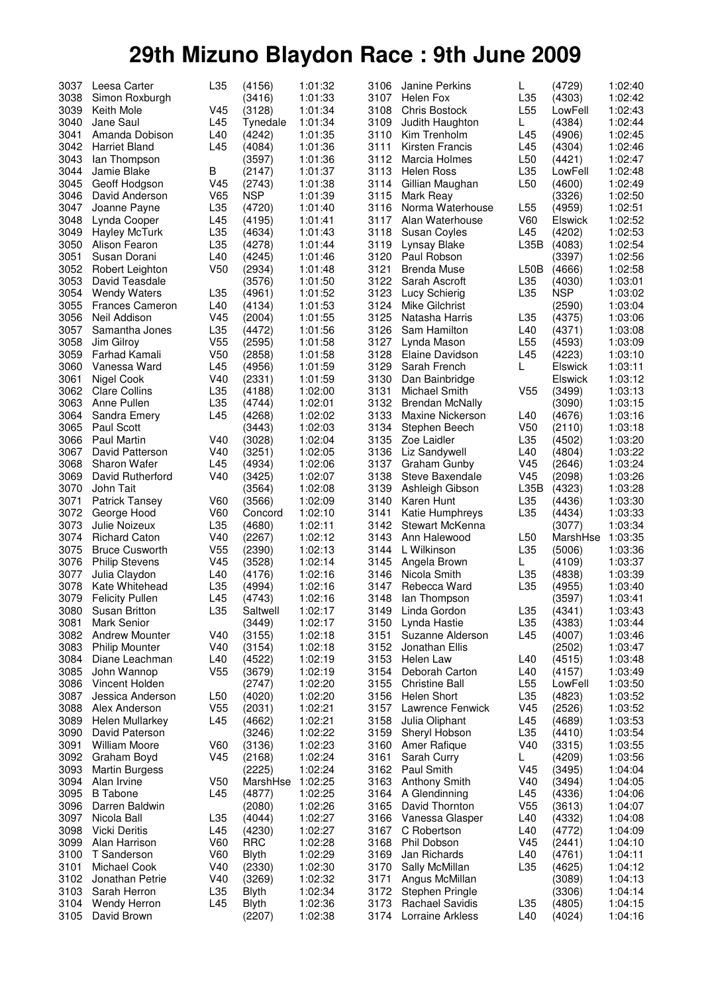| 3037 | Leesa Carter           | L35             | (4156)       | 1:01:32 | 3106 | Janine Perkins         | L               | (4729)     | 1:02:40 |
|------|------------------------|-----------------|--------------|---------|------|------------------------|-----------------|------------|---------|
|      |                        |                 |              |         |      |                        |                 |            |         |
| 3038 | Simon Roxburgh         |                 | (3416)       | 1:01:33 | 3107 | Helen Fox              | L35             | (4303)     | 1:02:42 |
| 3039 | Keith Mole             | V <sub>45</sub> | (3128)       | 1:01:34 | 3108 | <b>Chris Bostock</b>   | L <sub>55</sub> | LowFell    | 1:02:43 |
|      |                        |                 |              |         |      |                        |                 |            |         |
| 3040 | Jane Saul              | L45             | Tynedale     | 1:01:34 | 3109 | Judith Haughton        | L.              | (4384)     | 1:02:44 |
| 3041 | Amanda Dobison         | L40             | (4242)       | 1:01:35 | 3110 | Kim Trenholm           | L45             | (4906)     | 1:02:45 |
|      |                        |                 |              |         |      |                        |                 |            |         |
| 3042 | <b>Harriet Bland</b>   | L45             | (4084)       | 1:01:36 | 3111 | Kirsten Francis        | L45             | (4304)     | 1:02:46 |
| 3043 | lan Thompson           |                 | (3597)       | 1:01:36 | 3112 | Marcia Holmes          | L <sub>50</sub> | (4421)     | 1:02:47 |
|      |                        |                 |              |         |      |                        |                 |            |         |
| 3044 | Jamie Blake            | В               | (2147)       | 1:01:37 | 3113 | <b>Helen Ross</b>      | L <sub>35</sub> | LowFell    | 1:02:48 |
|      |                        |                 |              |         |      |                        |                 |            |         |
| 3045 | Geoff Hodgson          | V <sub>45</sub> | (2743)       | 1:01:38 | 3114 | Gillian Maughan        | L <sub>50</sub> | (4600)     | 1:02:49 |
| 3046 | David Anderson         | V65             | <b>NSP</b>   | 1:01:39 | 3115 | Mark Reay              |                 | (3326)     | 1:02:50 |
|      |                        |                 |              |         |      |                        |                 |            |         |
| 3047 | Joanne Payne           | L35             | (4720)       | 1:01:40 | 3116 | Norma Waterhouse       | L <sub>55</sub> | (4959)     | 1:02:51 |
| 3048 |                        | L45             |              | 1:01:41 | 3117 | Alan Waterhouse        | V60             | Elswick    | 1:02:52 |
|      | Lynda Cooper           |                 | (4195)       |         |      |                        |                 |            |         |
| 3049 | <b>Hayley McTurk</b>   | L35             | (4634)       | 1:01:43 | 3118 | Susan Coyles           | L45             | (4202)     | 1:02:53 |
|      |                        |                 |              |         |      |                        |                 |            |         |
| 3050 | Alison Fearon          | L35             | (4278)       | 1:01:44 | 3119 | Lynsay Blake           | L35B            | (4083)     | 1:02:54 |
| 3051 | Susan Dorani           | L40             | (4245)       | 1:01:46 | 3120 | Paul Robson            |                 | (3397)     | 1:02:56 |
|      |                        |                 |              |         |      |                        |                 |            |         |
| 3052 | Robert Leighton        | V <sub>50</sub> | (2934)       | 1:01:48 | 3121 | <b>Brenda Muse</b>     | L50B            | (4666)     | 1:02:58 |
| 3053 | David Teasdale         |                 | (3576)       | 1:01:50 | 3122 | Sarah Ascroft          | L <sub>35</sub> | (4030)     | 1:03:01 |
|      |                        |                 |              |         |      |                        |                 |            |         |
| 3054 | <b>Wendy Waters</b>    | L35             | (4961)       | 1:01:52 | 3123 | Lucy Schierig          | L35             | <b>NSP</b> | 1:03:02 |
| 3055 | <b>Frances Cameron</b> | L40             | (4134)       | 1:01:53 | 3124 | <b>Mike Gilchrist</b>  |                 | (2590)     | 1:03:04 |
|      |                        |                 |              |         |      |                        |                 |            |         |
| 3056 | Neil Addison           | V <sub>45</sub> | (2004)       | 1:01:55 | 3125 | Natasha Harris         | L <sub>35</sub> | (4375)     | 1:03:06 |
| 3057 | Samantha Jones         | L35             | (4472)       | 1:01:56 | 3126 | Sam Hamilton           | L40             | (4371)     | 1:03:08 |
|      |                        |                 |              |         |      |                        |                 |            |         |
| 3058 | Jim Gilroy             | V <sub>55</sub> | (2595)       | 1:01:58 | 3127 | Lynda Mason            | L <sub>55</sub> | (4593)     | 1:03:09 |
|      |                        |                 |              |         |      |                        |                 |            |         |
| 3059 | Farhad Kamali          | V50             | (2858)       | 1:01:58 | 3128 | Elaine Davidson        | L45             | (4223)     | 1:03:10 |
| 3060 | Vanessa Ward           | L <sub>45</sub> | (4956)       | 1:01:59 | 3129 | Sarah French           | L               | Elswick    | 1:03:11 |
|      |                        |                 |              |         |      |                        |                 |            |         |
| 3061 | Nigel Cook             | V40             | (2331)       | 1:01:59 | 3130 | Dan Bainbridge         |                 | Elswick    | 1:03:12 |
| 3062 | <b>Clare Collins</b>   | L35             | (4188)       | 1:02:00 | 3131 | Michael Smith          | V <sub>55</sub> | (3499)     | 1:03:13 |
|      |                        |                 |              |         |      |                        |                 |            |         |
| 3063 | Anne Pullen            | L35             | (4744)       | 1:02:01 | 3132 | <b>Brendan McNally</b> |                 | (3090)     | 1:03:15 |
| 3064 |                        | L45             |              | 1:02:02 | 3133 | Maxine Nickerson       | L40             |            | 1:03:16 |
|      | Sandra Emery           |                 | (4268)       |         |      |                        |                 | (4676)     |         |
| 3065 | <b>Paul Scott</b>      |                 | (3443)       | 1:02:03 | 3134 | Stephen Beech          | V <sub>50</sub> | (2110)     | 1:03:18 |
|      |                        |                 |              |         |      |                        |                 |            |         |
| 3066 | <b>Paul Martin</b>     | V40             | (3028)       | 1:02:04 | 3135 | Zoe Laidler            | L <sub>35</sub> | (4502)     | 1:03:20 |
| 3067 | David Patterson        | V40             | (3251)       | 1:02:05 | 3136 | Liz Sandywell          | L40             | (4804)     | 1:03:22 |
|      |                        |                 |              |         |      |                        |                 |            |         |
| 3068 | <b>Sharon Wafer</b>    | L45             | (4934)       | 1:02:06 | 3137 | Graham Gunby           | V45             | (2646)     | 1:03:24 |
| 3069 | David Rutherford       | V40             | (3425)       | 1:02:07 | 3138 | Steve Baxendale        | V <sub>45</sub> | (2098)     | 1:03:26 |
|      |                        |                 |              |         |      |                        |                 |            |         |
| 3070 | John Tait              |                 | (3564)       | 1:02:08 | 3139 | Ashleigh Gibson        | L35B            | (4323)     | 1:03:28 |
| 3071 | <b>Patrick Tansey</b>  | V60             | (3566)       | 1:02:09 | 3140 | Karen Hunt             | L <sub>35</sub> | (4436)     | 1:03:30 |
|      |                        |                 |              |         |      |                        |                 |            |         |
| 3072 | George Hood            | <b>V60</b>      | Concord      | 1:02:10 | 3141 | Katie Humphreys        | L35             | (4434)     | 1:03:33 |
|      |                        |                 |              |         |      |                        |                 |            |         |
| 3073 | Julie Noizeux          | L35             | (4680)       | 1:02:11 | 3142 | Stewart McKenna        |                 | (3077)     | 1:03:34 |
| 3074 | <b>Richard Caton</b>   | V40             | (2267)       | 1:02:12 | 3143 | Ann Halewood           | L <sub>50</sub> | MarshHse   | 1:03:35 |
|      |                        |                 |              |         |      |                        |                 |            |         |
| 3075 | <b>Bruce Cusworth</b>  | V <sub>55</sub> | (2390)       | 1:02:13 | 3144 | L Wilkinson            | L <sub>35</sub> | (5006)     | 1:03:36 |
| 3076 | <b>Philip Stevens</b>  | V <sub>45</sub> | (3528)       | 1:02:14 | 3145 | Angela Brown           | L               | (4109)     | 1:03:37 |
|      |                        |                 |              |         |      |                        |                 |            |         |
| 3077 | Julia Claydon          | L40             | (4176)       | 1:02:16 | 3146 | Nicola Smith           | L <sub>35</sub> | (4838)     | 1:03:39 |
| 3078 | Kate Whitehead         | L35             | (4994)       | 1:02:16 | 3147 | Rebecca Ward           | L35             | (4955)     | 1:03:40 |
|      |                        |                 |              |         |      |                        |                 |            |         |
| 3079 | <b>Felicity Pullen</b> | L45             | (4743)       | 1:02:16 | 3148 | lan Thompson           |                 | (3597)     | 1:03:41 |
| 3080 | Susan Britton          | L35             | Saltwell     | 1:02:17 | 3149 | Linda Gordon           | L35             | (4341)     | 1:03:43 |
|      |                        |                 |              |         |      |                        |                 |            |         |
| 3081 | <b>Mark Senior</b>     |                 | (3449)       | 1:02:17 | 3150 | Lynda Hastie           | L35             | (4383)     | 1:03:44 |
| 3082 | <b>Andrew Mounter</b>  | V40             | (3155)       | 1:02:18 | 3151 | Suzanne Alderson       | L45             | (4007)     | 1:03:46 |
|      |                        |                 |              |         |      |                        |                 |            |         |
| 3083 | <b>Philip Mounter</b>  | V40             | (3154)       | 1:02:18 | 3152 | Jonathan Ellis         |                 | (2502)     | 1:03:47 |
| 3084 | Diane Leachman         | L40             | (4522)       | 1:02:19 | 3153 | Helen Law              | L40             | (4515)     | 1:03:48 |
|      |                        |                 |              |         |      |                        |                 |            |         |
| 3085 | John Wannop            | V <sub>55</sub> | (3679)       | 1:02:19 | 3154 | Deborah Carton         | L40             | (4157)     | 1:03:49 |
|      |                        |                 |              |         |      |                        |                 |            | 1:03:50 |
| 3086 | Vincent Holden         |                 | (2747)       | 1:02:20 | 3155 | <b>Christine Ball</b>  | L <sub>55</sub> | LowFell    |         |
| 3087 | Jessica Anderson       | L <sub>50</sub> | (4020)       | 1:02:20 | 3156 | <b>Helen Short</b>     | L35             | (4823)     | 1:03:52 |
|      | Alex Anderson          |                 |              |         |      |                        | V <sub>45</sub> |            |         |
| 3088 |                        | V <sub>55</sub> | (2031)       | 1:02:21 | 3157 | Lawrence Fenwick       |                 | (2526)     | 1:03:52 |
| 3089 | Helen Mullarkey        | L45             | (4662)       | 1:02:21 | 3158 | Julia Oliphant         | L45             | (4689)     | 1:03:53 |
|      |                        |                 |              |         |      |                        |                 |            |         |
| 3090 | David Paterson         |                 | (3246)       | 1:02:22 | 3159 | Sheryl Hobson          | L35             | (4410)     | 1:03:54 |
| 3091 | <b>William Moore</b>   | <b>V60</b>      | (3136)       | 1:02:23 | 3160 | Amer Rafique           | V40             | (3315)     | 1:03:55 |
|      |                        |                 |              |         |      |                        |                 |            |         |
| 3092 | Graham Boyd            | V45             | (2168)       | 1:02:24 | 3161 | Sarah Curry            | L               | (4209)     | 1:03:56 |
| 3093 | <b>Martin Burgess</b>  |                 | (2225)       | 1:02:24 | 3162 | Paul Smith             | V45             | (3495)     | 1:04:04 |
|      |                        |                 |              |         |      |                        |                 |            |         |
| 3094 | Alan Irvine            | V50             | MarshHse     | 1:02:25 | 3163 | <b>Anthony Smith</b>   | V40             | (3494)     | 1:04:05 |
| 3095 | <b>B</b> Tabone        | L45             | (4877)       | 1:02:25 | 3164 | A Glendinning          | L45             | (4336)     | 1:04:06 |
|      |                        |                 |              |         |      |                        |                 |            |         |
| 3096 | Darren Baldwin         |                 | (2080)       | 1:02:26 | 3165 | David Thornton         | V <sub>55</sub> | (3613)     | 1:04:07 |
|      |                        |                 |              |         |      |                        |                 |            |         |
| 3097 | Nicola Ball            | L35             | (4044)       | 1:02:27 | 3166 | Vanessa Glasper        | L40             | (4332)     | 1:04:08 |
| 3098 | <b>Vicki Deritis</b>   | L45             | (4230)       | 1:02:27 | 3167 | C Robertson            | L40             | (4772)     | 1:04:09 |
|      |                        |                 |              |         |      |                        |                 |            |         |
| 3099 | Alan Harrison          | V60             | <b>RRC</b>   | 1:02:28 | 3168 | Phil Dobson            | V45             | (2441)     | 1:04:10 |
| 3100 | T Sanderson            | V60             | <b>Blyth</b> | 1:02:29 | 3169 | Jan Richards           | L40             | (4761)     | 1:04:11 |
|      |                        |                 |              |         |      |                        |                 |            |         |
| 3101 | <b>Michael Cook</b>    | V40             | (2330)       | 1:02:30 | 3170 | Sally McMillan         | L35             | (4625)     | 1:04:12 |
| 3102 | Jonathan Petrie        | V40             | (3269)       | 1:02:32 | 3171 | Angus McMillan         |                 | (3089)     | 1:04:13 |
|      |                        |                 |              |         |      |                        |                 |            |         |
| 3103 | Sarah Herron           | L35             | <b>Blyth</b> | 1:02:34 | 3172 | <b>Stephen Pringle</b> |                 | (3306)     | 1:04:14 |
| 3104 | Wendy Herron           | L45             | <b>Blyth</b> | 1:02:36 | 3173 | <b>Rachael Savidis</b> | L35             | (4805)     | 1:04:15 |
|      |                        |                 |              |         |      |                        |                 |            |         |
| 3105 | David Brown            |                 | (2207)       | 1:02:38 | 3174 | Lorraine Arkless       | L40             | (4024)     | 1:04:16 |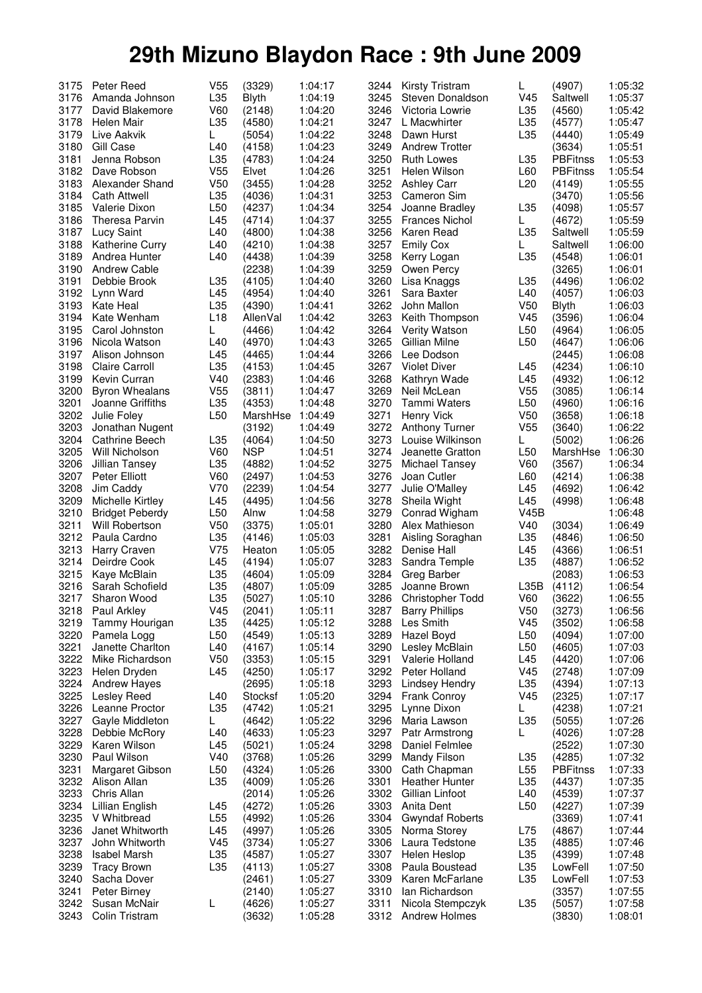| 3175 | Peter Reed             | V <sub>55</sub> | (3329)       | 1:04:17 | 3244 | <b>Kirsty Tristram</b>  | L               | (4907)          | 1:05:32 |
|------|------------------------|-----------------|--------------|---------|------|-------------------------|-----------------|-----------------|---------|
|      |                        |                 |              |         |      |                         |                 |                 |         |
| 3176 | Amanda Johnson         | L35             | <b>Blyth</b> | 1:04:19 | 3245 | Steven Donaldson        | V45             | Saltwell        | 1:05:37 |
| 3177 | David Blakemore        | <b>V60</b>      | (2148)       | 1:04:20 | 3246 | Victoria Lowrie         | L <sub>35</sub> | (4560)          | 1:05:42 |
| 3178 | Helen Mair             | L35             | (4580)       | 1:04:21 | 3247 | L Macwhirter            | L35             | (4577)          | 1:05:47 |
| 3179 | Live Aakvik            | L               | (5054)       | 1:04:22 | 3248 | Dawn Hurst              | L35             | (4440)          | 1:05:49 |
| 3180 | Gill Case              | L40             | (4158)       | 1:04:23 | 3249 | <b>Andrew Trotter</b>   |                 | (3634)          | 1:05:51 |
|      |                        |                 |              |         |      |                         |                 |                 |         |
| 3181 | Jenna Robson           | L35             | (4783)       | 1:04:24 | 3250 | <b>Ruth Lowes</b>       | L <sub>35</sub> | <b>PBFitnss</b> | 1:05:53 |
| 3182 | Dave Robson            | V <sub>55</sub> | Elvet        | 1:04:26 | 3251 | Helen Wilson            | L60             | <b>PBFitnss</b> | 1:05:54 |
| 3183 | Alexander Shand        | V <sub>50</sub> | (3455)       | 1:04:28 | 3252 | <b>Ashley Carr</b>      | L20             | (4149)          | 1:05:55 |
| 3184 | <b>Cath Attwell</b>    | L35             | (4036)       | 1:04:31 | 3253 | <b>Cameron Sim</b>      |                 | (3470)          | 1:05:56 |
|      |                        |                 |              |         |      |                         |                 |                 |         |
| 3185 | Valerie Dixon          | L <sub>50</sub> | (4237)       | 1:04:34 | 3254 | Joanne Bradley          | L35             | (4098)          | 1:05:57 |
| 3186 | <b>Theresa Parvin</b>  | L45             | (4714)       | 1:04:37 | 3255 | <b>Frances Nichol</b>   | L               | (4672)          | 1:05:59 |
| 3187 | Lucy Saint             | L40             | (4800)       | 1:04:38 | 3256 | Karen Read              | L <sub>35</sub> | Saltwell        | 1:05:59 |
| 3188 | <b>Katherine Curry</b> | L40             | (4210)       | 1:04:38 | 3257 | <b>Emily Cox</b>        | L               | Saltwell        | 1:06:00 |
| 3189 | Andrea Hunter          | L40             | (4438)       | 1:04:39 | 3258 | Kerry Logan             | L <sub>35</sub> | (4548)          | 1:06:01 |
|      |                        |                 |              |         |      |                         |                 |                 |         |
| 3190 | <b>Andrew Cable</b>    |                 | (2238)       | 1:04:39 | 3259 | Owen Percy              |                 | (3265)          | 1:06:01 |
| 3191 | Debbie Brook           | L35             | (4105)       | 1:04:40 | 3260 | Lisa Knaggs             | L <sub>35</sub> | (4496)          | 1:06:02 |
| 3192 | Lynn Ward              | L45             | (4954)       | 1:04:40 | 3261 | Sara Baxter             | L <sub>40</sub> | (4057)          | 1:06:03 |
| 3193 | <b>Kate Heal</b>       | L35             | (4390)       | 1:04:41 | 3262 | John Mallon             | V <sub>50</sub> | <b>Blyth</b>    | 1:06:03 |
|      |                        |                 |              |         |      |                         |                 |                 |         |
| 3194 | Kate Wenham            | L18             | AllenVal     | 1:04:42 | 3263 | Keith Thompson          | V45             | (3596)          | 1:06:04 |
| 3195 | Carol Johnston         | L               | (4466)       | 1:04:42 | 3264 | Verity Watson           | L50             | (4964)          | 1:06:05 |
| 3196 | Nicola Watson          | L40             | (4970)       | 1:04:43 | 3265 | Gillian Milne           | L <sub>50</sub> | (4647)          | 1:06:06 |
| 3197 | Alison Johnson         | L45             | (4465)       | 1:04:44 | 3266 | Lee Dodson              |                 | (2445)          | 1:06:08 |
| 3198 | <b>Claire Carroll</b>  | L <sub>35</sub> | (4153)       | 1:04:45 | 3267 | <b>Violet Diver</b>     | L45             | (4234)          | 1:06:10 |
|      |                        |                 |              |         |      |                         |                 |                 |         |
| 3199 | Kevin Curran           | V40             | (2383)       | 1:04:46 | 3268 | Kathryn Wade            | L <sub>45</sub> | (4932)          | 1:06:12 |
| 3200 | <b>Byron Whealans</b>  | V <sub>55</sub> | (3811)       | 1:04:47 | 3269 | Neil McLean             | V <sub>55</sub> | (3085)          | 1:06:14 |
| 3201 | Joanne Griffiths       | L35             | (4353)       | 1:04:48 | 3270 | <b>Tammi Waters</b>     | L50             | (4960)          | 1:06:16 |
| 3202 | Julie Foley            | L <sub>50</sub> | MarshHse     | 1:04:49 | 3271 | <b>Henry Vick</b>       | V <sub>50</sub> | (3658)          | 1:06:18 |
|      |                        |                 |              |         |      |                         | V <sub>55</sub> |                 |         |
| 3203 | Jonathan Nugent        |                 | (3192)       | 1:04:49 | 3272 | <b>Anthony Turner</b>   |                 | (3640)          | 1:06:22 |
| 3204 | Cathrine Beech         | L35             | (4064)       | 1:04:50 | 3273 | Louise Wilkinson        | L               | (5002)          | 1:06:26 |
| 3205 | Will Nicholson         | V60             | <b>NSP</b>   | 1:04:51 | 3274 | Jeanette Gratton        | L <sub>50</sub> | MarshHse        | 1:06:30 |
| 3206 | Jillian Tansey         | L35             | (4882)       | 1:04:52 | 3275 | Michael Tansey          | V60             | (3567)          | 1:06:34 |
| 3207 | <b>Peter Elliott</b>   | <b>V60</b>      | (2497)       | 1:04:53 | 3276 | Joan Cutler             | L60             | (4214)          | 1:06:38 |
|      |                        |                 |              |         |      |                         |                 |                 |         |
| 3208 | Jim Caddy              | V70             | (2239)       | 1:04:54 | 3277 | Julie O'Malley          | L <sub>45</sub> | (4692)          | 1:06:42 |
| 3209 | Michelle Kirtley       | L45             | (4495)       | 1:04:56 | 3278 | Sheila Wight            | L45             | (4998)          | 1:06:48 |
| 3210 | <b>Bridget Peberdy</b> | L <sub>50</sub> | Alnw         | 1:04:58 | 3279 | Conrad Wigham           | V45B            |                 | 1:06:48 |
| 3211 | Will Robertson         | V50             | (3375)       | 1:05:01 | 3280 | Alex Mathieson          | V40             | (3034)          | 1:06:49 |
| 3212 | Paula Cardno           | L35             | (4146)       | 1:05:03 | 3281 | Aisling Soraghan        | L35             | (4846)          | 1:06:50 |
|      |                        |                 |              |         |      |                         |                 |                 |         |
| 3213 | Harry Craven           | V75             | Heaton       | 1:05:05 | 3282 | Denise Hall             | L45             | (4366)          | 1:06:51 |
| 3214 | Deirdre Cook           | L45             | (4194)       | 1:05:07 | 3283 | Sandra Temple           | L35             | (4887)          | 1:06:52 |
| 3215 | Kaye McBlain           | L35             | (4604)       | 1:05:09 | 3284 | Greg Barber             |                 | (2083)          | 1:06:53 |
| 3216 | Sarah Schofield        | L <sub>35</sub> | (4807)       | 1:05:09 | 3285 | Joanne Brown            | L35B            | (4112)          | 1:06:54 |
| 3217 | Sharon Wood            | L35             | (5027)       | 1:05:10 | 3286 | <b>Christopher Todd</b> | V60             | (3622)          | 1:06:55 |
|      |                        |                 |              |         |      |                         |                 |                 |         |
| 3218 | Paul Arkley            | V <sub>45</sub> | (2041)       | 1:05:11 | 3287 | <b>Barry Phillips</b>   | V50             | (3273)          | 1:06:56 |
| 3219 | Tammy Hourigan         | L35             | (4425)       | 1:05:12 | 3288 | Les Smith               | V45             | (3502)          | 1:06:58 |
| 3220 | Pamela Logg            | L <sub>50</sub> | (4549)       | 1:05:13 | 3289 | Hazel Boyd              | L50             | (4094)          | 1:07:00 |
| 3221 | Janette Charlton       | L40             | (4167)       | 1:05:14 | 3290 | Lesley McBlain          | L50             | (4605)          | 1:07:03 |
| 3222 | Mike Richardson        | V <sub>50</sub> |              |         | 3291 | Valerie Holland         | L45             |                 |         |
|      |                        |                 | (3353)       | 1:05:15 |      |                         |                 | (4420)          | 1:07:06 |
| 3223 | Helen Dryden           | L45             | (4250)       | 1:05:17 | 3292 | Peter Holland           | V <sub>45</sub> | (2748)          | 1:07:09 |
| 3224 | Andrew Hayes           |                 | (2695)       | 1:05:18 | 3293 | <b>Lindsey Hendry</b>   | L35             | (4394)          | 1:07:13 |
| 3225 | Lesley Reed            | L40             | Stocksf      | 1:05:20 | 3294 | <b>Frank Conroy</b>     | V45             | (2325)          | 1:07:17 |
| 3226 | Leanne Proctor         | L35             | (4742)       | 1:05:21 | 3295 | Lynne Dixon             | L               | (4238)          | 1:07:21 |
|      |                        |                 |              |         |      |                         |                 |                 |         |
| 3227 | Gayle Middleton        | L               | (4642)       | 1:05:22 | 3296 | Maria Lawson            | L35             | (5055)          | 1:07:26 |
| 3228 | Debbie McRory          | L40             | (4633)       | 1:05:23 | 3297 | Patr Armstrong          | L               | (4026)          | 1:07:28 |
| 3229 | Karen Wilson           | L45             | (5021)       | 1:05:24 | 3298 | Daniel Felmlee          |                 | (2522)          | 1:07:30 |
| 3230 | Paul Wilson            | V40             | (3768)       | 1:05:26 | 3299 | Mandy Filson            | L35             | (4285)          | 1:07:32 |
| 3231 | Margaret Gibson        | L <sub>50</sub> | (4324)       | 1:05:26 | 3300 | Cath Chapman            | L55             | <b>PBFitnss</b> | 1:07:33 |
|      |                        |                 |              |         |      |                         |                 |                 |         |
| 3232 | Alison Allan           | L35             | (4009)       | 1:05:26 | 3301 | <b>Heather Hunter</b>   | L35             | (4437)          | 1:07:35 |
| 3233 | Chris Allan            |                 | (2014)       | 1:05:26 | 3302 | Gillian Linfoot         | L40             | (4539)          | 1:07:37 |
| 3234 | Lillian English        | L45             | (4272)       | 1:05:26 | 3303 | Anita Dent              | L50             | (4227)          | 1:07:39 |
| 3235 | V Whitbread            | L55             | (4992)       | 1:05:26 | 3304 | <b>Gwyndaf Roberts</b>  |                 | (3369)          | 1:07:41 |
|      |                        |                 |              |         |      |                         |                 |                 |         |
| 3236 | Janet Whitworth        | L45             | (4997)       | 1:05:26 | 3305 | Norma Storey            | L75             | (4867)          | 1:07:44 |
| 3237 | John Whitworth         | V <sub>45</sub> | (3734)       | 1:05:27 | 3306 | Laura Tedstone          | L35             | (4885)          | 1:07:46 |
| 3238 | <b>Isabel Marsh</b>    | L35             | (4587)       | 1:05:27 | 3307 | Helen Heslop            | L35             | (4399)          | 1:07:48 |
| 3239 | <b>Tracy Brown</b>     | L35             | (4113)       | 1:05:27 | 3308 | Paula Boustead          | L35             | LowFell         | 1:07:50 |
| 3240 | Sacha Dover            |                 | (2461)       | 1:05:27 | 3309 | Karen McFarlane         | L35             | LowFell         | 1:07:53 |
|      |                        |                 |              |         |      |                         |                 |                 |         |
| 3241 | Peter Birney           |                 | (2140)       | 1:05:27 | 3310 | lan Richardson          |                 | (3357)          | 1:07:55 |
| 3242 | Susan McNair           | L               | (4626)       | 1:05:27 | 3311 | Nicola Stempczyk        | L35             | (5057)          | 1:07:58 |
| 3243 | Colin Tristram         |                 | (3632)       | 1:05:28 | 3312 | Andrew Holmes           |                 | (3830)          | 1:08:01 |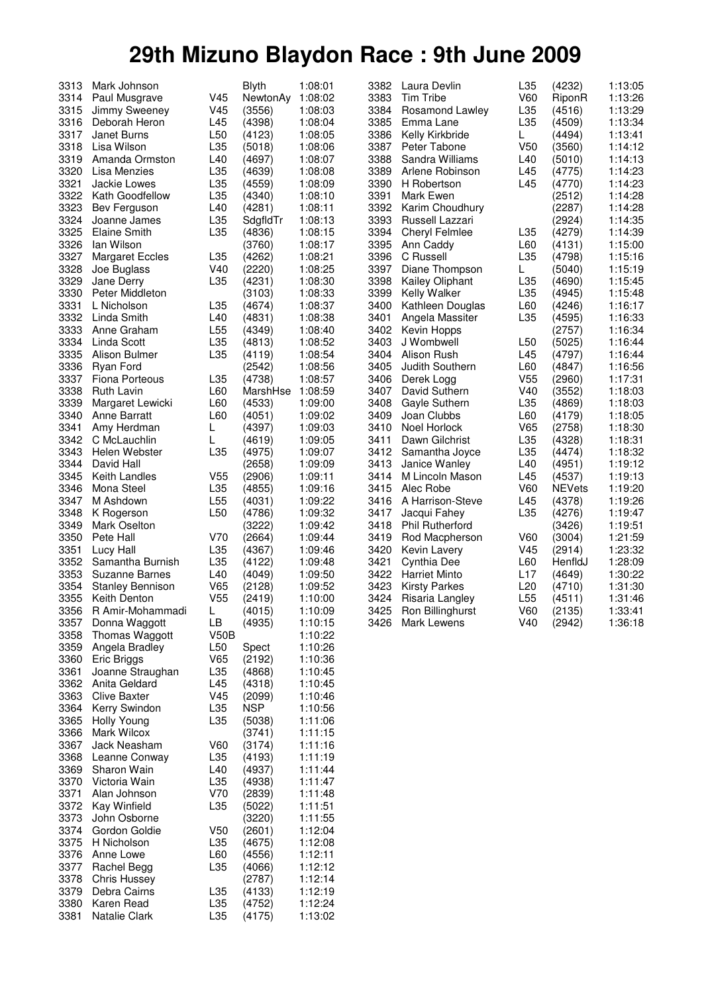| 3313 | Mark Johnson                      |                 | <b>Blyth</b>     | 1:08:01            | 3382 | Laura Devlin           | L <sub>35</sub> | (4232)           | 1:13:05            |
|------|-----------------------------------|-----------------|------------------|--------------------|------|------------------------|-----------------|------------------|--------------------|
| 3314 | Paul Musgrave                     | V45             | NewtonAy         | 1:08:02            | 3383 | <b>Tim Tribe</b>       | V60             | RiponR           | 1:13:26            |
| 3315 | Jimmy Sweeney                     | V <sub>45</sub> | (3556)           | 1:08:03            | 3384 | Rosamond Lawley        | L <sub>35</sub> | (4516)           | 1:13:29            |
| 3316 | Deborah Heron                     | L45             | (4398)           | 1:08:04            | 3385 | Emma Lane              | L <sub>35</sub> | (4509)           | 1:13:34            |
| 3317 | Janet Burns                       | L <sub>50</sub> | (4123)           | 1:08:05            | 3386 | Kelly Kirkbride        | L.              | (4494)           | 1:13:41            |
| 3318 | Lisa Wilson                       | L <sub>35</sub> | (5018)           | 1:08:06            | 3387 | Peter Tabone           | V <sub>50</sub> | (3560)           | 1:14:12            |
| 3319 | Amanda Ormston                    | L40             | (4697)           | 1:08:07            | 3388 | Sandra Williams        | L40             | (5010)           | 1:14:13            |
| 3320 | Lisa Menzies                      | L35             | (4639)           | 1:08:08            | 3389 | Arlene Robinson        | L45             | (4775)           | 1:14:23            |
| 3321 | Jackie Lowes                      | L <sub>35</sub> |                  |                    | 3390 | H Robertson            |                 |                  | 1:14:23            |
| 3322 | Kath Goodfellow                   | L35             | (4559)<br>(4340) | 1:08:09<br>1:08:10 | 3391 | Mark Ewen              | L45             | (4770)<br>(2512) | 1:14:28            |
| 3323 | Bev Ferguson                      |                 |                  |                    | 3392 | Karim Choudhury        |                 |                  |                    |
|      |                                   | L40             | (4281)           | 1:08:11            |      | Russell Lazzari        |                 | (2287)           | 1:14:28            |
| 3324 | Joanne James                      | L <sub>35</sub> | SdgfldTr         | 1:08:13            | 3393 |                        |                 | (2924)           | 1:14:35            |
| 3325 | <b>Elaine Smith</b><br>lan Wilson | L <sub>35</sub> | (4836)           | 1:08:15            | 3394 | <b>Cheryl Felmlee</b>  | L35             | (4279)           | 1:14:39<br>1:15:00 |
| 3326 |                                   |                 | (3760)           | 1:08:17            | 3395 | Ann Caddy              | L60             | (4131)           |                    |
| 3327 | <b>Margaret Eccles</b>            | L <sub>35</sub> | (4262)           | 1:08:21            | 3396 | C Russell              | L <sub>35</sub> | (4798)           | 1:15:16            |
| 3328 | Joe Buglass                       | V40             | (2220)           | 1:08:25            | 3397 | Diane Thompson         | L.              | (5040)           | 1:15:19            |
| 3329 | Jane Derry                        | L <sub>35</sub> | (4231)           | 1:08:30            | 3398 | Kailey Oliphant        | L35             | (4690)           | 1:15:45            |
| 3330 | Peter Middleton                   |                 | (3103)           | 1:08:33            | 3399 | <b>Kelly Walker</b>    | L35             | (4945)           | 1:15:48            |
| 3331 | L Nicholson                       | L35             | (4674)           | 1:08:37            | 3400 | Kathleen Douglas       | L60             | (4246)           | 1:16:17            |
| 3332 | Linda Smith                       | L40             | (4831)           | 1:08:38            | 3401 | Angela Massiter        | L <sub>35</sub> | (4595)           | 1:16:33            |
| 3333 | Anne Graham                       | L <sub>55</sub> | (4349)           | 1:08:40            | 3402 | Kevin Hopps            |                 | (2757)           | 1:16:34            |
| 3334 | Linda Scott                       | L35             | (4813)           | 1:08:52            | 3403 | J Wombwell             | L <sub>50</sub> | (5025)           | 1:16:44            |
| 3335 | Alison Bulmer                     | L35             | (4119)           | 1:08:54            | 3404 | Alison Rush            | L45             | (4797)           | 1:16:44            |
| 3336 | Ryan Ford                         |                 | (2542)           | 1:08:56            | 3405 | <b>Judith Southern</b> | L60             | (4847)           | 1:16:56            |
| 3337 | Fiona Porteous                    | L <sub>35</sub> | (4738)           | 1:08:57            | 3406 | Derek Logg             | V <sub>55</sub> | (2960)           | 1:17:31            |
| 3338 | <b>Ruth Lavin</b>                 | L60             | MarshHse         | 1:08:59            | 3407 | David Suthern          | V40             | (3552)           | 1:18:03            |
| 3339 | Margaret Lewicki                  | L60             | (4533)           | 1:09:00            | 3408 | Gayle Suthern          | L35             | (4869)           | 1:18:03            |
| 3340 | <b>Anne Barratt</b>               | L60             | (4051)           | 1:09:02            | 3409 | Joan Clubbs            | L60             | (4179)           | 1:18:05            |
| 3341 | Amy Herdman                       | L               | (4397)           | 1:09:03            | 3410 | Noel Horlock           | V65             | (2758)           | 1:18:30            |
| 3342 | C McLauchlin                      | L               | (4619)           | 1:09:05            | 3411 | Dawn Gilchrist         | L35             | (4328)           | 1:18:31            |
| 3343 | Helen Webster                     | L35             | (4975)           | 1:09:07            | 3412 | Samantha Joyce         | L35             | (4474)           | 1:18:32            |
| 3344 | David Hall                        |                 | (2658)           | 1:09:09            | 3413 | Janice Wanley          | L40             | (4951)           | 1:19:12            |
| 3345 | Keith Landles                     | V55             | (2906)           | 1:09:11            | 3414 | M Lincoln Mason        | L45             | (4537)           | 1:19:13            |
| 3346 | Mona Steel                        | L <sub>35</sub> | (4855)           | 1:09:16            | 3415 | Alec Robe              | V60             | <b>NEVets</b>    | 1:19:20            |
| 3347 | M Ashdown                         | L <sub>55</sub> | (4031)           | 1:09:22            | 3416 | A Harrison-Steve       | L <sub>45</sub> | (4378)           | 1:19:26            |
| 3348 | K Rogerson                        | L <sub>50</sub> | (4786)           | 1:09:32            | 3417 | Jacqui Fahey           | L35             | (4276)           | 1:19:47            |
| 3349 | Mark Oselton                      |                 | (3222)           | 1:09:42            | 3418 | <b>Phil Rutherford</b> |                 | (3426)           | 1:19:51            |
| 3350 | Pete Hall                         | V70             | (2664)           | 1:09:44            | 3419 | Rod Macpherson         | V60             | (3004)           | 1:21:59            |
| 3351 | Lucy Hall                         | L35             | (4367)           | 1:09:46            | 3420 | Kevin Lavery           | V45             | (2914)           | 1:23:32            |
| 3352 | Samantha Burnish                  | L35             | (4122)           | 1:09:48            | 3421 | Cynthia Dee            | L60             | HenfldJ          | 1:28:09            |
| 3353 | <b>Suzanne Barnes</b>             | L40             | (4049)           | 1:09:50            | 3422 | <b>Harriet Minto</b>   | L17             | (4649)           | 1:30:22            |
| 3354 | <b>Stanley Bennison</b>           | V65             | (2128)           | 1:09:52            | 3423 | <b>Kirsty Parkes</b>   | L20             | (4710)           | 1:31:30            |
| 3355 | Keith Denton                      | V <sub>55</sub> | (2419)           | 1:10:00            | 3424 | Risaria Langley        | L <sub>55</sub> | (4511)           | 1:31:46            |
| 3356 | R Amir-Mohammadi                  | L               | (4015)           | 1:10:09            | 3425 | Ron Billinghurst       | V60             | (2135)           | 1:33:41            |
| 3357 | Donna Waggott                     | LВ              | (4935)           | 1:10:15            | 3426 | Mark Lewens            | V40             | (2942)           | 1:36:18            |
| 3358 | Thomas Waggott                    | V50B            |                  | 1:10:22            |      |                        |                 |                  |                    |
| 3359 | Angela Bradley                    | L50             | Spect            | 1:10:26            |      |                        |                 |                  |                    |
| 3360 | Eric Briggs                       | V65             | (2192)           | 1:10:36            |      |                        |                 |                  |                    |
| 3361 | Joanne Straughan                  | L35             | (4868)           | 1:10:45            |      |                        |                 |                  |                    |
| 3362 | Anita Geldard                     | L45             | (4318)           | 1:10:45            |      |                        |                 |                  |                    |
| 3363 | <b>Clive Baxter</b>               | V45             | (2099)           | 1:10:46            |      |                        |                 |                  |                    |
| 3364 | Kerry Swindon                     | L35             | <b>NSP</b>       | 1:10:56            |      |                        |                 |                  |                    |
| 3365 | Holly Young                       | L35             | (5038)           | 1:11:06            |      |                        |                 |                  |                    |
| 3366 | Mark Wilcox                       |                 | (3741)           | 1:11:15            |      |                        |                 |                  |                    |
| 3367 | Jack Neasham                      | V60             | (3174)           | 1:11:16            |      |                        |                 |                  |                    |
| 3368 | Leanne Conway                     | L35             | (4193)           | 1:11:19            |      |                        |                 |                  |                    |
| 3369 | Sharon Wain                       | L40             | (4937)           | 1:11:44            |      |                        |                 |                  |                    |
| 3370 | Victoria Wain                     | L35             | (4938)           | 1:11:47            |      |                        |                 |                  |                    |
| 3371 | Alan Johnson                      | V70             | (2839)           | 1:11:48            |      |                        |                 |                  |                    |
| 3372 | <b>Kay Winfield</b>               | L35             | (5022)           | 1:11:51            |      |                        |                 |                  |                    |
| 3373 | John Osborne                      |                 | (3220)           | 1:11:55            |      |                        |                 |                  |                    |
| 3374 | Gordon Goldie                     | V50             | (2601)           | 1:12:04            |      |                        |                 |                  |                    |
| 3375 | H Nicholson                       | L35             | (4675)           | 1:12:08            |      |                        |                 |                  |                    |
| 3376 | Anne Lowe                         | L60             | (4556)           | 1:12:11            |      |                        |                 |                  |                    |
| 3377 | Rachel Begg                       | L35             | (4066)           | 1:12:12            |      |                        |                 |                  |                    |
| 3378 | Chris Hussey                      |                 | (2787)           | 1:12:14            |      |                        |                 |                  |                    |
| 3379 | Debra Cairns                      | L35             | (4133)           | 1:12:19            |      |                        |                 |                  |                    |
| 3380 | Karen Read                        | L35             | (4752)           | 1:12:24            |      |                        |                 |                  |                    |
| 3381 | Natalie Clark                     | L35             | (4175)           | 1:13:02            |      |                        |                 |                  |                    |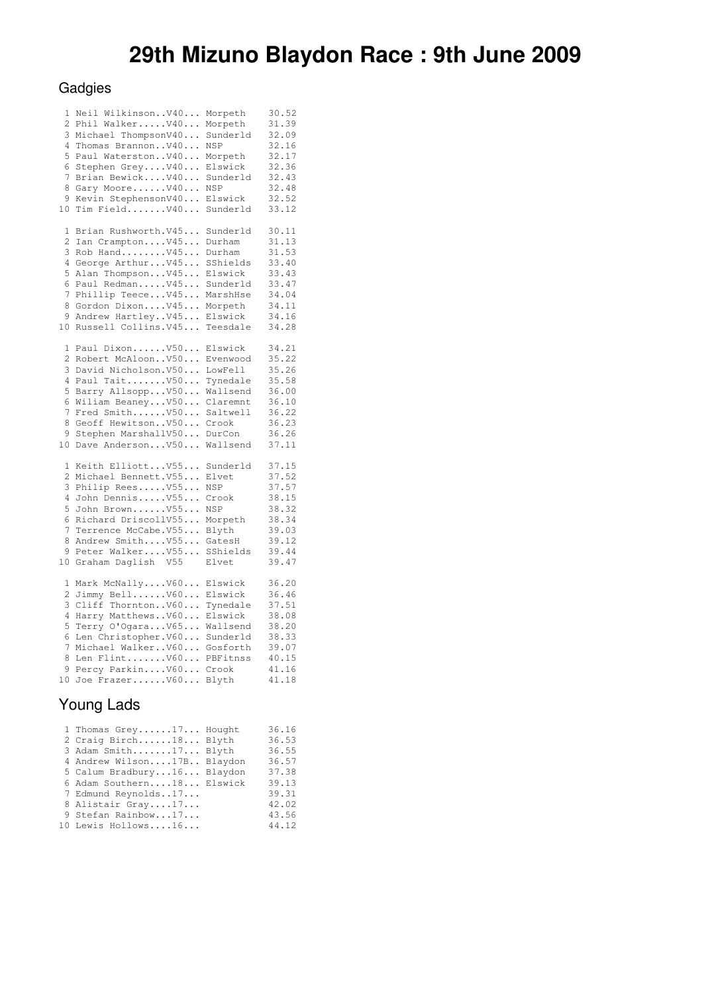#### Gadgies

| 1                                          | Neil WilkinsonV40                                                                                                                                                                                           | Morpeth                                                                                     | 30.52                                                                                  |
|--------------------------------------------|-------------------------------------------------------------------------------------------------------------------------------------------------------------------------------------------------------------|---------------------------------------------------------------------------------------------|----------------------------------------------------------------------------------------|
| $\overline{2}$                             | Phil WalkerV40                                                                                                                                                                                              | Morpeth                                                                                     | 31.39                                                                                  |
| 3                                          | Michael ThompsonV40                                                                                                                                                                                         | Sunderld                                                                                    | 32.09                                                                                  |
| $\overline{4}$                             | Thomas BrannonV40                                                                                                                                                                                           | NSP                                                                                         | 32.16                                                                                  |
| 5                                          | Paul WaterstonV40                                                                                                                                                                                           | Morpeth                                                                                     | 32.17                                                                                  |
| 6                                          | Stephen GreyV40                                                                                                                                                                                             | Elswick                                                                                     | 32.36                                                                                  |
| 7                                          | Brian BewickV40                                                                                                                                                                                             | Sunderld                                                                                    | 32.43                                                                                  |
| 8                                          | Gary MooreV40                                                                                                                                                                                               | NSP                                                                                         | 32.48                                                                                  |
| 9                                          | Kevin StephensonV40                                                                                                                                                                                         | Elswick                                                                                     | 32.52                                                                                  |
| 10                                         | Tim FieldV40                                                                                                                                                                                                | Sunderld                                                                                    | 33.12                                                                                  |
| 1                                          | Brian Rushworth.V45                                                                                                                                                                                         | Sunderld                                                                                    | 30.11                                                                                  |
| 2                                          | Ian CramptonV45                                                                                                                                                                                             | Durham                                                                                      | 31.13                                                                                  |
| 3                                          | Rob HandV45                                                                                                                                                                                                 | Durham                                                                                      | 31.53                                                                                  |
| 4                                          | George ArthurV45                                                                                                                                                                                            | SShields                                                                                    | 33.40                                                                                  |
| 5                                          | Alan ThompsonV45                                                                                                                                                                                            | Elswick                                                                                     | 33.43                                                                                  |
| 6                                          | Paul RedmanV45                                                                                                                                                                                              | Sunderld                                                                                    | 33.47                                                                                  |
| 7                                          | Phillip TeeceV45                                                                                                                                                                                            | MarshHse                                                                                    | 34.04                                                                                  |
| 8                                          | Gordon DixonV45                                                                                                                                                                                             | Morpeth                                                                                     | 34.11                                                                                  |
| 9                                          | Andrew HartleyV45                                                                                                                                                                                           | Elswick                                                                                     | 34.16                                                                                  |
| 10                                         | Russell Collins.V45                                                                                                                                                                                         | Teesdale                                                                                    | 34.28                                                                                  |
| 1                                          | Paul DixonV50                                                                                                                                                                                               | Elswick                                                                                     | 34.21                                                                                  |
| $\overline{c}$                             | Robert McAloonV50                                                                                                                                                                                           | Evenwood                                                                                    | 35.22                                                                                  |
| 3                                          | David Nicholson.V50                                                                                                                                                                                         | LowFell                                                                                     | 35.26                                                                                  |
| 4                                          | Paul TaitV50                                                                                                                                                                                                | Tynedale                                                                                    | 35.58                                                                                  |
| 5                                          | Barry AllsoppV50                                                                                                                                                                                            | Wallsend                                                                                    | 36.00                                                                                  |
| 6                                          | Wiliam BeaneyV50                                                                                                                                                                                            | Claremnt                                                                                    | 36.10                                                                                  |
| 7                                          | Fred Smith V50                                                                                                                                                                                              | Saltwell                                                                                    | 36.22                                                                                  |
| 8                                          | Geoff HewitsonV50                                                                                                                                                                                           | Crook                                                                                       | 36.23                                                                                  |
| 9                                          | Stephen MarshallV50                                                                                                                                                                                         | DurCon                                                                                      | 36.26                                                                                  |
| 10                                         | Dave AndersonV50                                                                                                                                                                                            | Wallsend                                                                                    | 37.11                                                                                  |
| 1<br>3<br>4<br>5<br>6<br>7<br>8<br>9<br>10 | Keith ElliottV55<br>2 Michael Bennett.V55<br>Philip ReesV55<br>John DennisV55<br>John BrownV55<br>Richard DriscollV55<br>Terrence McCabe.V55<br>Andrew SmithV55<br>Peter WalkerV55<br>Graham Daglish<br>V55 | Sunderld<br>Elvet<br>NSP<br>Crook<br>NSP<br>Morpeth<br>Blyth<br>GatesH<br>SShields<br>Elvet | 37.15<br>37.52<br>37.57<br>38.15<br>38.32<br>38.34<br>39.03<br>39.12<br>39.44<br>39.47 |
| $\mathbf{1}$                               | Mark McNallyV60                                                                                                                                                                                             | Elswick                                                                                     | 36.20                                                                                  |
| $\overline{2}$                             | Jimmy $Bell$ $V60$                                                                                                                                                                                          | Elswick                                                                                     | 36.46                                                                                  |
| 3                                          | Cliff ThorntonV60                                                                                                                                                                                           | Tynedale                                                                                    | 37.51                                                                                  |
| 4                                          | Harry MatthewsV60                                                                                                                                                                                           | Elswick                                                                                     | 38.08                                                                                  |
| 5                                          | Terry O'OgaraV65                                                                                                                                                                                            | Wallsend                                                                                    | 38.20                                                                                  |
| 6                                          | Len Christopher.V60                                                                                                                                                                                         | Sunderld                                                                                    | 38.33                                                                                  |
| 7                                          | Michael WalkerV60                                                                                                                                                                                           | Gosforth                                                                                    | 39.07                                                                                  |
| 8                                          | Len FlintV60                                                                                                                                                                                                | PBFitnss                                                                                    | 40.15                                                                                  |
| 9                                          | Percy ParkinV60                                                                                                                                                                                             | Crook                                                                                       | 41.16                                                                                  |
| 10                                         | Joe FrazerV60                                                                                                                                                                                               | Blyth                                                                                       | 41.18                                                                                  |

#### Young Lads

| 1 Thomas Grey17 Hought     | 36.16 |
|----------------------------|-------|
| 2 Craig Birch18 Blyth      | 36.53 |
| 3 Adam Smith17 Blyth       | 36.55 |
| 4 Andrew Wilson17B Blaydon | 36.57 |
| 5 Calum Bradbury16 Blaydon | 37.38 |
| 6 Adam Southern18 Elswick  | 39.13 |
| 7 Edmund Reynolds17        | 39.31 |
| 8 Alistair Gray17          | 42.02 |
| 9 Stefan Rainbow17         | 43.56 |
| 10 Lewis Hollows16         | 44.12 |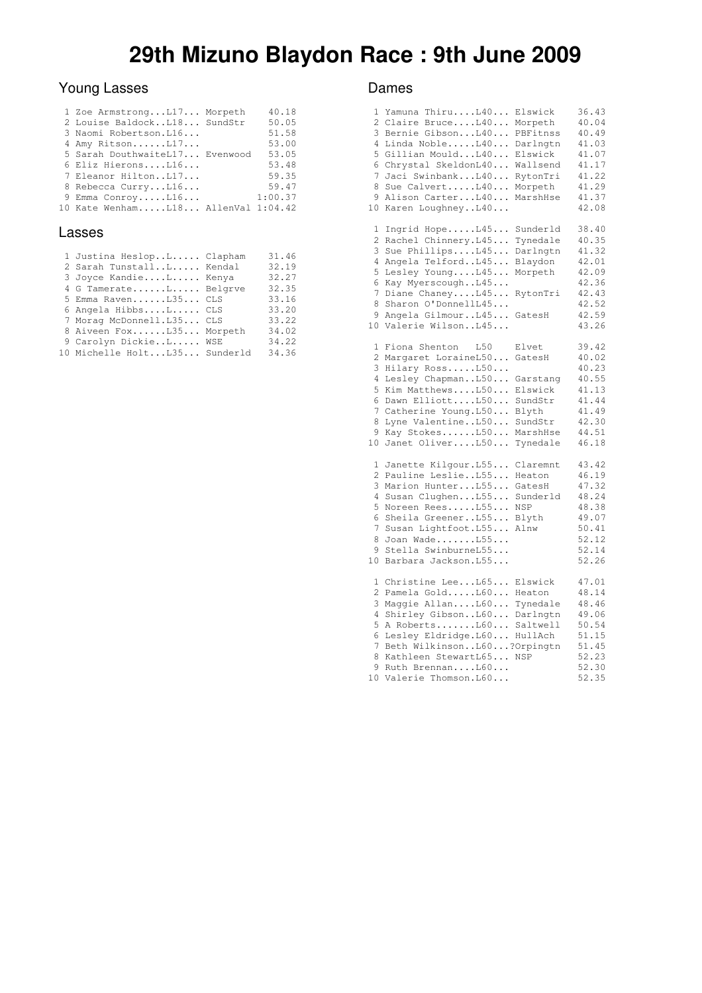#### Young Lasses

|                                                                                                                                | 40.18                                                                                                                             |
|--------------------------------------------------------------------------------------------------------------------------------|-----------------------------------------------------------------------------------------------------------------------------------|
|                                                                                                                                | 50.05                                                                                                                             |
|                                                                                                                                | 51.58                                                                                                                             |
|                                                                                                                                | 53.00                                                                                                                             |
|                                                                                                                                | 53.05                                                                                                                             |
|                                                                                                                                | 53.48                                                                                                                             |
|                                                                                                                                | 59.35                                                                                                                             |
|                                                                                                                                | 59.47                                                                                                                             |
|                                                                                                                                | 1:00.37                                                                                                                           |
|                                                                                                                                |                                                                                                                                   |
| 3 Naomi Robertson.L16<br>4 Amy RitsonL17<br>6 Eliz HieronsL16<br>7 Eleanor HiltonL17<br>8 Rebecca CurryL16<br>9 Emma ConroyL16 | 1 Zoe ArmstrongL17 Morpeth<br>2 Louise BaldockL18 SundStr<br>5 Sarah DouthwaiteL17 Evenwood<br>10 Kate WenhamL18 AllenVal 1:04.42 |

#### Lasses

| 1 Justina HeslopL Clapham    | 31.46 |
|------------------------------|-------|
| 2 Sarah TunstallL Kendal     | 32.19 |
| 3 Joyce KandieL Kenya        | 32.27 |
| 4 G TamerateL Belgrve        | 32.35 |
| 5 Emma Raven135 CLS          | 33.16 |
| 6 Angela HibbsL CLS          | 33.20 |
| 7 Moraq McDonnell.L35 CLS    | 33.22 |
| 8 Aiveen FoxL35 Morpeth      | 34.02 |
| 9 Carolyn DickieL WSE        | 34.22 |
| 10 Michelle HoltL35 Sunderld | 34.36 |
|                              |       |

#### Dames

| 1<br>2<br>3<br>4<br>5<br>6<br>7<br>8<br>9<br>10 | Yamuna ThiruL40<br>Claire BruceL40<br>Bernie GibsonL40<br>Linda NobleL40<br>Gillian MouldL40<br>Chrystal SkeldonL40<br>Jaci SwinbankL40<br>Sue CalvertL40<br>Alison CarterL40<br>Karen LoughneyL40                 | Elswick<br>Morpeth<br>PBFitnss<br>Darlngtn<br>Elswick<br>Wallsend<br>RytonTri<br>Morpeth<br>MarshHse | 36.43<br>40.04<br>40.49<br>41.03<br>41.07<br>41.17<br>41.22<br>41.29<br>41.37<br>42.08 |
|-------------------------------------------------|--------------------------------------------------------------------------------------------------------------------------------------------------------------------------------------------------------------------|------------------------------------------------------------------------------------------------------|----------------------------------------------------------------------------------------|
| 1<br>2<br>3<br>4<br>5<br>6<br>7<br>8<br>9<br>10 | Ingrid Hope $L45$<br>Rachel Chinnery.L45<br>Sue PhillipsL45<br>Angela TelfordL45<br>Lesley YoungL45<br>Kay MyerscoughL45<br>Diane Chaney $L45$<br>Sharon O'DonnellL45<br>Angela GilmourL45<br>Valerie WilsonL45    | Sunderld<br>Tynedale<br>Darlngtn<br>Blaydon<br>Morpeth<br>RytonTri<br>GatesH                         | 38.40<br>40.35<br>41.32<br>42.01<br>42.09<br>42.36<br>42.43<br>42.52<br>42.59<br>43.26 |
| 1<br>2<br>3<br>4<br>5<br>6<br>7<br>8<br>9<br>10 | Fiona Shenton<br>L50<br>Margaret LoraineL50<br>Hilary RossL50<br>Lesley ChapmanL50<br>Kim MatthewsL50<br>Dawn ElliottL50<br>Catherine Young. L50<br>Lyne ValentineL50<br>Kay StokesL50<br>Janet OliverL50          | Elvet<br>GatesH<br>Garstang<br>Elswick<br>SundStr<br>Blyth<br>SundStr<br>MarshHse<br>Tynedale        | 39.42<br>40.02<br>40.23<br>40.55<br>41.13<br>41.44<br>41.49<br>42.30<br>44.51<br>46.18 |
| 1<br>2<br>3<br>4<br>5<br>6<br>7<br>8<br>9<br>10 | Janette Kilgour. L55<br>Pauline LeslieL55<br>Marion HunterL55<br>Susan ClughenL55<br>Noreen ReesL55<br>Sheila GreenerL55<br>Susan Lightfoot. L55<br>Joan Wade155<br>Stella SwinburneL55<br>Barbara Jackson. L55    | Claremnt<br>Heaton<br>GatesH<br>Sunderld<br>NSP<br>Blyth<br>Alnw                                     | 43.42<br>46.19<br>47.32<br>48.24<br>48.38<br>49.07<br>50.41<br>52.12<br>52.14<br>52.26 |
| 1<br>2<br>3<br>4<br>5<br>6<br>7<br>8<br>9<br>10 | Christine LeeL65<br>Pamela GoldL60<br>Maggie AllanL60<br>Shirley GibsonL60<br>A RobertsL60<br>Lesley Eldridge.L60<br>Beth WilkinsonL60?Orpingtn<br>Kathleen StewartL65<br>Ruth BrennanL60<br>Valerie Thomson. L60. | Elswick<br>Heaton<br>Tynedale<br>Darlngtn<br>Saltwell<br>HullAch<br>NSP                              | 47.01<br>48.14<br>48.46<br>49.06<br>50.54<br>51.15<br>51.45<br>52.23<br>52.30<br>52.35 |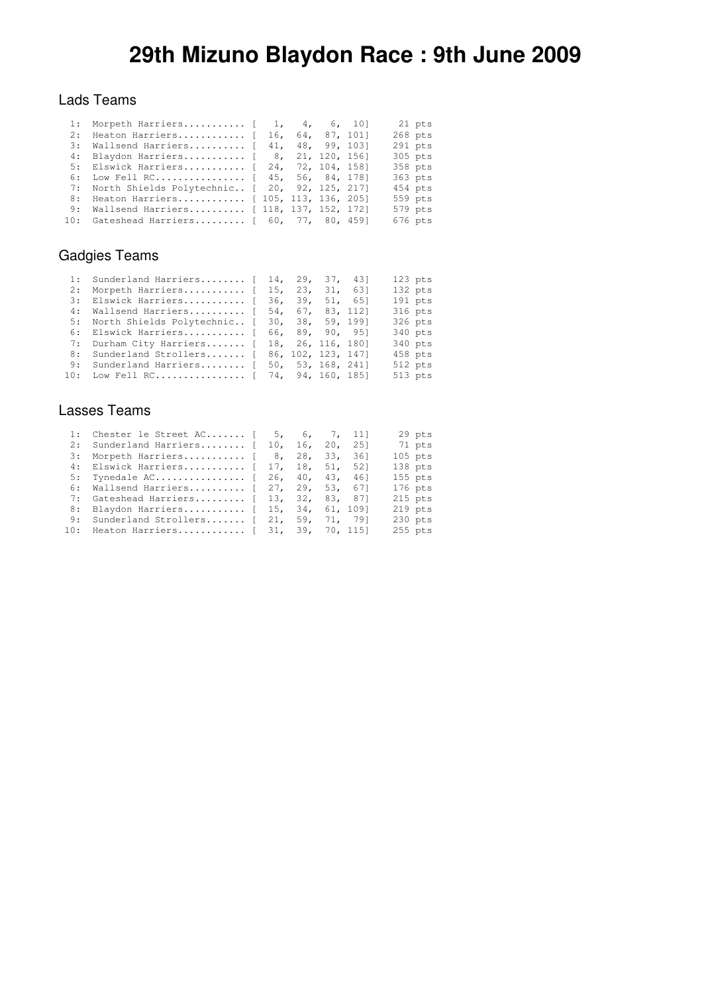#### Lads Teams

|     | 1: Morpeth Harriers [ 1, 4, 6, 10]               |  |  |           | 21 pts  |
|-----|--------------------------------------------------|--|--|-----------|---------|
|     | 2: Heaton Harriers [ 16, 64, 87, 101]            |  |  |           | 268 pts |
|     | 3: Wallsend Harriers [ 41, 48, 99, 103]          |  |  | $291$ pts |         |
|     | 4: Blaydon Harriers [ 8, 21, 120, 156]           |  |  |           | 305 pts |
|     | 5: Elswick Harriers [ 24, 72, 104, 158]          |  |  |           | 358 pts |
|     | 6: Low Fell RC [ 45, 56, 84, 178]                |  |  |           | 363 pts |
|     | 7: North Shields Polytechnic [ 20, 92, 125, 217] |  |  |           | 454 pts |
| 8 : | Heaton Harriers [ 105, 113, 136, 205]            |  |  |           | 559 pts |
|     | 9: Wallsend Harriers [ 118, 137, 152, 172]       |  |  |           | 579 pts |
|     | 10: Gateshead Harriers [ 60, 77, 80, 459]        |  |  |           | 676 pts |
|     |                                                  |  |  |           |         |

#### Gadgies Teams

|    | 1: Sunderland Harriers [ 14, 29, 37, 43]        |  |                  | $123$ pts |  |
|----|-------------------------------------------------|--|------------------|-----------|--|
|    | 2: Morpeth Harriers [ 15, 23, 31, 63]           |  |                  | 132 pts   |  |
| 3: | Elswick Harriers [ 36, 39,                      |  | 51. 651          | 191 pts   |  |
|    | 4: Wallsend Harriers [ 54, 67, 83, 112]         |  |                  | 316 pts   |  |
|    | 5: North Shields Polytechnic [ 30, 38, 59, 199] |  |                  | 326 pts   |  |
|    | 6: Elswick Harriers [                           |  | 66, 89, 90, 951  | 340 pts   |  |
|    | 7: Durham City Harriers [ 18, 26, 116, 180]     |  |                  | 340 pts   |  |
|    | 8: Sunderland Strollers [ 86, 102, 123, 147]    |  |                  | 458 pts   |  |
|    | 9: Sunderland Harriers [                        |  | 50, 53, 168, 241 | 512 pts   |  |
|    | 10: Low Fell RC [ 74, 94, 160, 185]             |  |                  | 513 pts   |  |

#### Lasses Teams

|     | 1: Chester le Street AC $[ 5, 6, 7, 11]$ |  |     |     |           | 29 pts |
|-----|------------------------------------------|--|-----|-----|-----------|--------|
|     | 2: Sunderland Harriers [ 10, 16,         |  | 20. | 251 |           | 71 pts |
| 3 : | Morpeth Harriers [ 8, 28, 33,            |  |     | 361 | $105$ pts |        |
|     | 4: Elswick Harriers [ 17, 18, 51, 52]    |  |     |     | $138$ pts |        |
|     | 5: Tynedale AC [ 26, 40, 43, 46]         |  |     |     | $155$ pts |        |
|     | 6: Wallsend Harriers [ 27, 29, 53, 67]   |  |     |     | $176$ pts |        |
|     | 7: Gateshead Harriers [ 13, 32, 83, 87]  |  |     |     | $215$ pts |        |
|     | 8: Blaydon Harriers [ 15, 34, 61, 109]   |  |     |     | $219$ pts |        |
|     | 9: Sunderland Strollers $[21, 59, 71,$   |  |     | 791 | $230$ pts |        |
|     | 10: Heaton Harriers [ 31, 39, 70, 115]   |  |     |     | 255 pts   |        |